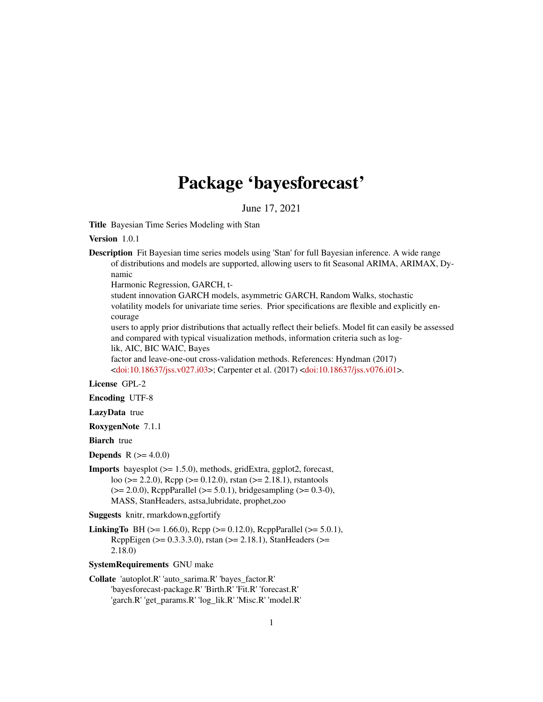# Package 'bayesforecast'

June 17, 2021

<span id="page-0-0"></span>Title Bayesian Time Series Modeling with Stan

Version 1.0.1

Description Fit Bayesian time series models using 'Stan' for full Bayesian inference. A wide range of distributions and models are supported, allowing users to fit Seasonal ARIMA, ARIMAX, Dynamic

Harmonic Regression, GARCH, t-

student innovation GARCH models, asymmetric GARCH, Random Walks, stochastic volatility models for univariate time series. Prior specifications are flexible and explicitly encourage

users to apply prior distributions that actually reflect their beliefs. Model fit can easily be assessed and compared with typical visualization methods, information criteria such as log-

lik, AIC, BIC WAIC, Bayes

factor and leave-one-out cross-validation methods. References: Hyndman (2017) [<doi:10.18637/jss.v027.i03>](https://doi.org/10.18637/jss.v027.i03); Carpenter et al. (2017) [<doi:10.18637/jss.v076.i01>](https://doi.org/10.18637/jss.v076.i01).

### License GPL-2

Encoding UTF-8

LazyData true

RoxygenNote 7.1.1

**Biarch** true

**Depends** R  $(>= 4.0.0)$ 

Imports bayesplot (>= 1.5.0), methods, gridExtra, ggplot2, forecast, loo ( $>= 2.2.0$ ), Rcpp ( $>= 0.12.0$ ), rstan ( $>= 2.18.1$ ), rstantools  $(>= 2.0.0)$ , ReppParallel  $(>= 5.0.1)$ , bridges ampling  $(>= 0.3-0)$ , MASS, StanHeaders, astsa,lubridate, prophet,zoo

Suggests knitr, rmarkdown,ggfortify

**LinkingTo** BH ( $>= 1.66.0$ ), Rcpp ( $>= 0.12.0$ ), RcppParallel ( $>= 5.0.1$ ), RcppEigen (>= 0.3.3.3.0), rstan (>= 2.18.1), StanHeaders (>= 2.18.0)

SystemRequirements GNU make

Collate 'autoplot.R' 'auto\_sarima.R' 'bayes\_factor.R' 'bayesforecast-package.R' 'Birth.R' 'Fit.R' 'forecast.R' 'garch.R' 'get\_params.R' 'log\_lik.R' 'Misc.R' 'model.R'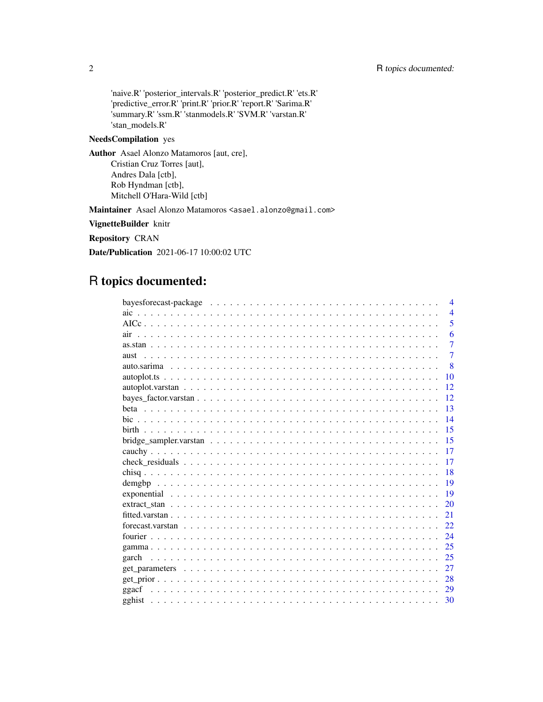'naive.R' 'posterior\_intervals.R' 'posterior\_predict.R' 'ets.R' 'predictive\_error.R' 'print.R' 'prior.R' 'report.R' 'Sarima.R' 'summary.R' 'ssm.R' 'stanmodels.R' 'SVM.R' 'varstan.R' 'stan\_models.R'

### NeedsCompilation yes

Author Asael Alonzo Matamoros [aut, cre], Cristian Cruz Torres [aut], Andres Dala [ctb], Rob Hyndman [ctb], Mitchell O'Hara-Wild [ctb]

Maintainer Asael Alonzo Matamoros <asael.alonzo@gmail.com>

VignetteBuilder knitr

Repository CRAN

Date/Publication 2021-06-17 10:00:02 UTC

## R topics documented:

| bayesforecast-package $\ldots \ldots \ldots \ldots \ldots \ldots \ldots \ldots \ldots \ldots \ldots \ldots$<br>$\overline{4}$ |
|-------------------------------------------------------------------------------------------------------------------------------|
| $\overline{4}$                                                                                                                |
| 5                                                                                                                             |
| 6                                                                                                                             |
| $\overline{7}$                                                                                                                |
| $\overline{7}$                                                                                                                |
| $\mathbf{8}$                                                                                                                  |
| 10                                                                                                                            |
| 12 <sub>12</sub>                                                                                                              |
| 12                                                                                                                            |
| 13                                                                                                                            |
| 14                                                                                                                            |
| 15                                                                                                                            |
| 15                                                                                                                            |
| 17                                                                                                                            |
| 17                                                                                                                            |
| 18                                                                                                                            |
| 19                                                                                                                            |
| 19                                                                                                                            |
| 20                                                                                                                            |
| 21                                                                                                                            |
| 22.                                                                                                                           |
| 24                                                                                                                            |
| 25                                                                                                                            |
| 25<br>garch                                                                                                                   |
| 27                                                                                                                            |
| 28                                                                                                                            |
| ggacf<br>29                                                                                                                   |
| 30                                                                                                                            |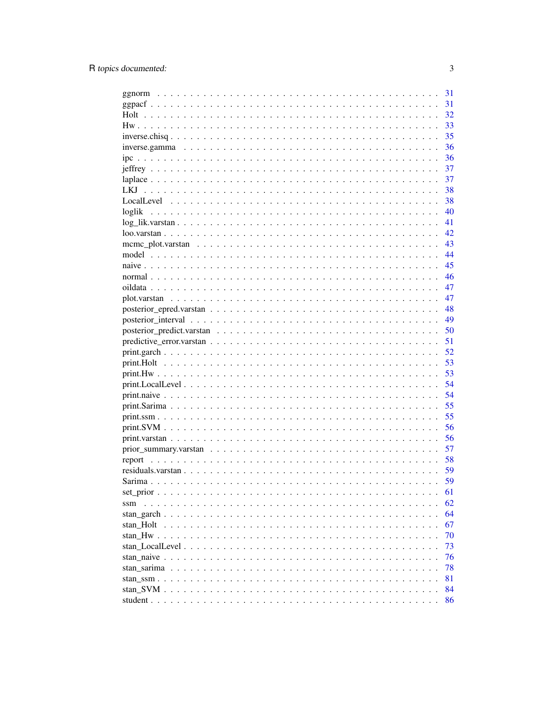|                                                                                                         | 31 |
|---------------------------------------------------------------------------------------------------------|----|
|                                                                                                         | 31 |
| Holt                                                                                                    | 32 |
|                                                                                                         | 33 |
|                                                                                                         | 35 |
|                                                                                                         | 36 |
|                                                                                                         | 36 |
|                                                                                                         | 37 |
|                                                                                                         | 37 |
|                                                                                                         | 38 |
|                                                                                                         | 38 |
| loglik                                                                                                  | 40 |
|                                                                                                         | 41 |
|                                                                                                         | 42 |
|                                                                                                         | 43 |
|                                                                                                         | 44 |
|                                                                                                         | 45 |
|                                                                                                         | 46 |
|                                                                                                         | 47 |
|                                                                                                         | 47 |
|                                                                                                         | 48 |
|                                                                                                         | 49 |
|                                                                                                         | 50 |
|                                                                                                         | 51 |
|                                                                                                         | 52 |
|                                                                                                         | 53 |
|                                                                                                         | 53 |
| $print. LocalLevel \ldots \ldots \ldots \ldots \ldots \ldots \ldots \ldots \ldots \ldots \ldots \ldots$ | 54 |
|                                                                                                         | 54 |
|                                                                                                         | 55 |
|                                                                                                         | 55 |
|                                                                                                         | 56 |
|                                                                                                         | 56 |
|                                                                                                         | 57 |
|                                                                                                         | 58 |
|                                                                                                         | 59 |
|                                                                                                         | 59 |
|                                                                                                         | 61 |
| ssm                                                                                                     | 62 |
|                                                                                                         | 64 |
|                                                                                                         | 67 |
|                                                                                                         | 70 |
|                                                                                                         | 73 |
|                                                                                                         | 76 |
|                                                                                                         | 78 |
|                                                                                                         | 81 |
|                                                                                                         |    |
|                                                                                                         | 84 |
|                                                                                                         | 86 |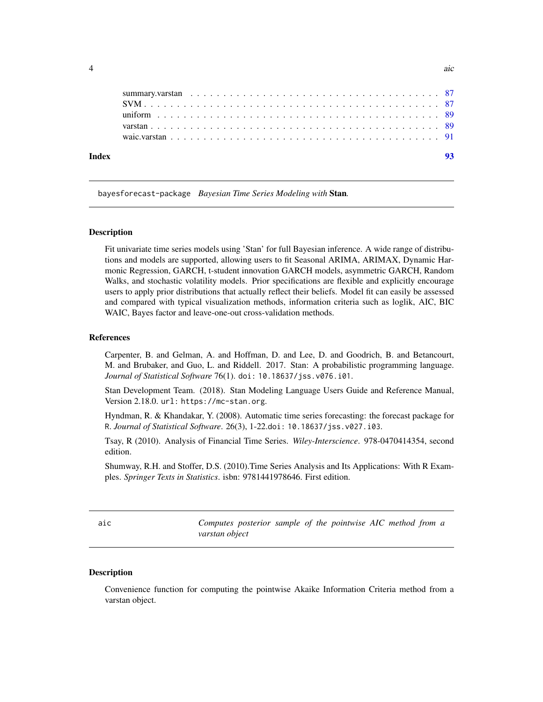<span id="page-3-0"></span>

bayesforecast-package *Bayesian Time Series Modeling with* Stan*.*

#### Description

Fit univariate time series models using 'Stan' for full Bayesian inference. A wide range of distributions and models are supported, allowing users to fit Seasonal ARIMA, ARIMAX, Dynamic Harmonic Regression, GARCH, t-student innovation GARCH models, asymmetric GARCH, Random Walks, and stochastic volatility models. Prior specifications are flexible and explicitly encourage users to apply prior distributions that actually reflect their beliefs. Model fit can easily be assessed and compared with typical visualization methods, information criteria such as loglik, AIC, BIC WAIC, Bayes factor and leave-one-out cross-validation methods.

#### References

Carpenter, B. and Gelman, A. and Hoffman, D. and Lee, D. and Goodrich, B. and Betancourt, M. and Brubaker, and Guo, L. and Riddell. 2017. Stan: A probabilistic programming language. *Journal of Statistical Software* 76(1). doi: 10.18637/jss.v076.i01.

Stan Development Team. (2018). Stan Modeling Language Users Guide and Reference Manual, Version 2.18.0. url: https://mc-stan.org.

Hyndman, R. & Khandakar, Y. (2008). Automatic time series forecasting: the forecast package for R. *Journal of Statistical Software*. 26(3), 1-22.doi: 10.18637/jss.v027.i03.

Tsay, R (2010). Analysis of Financial Time Series. *Wiley-Interscience*. 978-0470414354, second edition.

Shumway, R.H. and Stoffer, D.S. (2010).Time Series Analysis and Its Applications: With R Examples. *Springer Texts in Statistics*. isbn: 9781441978646. First edition.

aic *Computes posterior sample of the pointwise AIC method from a varstan object*

#### **Description**

Convenience function for computing the pointwise Akaike Information Criteria method from a varstan object.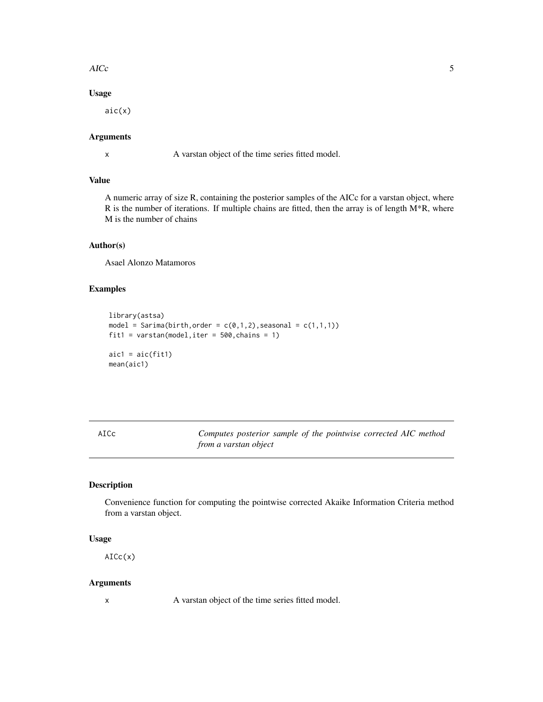#### <span id="page-4-0"></span> $\angle$  AICc  $\frac{1}{2}$  5

### Usage

aic(x)

### Arguments

x A varstan object of the time series fitted model.

### Value

A numeric array of size R, containing the posterior samples of the AICc for a varstan object, where R is the number of iterations. If multiple chains are fitted, then the array is of length M\*R, where M is the number of chains

#### Author(s)

Asael Alonzo Matamoros

### Examples

```
library(astsa)
model = Sarima(birth, order = c(\emptyset,1,2), seasonal = c(1,1,1))
fit1 = varstan(model,iter = 500,chains = 1)
aic1 = aic(fit1)mean(aic1)
```
AICc *Computes posterior sample of the pointwise corrected AIC method from a varstan object*

#### Description

Convenience function for computing the pointwise corrected Akaike Information Criteria method from a varstan object.

#### Usage

AICc(x)

#### Arguments

x A varstan object of the time series fitted model.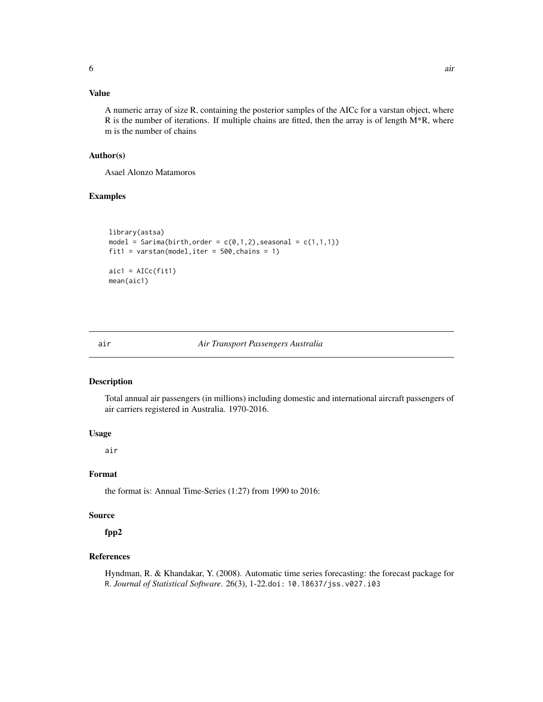### <span id="page-5-0"></span>Value

A numeric array of size R, containing the posterior samples of the AICc for a varstan object, where R is the number of iterations. If multiple chains are fitted, then the array is of length  $M^*R$ , where m is the number of chains

### Author(s)

Asael Alonzo Matamoros

#### Examples

```
library(astsa)
model = Sarima(birth, order = c(0,1,2), seasonal = c(1,1,1))
fit1 = varstan(model,iter = 500, chains = 1)aic1 = AICc(fit1)mean(aic1)
```
#### air *Air Transport Passengers Australia*

#### Description

Total annual air passengers (in millions) including domestic and international aircraft passengers of air carriers registered in Australia. 1970-2016.

### Usage

air

### Format

the format is: Annual Time-Series (1:27) from 1990 to 2016:

#### Source

fpp2

#### References

Hyndman, R. & Khandakar, Y. (2008). Automatic time series forecasting: the forecast package for R. *Journal of Statistical Software*. 26(3), 1-22.doi: 10.18637/jss.v027.i03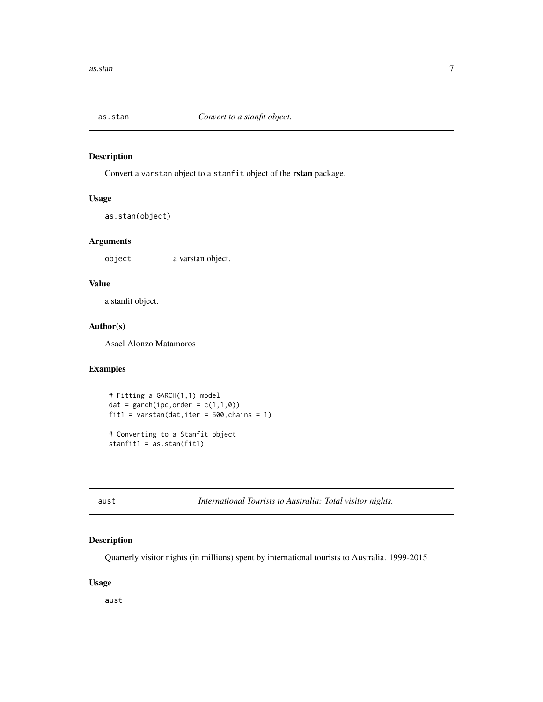<span id="page-6-0"></span>

Convert a varstan object to a stanfit object of the rstan package.

#### Usage

as.stan(object)

### Arguments

object a varstan object.

### Value

a stanfit object.

### Author(s)

Asael Alonzo Matamoros

### Examples

```
# Fitting a GARCH(1,1) model
dat = garch(ipc, order = c(1,1,0))
fit1 = varstan(dat, iter = 500, chains = 1)
# Converting to a Stanfit object
stanfit1 = as.stan(fit1)
```
aust *International Tourists to Australia: Total visitor nights.*

### Description

Quarterly visitor nights (in millions) spent by international tourists to Australia. 1999-2015

#### Usage

aust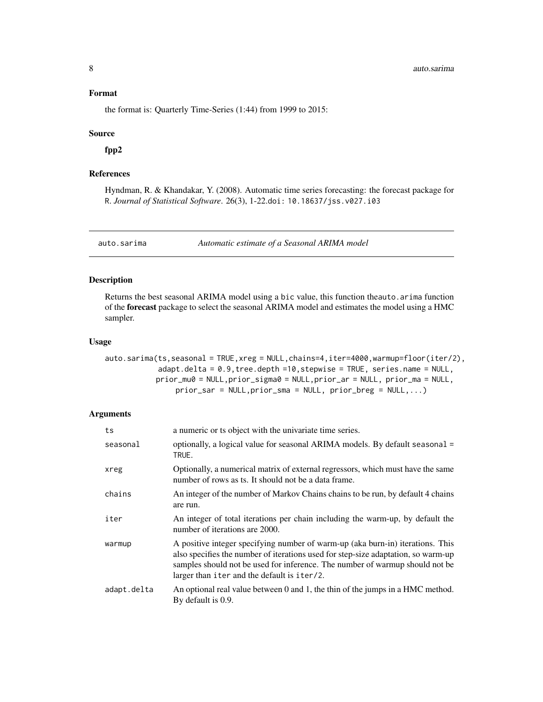#### <span id="page-7-0"></span>Format

the format is: Quarterly Time-Series (1:44) from 1999 to 2015:

#### Source

fpp2

### References

Hyndman, R. & Khandakar, Y. (2008). Automatic time series forecasting: the forecast package for R. *Journal of Statistical Software*. 26(3), 1-22.doi: 10.18637/jss.v027.i03

<span id="page-7-1"></span>

auto.sarima *Automatic estimate of a Seasonal ARIMA model*

#### Description

Returns the best seasonal ARIMA model using a bic value, this function theauto.arima function of the forecast package to select the seasonal ARIMA model and estimates the model using a HMC sampler.

#### Usage

auto.sarima(ts,seasonal = TRUE,xreg = NULL,chains=4,iter=4000,warmup=floor(iter/2), adapt.delta = 0.9,tree.depth =10,stepwise = TRUE, series.name = NULL, prior\_mu0 = NULL,prior\_sigma0 = NULL,prior\_ar = NULL, prior\_ma = NULL, prior\_sar = NULL,prior\_sma = NULL, prior\_breg = NULL,...)

### Arguments

| ts          | a numeric or ts object with the univariate time series.                                                                                                                                                                                                                                            |
|-------------|----------------------------------------------------------------------------------------------------------------------------------------------------------------------------------------------------------------------------------------------------------------------------------------------------|
| seasonal    | optionally, a logical value for seasonal ARIMA models. By default seasonal =<br>TRUE.                                                                                                                                                                                                              |
| xreg        | Optionally, a numerical matrix of external regressors, which must have the same<br>number of rows as ts. It should not be a data frame.                                                                                                                                                            |
| chains      | An integer of the number of Markov Chains chains to be run, by default 4 chains<br>are run.                                                                                                                                                                                                        |
| iter        | An integer of total iterations per chain including the warm-up, by default the<br>number of iterations are 2000.                                                                                                                                                                                   |
| warmup      | A positive integer specifying number of warm-up (aka burn-in) iterations. This<br>also specifies the number of iterations used for step-size adaptation, so warm-up<br>samples should not be used for inference. The number of warmup should not be<br>larger than iter and the default is iter/2. |
| adapt.delta | An optional real value between 0 and 1, the thin of the jumps in a HMC method.<br>By default is 0.9.                                                                                                                                                                                               |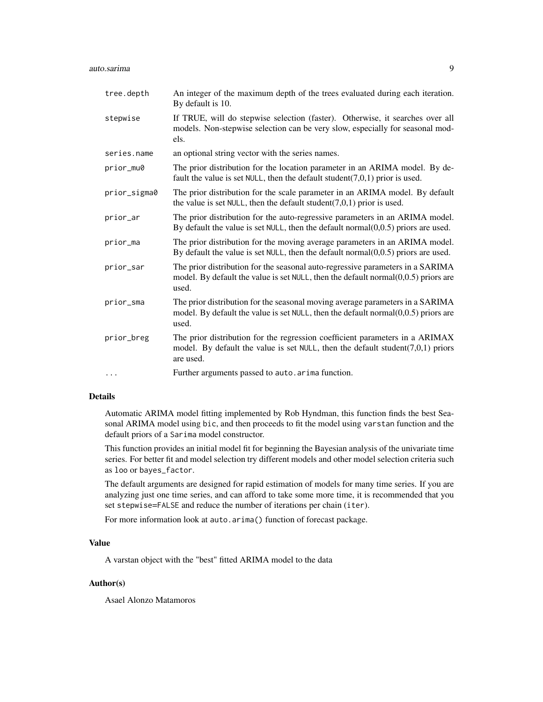#### auto.sarima 9

| tree.depth   | An integer of the maximum depth of the trees evaluated during each iteration.<br>By default is 10.                                                                                 |
|--------------|------------------------------------------------------------------------------------------------------------------------------------------------------------------------------------|
| stepwise     | If TRUE, will do stepwise selection (faster). Otherwise, it searches over all<br>models. Non-stepwise selection can be very slow, especially for seasonal mod-<br>els.             |
| series.name  | an optional string vector with the series names.                                                                                                                                   |
| prior_mu0    | The prior distribution for the location parameter in an ARIMA model. By de-<br>fault the value is set NULL, then the default student( $7,0,1$ ) prior is used.                     |
| prior_sigma0 | The prior distribution for the scale parameter in an ARIMA model. By default<br>the value is set NULL, then the default student( $7,0,1$ ) prior is used.                          |
| prior_ar     | The prior distribution for the auto-regressive parameters in an ARIMA model.<br>By default the value is set NULL, then the default normal $(0,0.5)$ priors are used.               |
| prior_ma     | The prior distribution for the moving average parameters in an ARIMA model.<br>By default the value is set NULL, then the default normal $(0,0.5)$ priors are used.                |
| prior_sar    | The prior distribution for the seasonal auto-regressive parameters in a SARIMA<br>model. By default the value is set NULL, then the default normal $(0,0.5)$ priors are<br>used.   |
| prior_sma    | The prior distribution for the seasonal moving average parameters in a SARIMA<br>model. By default the value is set $NULL$ , then the default normal $(0,0.5)$ priors are<br>used. |
| prior_breg   | The prior distribution for the regression coefficient parameters in a ARIMAX<br>model. By default the value is set NULL, then the default student( $7,0,1$ ) priors<br>are used.   |
| $\cdots$     | Further arguments passed to auto. arima function.                                                                                                                                  |

#### Details

Automatic ARIMA model fitting implemented by Rob Hyndman, this function finds the best Seasonal ARIMA model using bic, and then proceeds to fit the model using varstan function and the default priors of a Sarima model constructor.

This function provides an initial model fit for beginning the Bayesian analysis of the univariate time series. For better fit and model selection try different models and other model selection criteria such as loo or bayes\_factor.

The default arguments are designed for rapid estimation of models for many time series. If you are analyzing just one time series, and can afford to take some more time, it is recommended that you set stepwise=FALSE and reduce the number of iterations per chain (iter).

For more information look at auto.arima() function of forecast package.

#### Value

A varstan object with the "best" fitted ARIMA model to the data

### Author(s)

Asael Alonzo Matamoros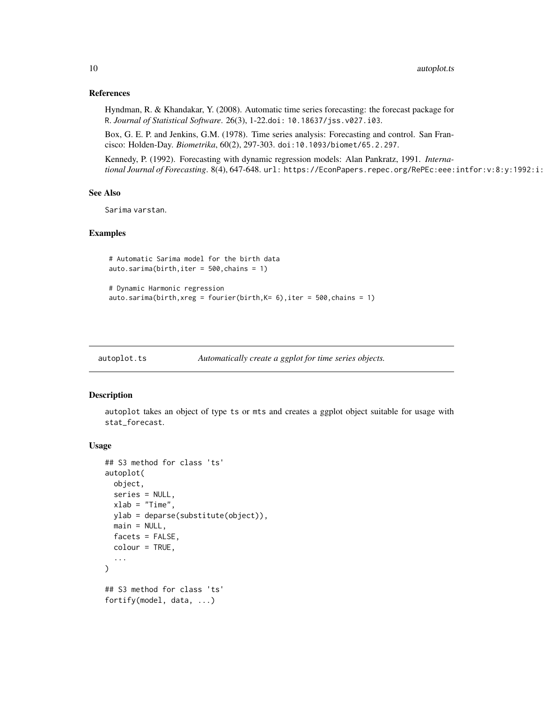#### <span id="page-9-0"></span>References

Hyndman, R. & Khandakar, Y. (2008). Automatic time series forecasting: the forecast package for R. *Journal of Statistical Software*. 26(3), 1-22.doi: 10.18637/jss.v027.i03.

Box, G. E. P. and Jenkins, G.M. (1978). Time series analysis: Forecasting and control. San Francisco: Holden-Day. *Biometrika*, 60(2), 297-303. doi:10.1093/biomet/65.2.297.

Kennedy, P. (1992). Forecasting with dynamic regression models: Alan Pankratz, 1991. *International Journal of Forecasting*. 8(4), 647-648. url: https://EconPapers.repec.org/RePEc:eee:intfor:v:8:y:1992:i:

#### See Also

Sarima varstan.

#### Examples

```
# Automatic Sarima model for the birth data
auto.sarima(birth,iter = 500,chains = 1)
# Dynamic Harmonic regression
```

```
auto.sarima(birth, xreg = fourier(birth, K = 6), iter = 500, chains = 1)
```

| autoplot.ts | Automatically create a ggplot for time series objects. |
|-------------|--------------------------------------------------------|
|             |                                                        |

#### Description

autoplot takes an object of type ts or mts and creates a ggplot object suitable for usage with stat\_forecast.

#### Usage

```
## S3 method for class 'ts'
autoplot(
 object,
  series = NULL,
  xlab = "Time",ylab = deparse(substitute(object)),
 main = NULL,factors = FALSE,colour = TRUE,
  ...
)
## S3 method for class 'ts'
fortify(model, data, ...)
```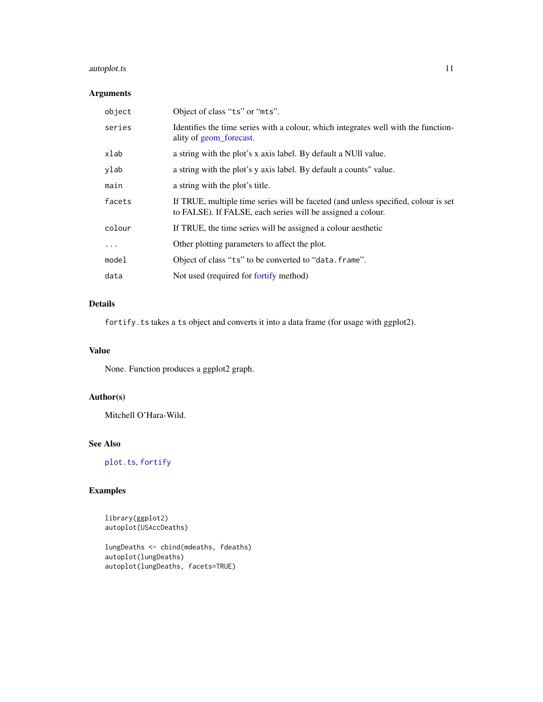### autoplot.ts 11

### Arguments

| object   | Object of class "ts" or "mts".                                                                                                                    |
|----------|---------------------------------------------------------------------------------------------------------------------------------------------------|
| series   | Identifies the time series with a colour, which integrates well with the function-<br>ality of geom_forecast.                                     |
| xlab     | a string with the plot's x axis label. By default a NUII value.                                                                                   |
| ylab     | a string with the plot's y axis label. By default a counts" value.                                                                                |
| main     | a string with the plot's title.                                                                                                                   |
| facets   | If TRUE, multiple time series will be faceted (and unless specified, colour is set<br>to FALSE). If FALSE, each series will be assigned a colour. |
| colour   | If TRUE, the time series will be assigned a colour aesthetic                                                                                      |
| $\ddots$ | Other plotting parameters to affect the plot.                                                                                                     |
| model    | Object of class "ts" to be converted to "data. frame".                                                                                            |
| data     | Not used (required for fortify method)                                                                                                            |

### Details

fortify.ts takes a ts object and converts it into a data frame (for usage with ggplot2).

### Value

None. Function produces a ggplot2 graph.

### Author(s)

Mitchell O'Hara-Wild.

### See Also

[plot.ts](#page-0-0), [fortify](#page-0-0)

### Examples

library(ggplot2) autoplot(USAccDeaths)

lungDeaths <- cbind(mdeaths, fdeaths) autoplot(lungDeaths) autoplot(lungDeaths, facets=TRUE)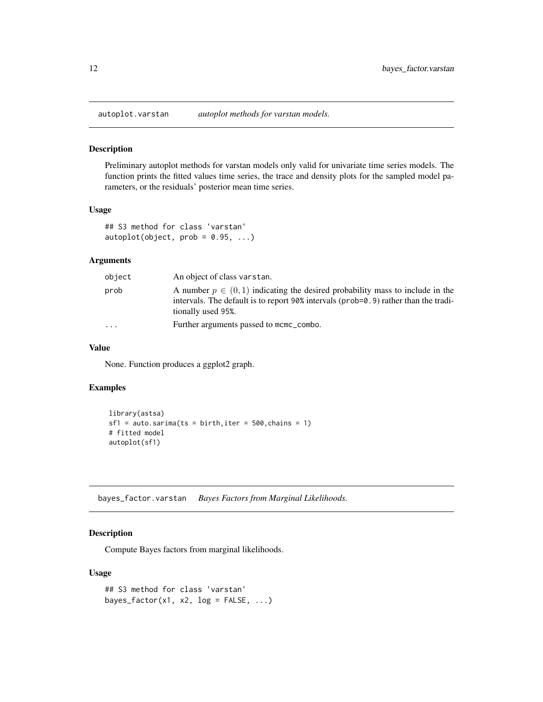<span id="page-11-0"></span>

Preliminary autoplot methods for varstan models only valid for univariate time series models. The function prints the fitted values time series, the trace and density plots for the sampled model parameters, or the residuals' posterior mean time series.

#### Usage

```
## S3 method for class 'varstan'
autoplot(object, prob = 0.95, ...)
```
### Arguments

| object                  | An object of class varstan.                                                                                                                                                                       |
|-------------------------|---------------------------------------------------------------------------------------------------------------------------------------------------------------------------------------------------|
| prob                    | A number $p \in (0,1)$ indicating the desired probability mass to include in the<br>intervals. The default is to report 90% intervals ( $prob=0.9$ ) rather than the tradi-<br>tionally used 95%. |
| $\cdot$ $\cdot$ $\cdot$ | Further arguments passed to mcmc_combo.                                                                                                                                                           |

#### Value

None. Function produces a ggplot2 graph.

#### Examples

```
library(astsa)
sf1 = auto.sarima(ts = birth, iter = 500, chains = 1)# fitted model
autoplot(sf1)
```
bayes\_factor.varstan *Bayes Factors from Marginal Likelihoods.*

### Description

Compute Bayes factors from marginal likelihoods.

#### Usage

```
## S3 method for class 'varstan'
bayes_factor(x1, x2, log = FALSE, ...)
```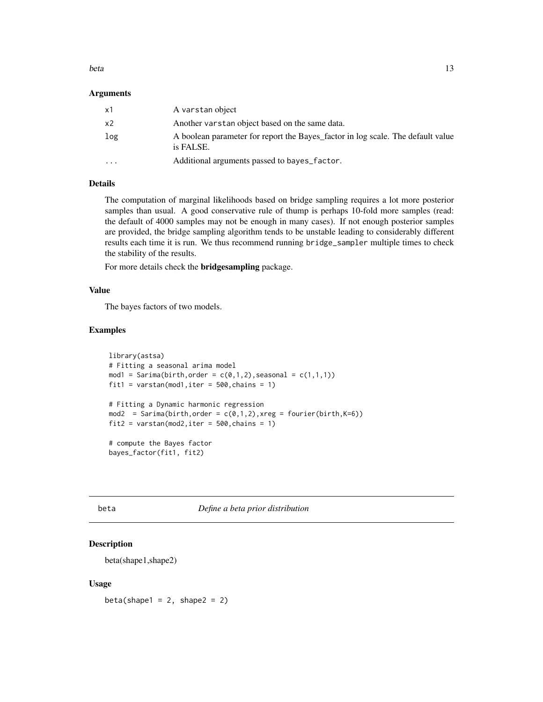#### <span id="page-12-0"></span>beta and the set of the set of the set of the set of the set of the set of the set of the set of the set of the set of the set of the set of the set of the set of the set of the set of the set of the set of the set of the

#### Arguments

| x1             | A varstan object                                                                             |
|----------------|----------------------------------------------------------------------------------------------|
| x <sub>2</sub> | Another varstan object based on the same data.                                               |
| log            | A boolean parameter for report the Bayes_factor in log scale. The default value<br>is FALSE. |
| $\cdots$       | Additional arguments passed to bayes_factor.                                                 |

#### Details

The computation of marginal likelihoods based on bridge sampling requires a lot more posterior samples than usual. A good conservative rule of thump is perhaps 10-fold more samples (read: the default of 4000 samples may not be enough in many cases). If not enough posterior samples are provided, the bridge sampling algorithm tends to be unstable leading to considerably different results each time it is run. We thus recommend running bridge\_sampler multiple times to check the stability of the results.

For more details check the bridgesampling package.

#### Value

The bayes factors of two models.

#### Examples

```
library(astsa)
# Fitting a seasonal arima model
mod1 = Sarima(birth, order = c(0,1,2), seasonal = c(1,1,1))
fit1 = varstan(mod1, iter = 500, chains = 1)
# Fitting a Dynamic harmonic regression
mod2 = Sarima(birth, order = c(0,1,2), xreg = fourier(birth,K=6))fit2 = varstan(mod2,iter = 500, chains = 1)# compute the Bayes factor
```

```
bayes_factor(fit1, fit2)
```
beta *Define a beta prior distribution*

#### Description

beta(shape1,shape2)

#### Usage

beta(shape1 =  $2$ , shape2 =  $2$ )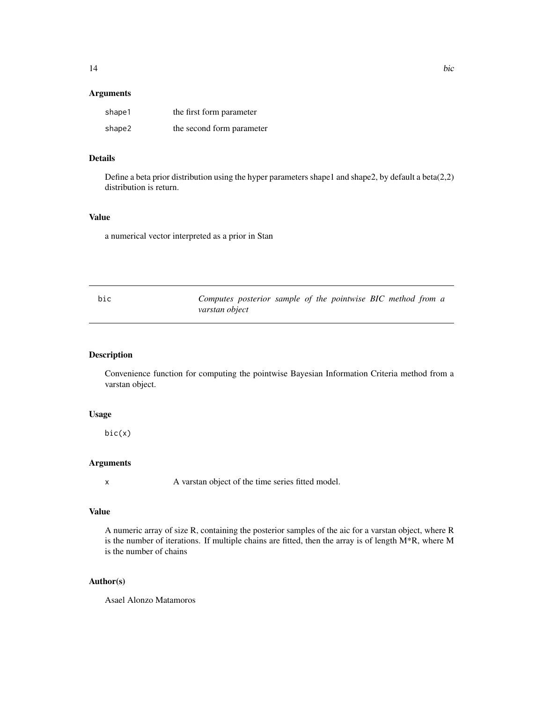### <span id="page-13-0"></span>Arguments

| shape1 | the first form parameter  |
|--------|---------------------------|
| shape2 | the second form parameter |

### Details

Define a beta prior distribution using the hyper parameters shape1 and shape2, by default a beta $(2,2)$ distribution is return.

#### Value

a numerical vector interpreted as a prior in Stan

| bic | Computes posterior sample of the pointwise BIC method from a |  |  |  |  |  |
|-----|--------------------------------------------------------------|--|--|--|--|--|
|     | varstan object                                               |  |  |  |  |  |

### Description

Convenience function for computing the pointwise Bayesian Information Criteria method from a varstan object.

### Usage

bic(x)

### Arguments

x A varstan object of the time series fitted model.

### Value

A numeric array of size R, containing the posterior samples of the aic for a varstan object, where R is the number of iterations. If multiple chains are fitted, then the array is of length M\*R, where M is the number of chains

### Author(s)

Asael Alonzo Matamoros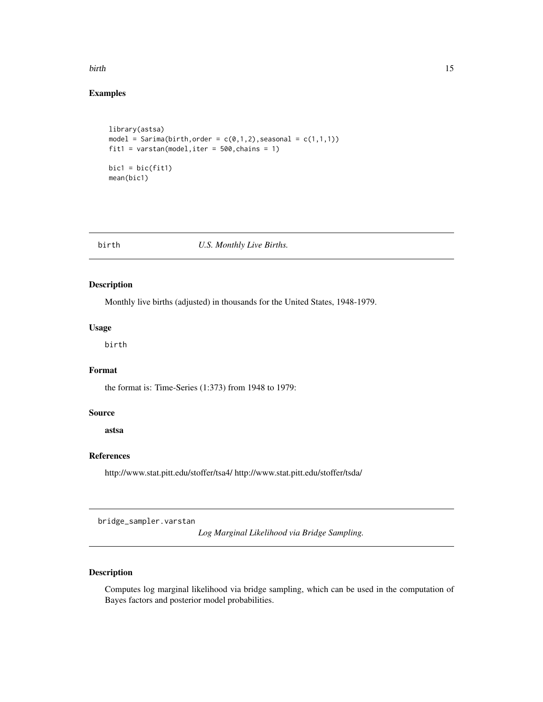#### <span id="page-14-0"></span>birth the contract of the contract of the contract of the contract of the contract of the contract of the contract of the contract of the contract of the contract of the contract of the contract of the contract of the cont

### Examples

```
library(astsa)
model = Sarima(birth, order = c(0,1,2), seasonal = c(1,1,1))
fit1 = varstan(model, iter = 500, chains = 1)
bic1 = bic(fit1)mean(bic1)
```
#### birth *U.S. Monthly Live Births.*

### Description

Monthly live births (adjusted) in thousands for the United States, 1948-1979.

### Usage

birth

### Format

the format is: Time-Series (1:373) from 1948 to 1979:

#### Source

astsa

#### References

http://www.stat.pitt.edu/stoffer/tsa4/ http://www.stat.pitt.edu/stoffer/tsda/

bridge\_sampler.varstan

*Log Marginal Likelihood via Bridge Sampling.*

### Description

Computes log marginal likelihood via bridge sampling, which can be used in the computation of Bayes factors and posterior model probabilities.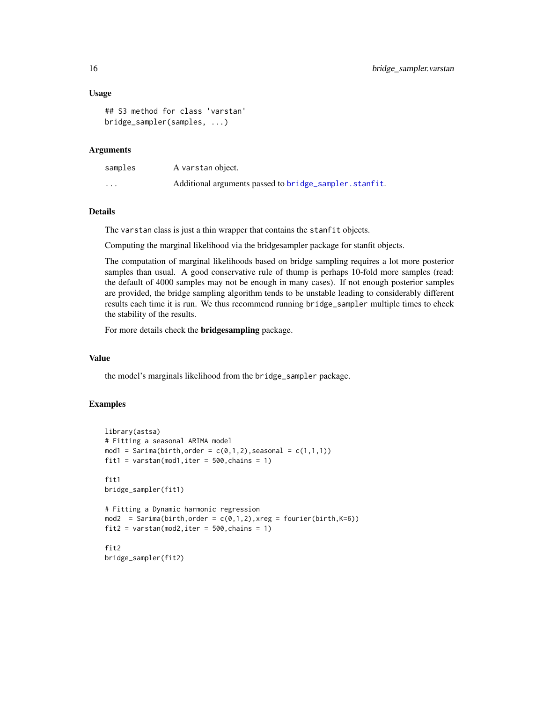#### Usage

```
## S3 method for class 'varstan'
bridge_sampler(samples, ...)
```
#### Arguments

| samples                 | A varstan object.                                      |
|-------------------------|--------------------------------------------------------|
| $\cdot$ $\cdot$ $\cdot$ | Additional arguments passed to bridge_sampler.stanfit. |

### Details

The varstan class is just a thin wrapper that contains the stanfit objects.

Computing the marginal likelihood via the bridgesampler package for stanfit objects.

The computation of marginal likelihoods based on bridge sampling requires a lot more posterior samples than usual. A good conservative rule of thump is perhaps 10-fold more samples (read: the default of 4000 samples may not be enough in many cases). If not enough posterior samples are provided, the bridge sampling algorithm tends to be unstable leading to considerably different results each time it is run. We thus recommend running bridge\_sampler multiple times to check the stability of the results.

For more details check the bridgesampling package.

#### Value

the model's marginals likelihood from the bridge\_sampler package.

#### Examples

```
library(astsa)
# Fitting a seasonal ARIMA model
mod1 = Saring(birth, order = c(0,1,2), seasonal = c(1,1,1))fit1 = varstan(mod1, iter = 500, chains = 1)
fit1
bridge_sampler(fit1)
# Fitting a Dynamic harmonic regression
mod2 = Sarima(birth, order = c(0,1,2), xreg = fourier(birth,K=6))fit2 = varstan(mod2,iter = 500, chains = 1)fit2
bridge_sampler(fit2)
```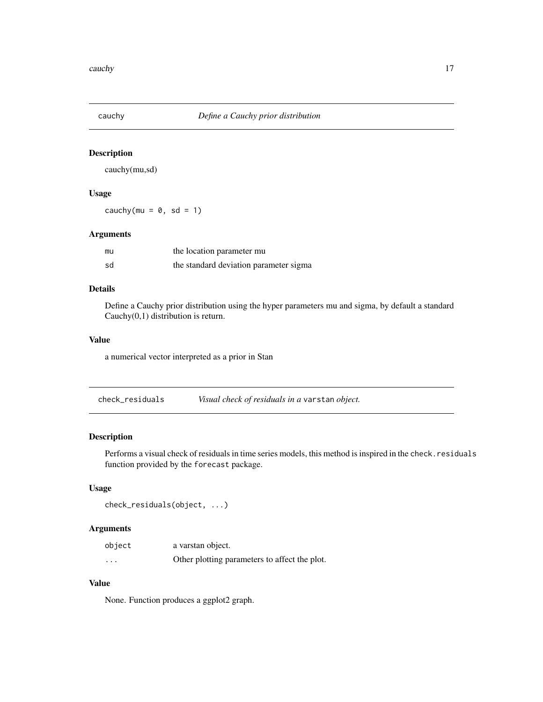<span id="page-16-0"></span>

cauchy(mu,sd)

### Usage

cauchy(mu =  $0$ , sd = 1)

#### Arguments

| mu | the location parameter mu              |
|----|----------------------------------------|
| sd | the standard deviation parameter sigma |

### Details

Define a Cauchy prior distribution using the hyper parameters mu and sigma, by default a standard Cauchy(0,1) distribution is return.

### Value

a numerical vector interpreted as a prior in Stan

| check_residuals | Visual check of residuals in a varstan object. |  |
|-----------------|------------------------------------------------|--|
|                 |                                                |  |

### Description

Performs a visual check of residuals in time series models, this method is inspired in the check. residuals function provided by the forecast package.

#### Usage

```
check_residuals(object, ...)
```
### Arguments

| object   | a varstan object.                             |
|----------|-----------------------------------------------|
| $\cdots$ | Other plotting parameters to affect the plot. |

### Value

None. Function produces a ggplot2 graph.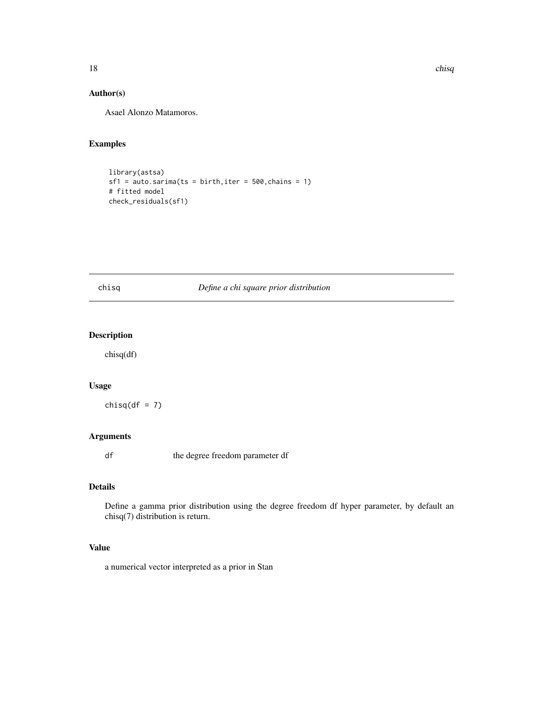### Author(s)

Asael Alonzo Matamoros.

### Examples

```
library(astsa)
sf1 = auto.sarima(ts = birth, iter = 500, chains = 1)# fitted model
check_residuals(sf1)
```
### chisq *Define a chi square prior distribution*

### Description

chisq(df)

#### Usage

 $chisq(df = 7)$ 

### Arguments

df the degree freedom parameter df

#### Details

Define a gamma prior distribution using the degree freedom df hyper parameter, by default an chisq(7) distribution is return.

#### Value

a numerical vector interpreted as a prior in Stan

<span id="page-17-0"></span>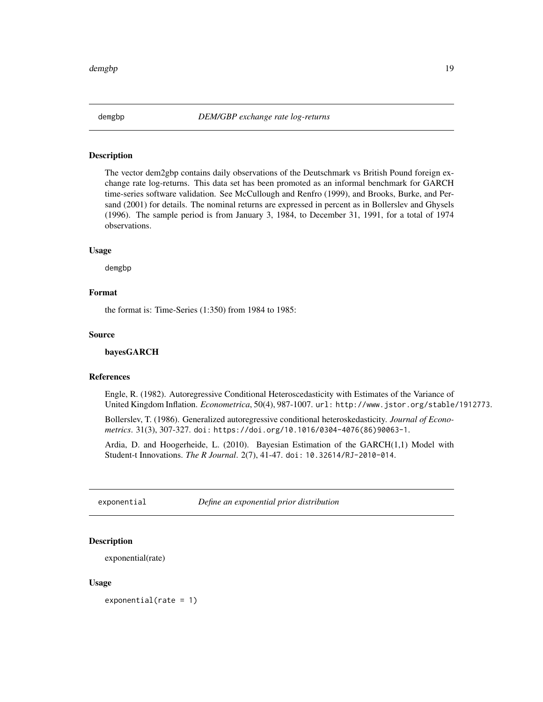<span id="page-18-0"></span>

The vector dem2gbp contains daily observations of the Deutschmark vs British Pound foreign exchange rate log-returns. This data set has been promoted as an informal benchmark for GARCH time-series software validation. See McCullough and Renfro (1999), and Brooks, Burke, and Persand (2001) for details. The nominal returns are expressed in percent as in Bollerslev and Ghysels (1996). The sample period is from January 3, 1984, to December 31, 1991, for a total of 1974 observations.

#### Usage

demgbp

### Format

the format is: Time-Series (1:350) from 1984 to 1985:

#### Source

#### bayesGARCH

#### References

Engle, R. (1982). Autoregressive Conditional Heteroscedasticity with Estimates of the Variance of United Kingdom Inflation. *Econometrica*, 50(4), 987-1007. url: http://www.jstor.org/stable/1912773.

Bollerslev, T. (1986). Generalized autoregressive conditional heteroskedasticity. *Journal of Econometrics*. 31(3), 307-327. doi: https://doi.org/10.1016/0304-4076(86)90063-1.

Ardia, D. and Hoogerheide, L. (2010). Bayesian Estimation of the GARCH(1,1) Model with Student-t Innovations. *The R Journal*. 2(7), 41-47. doi: 10.32614/RJ-2010-014.

exponential *Define an exponential prior distribution*

### **Description**

exponential(rate)

#### Usage

exponential(rate = 1)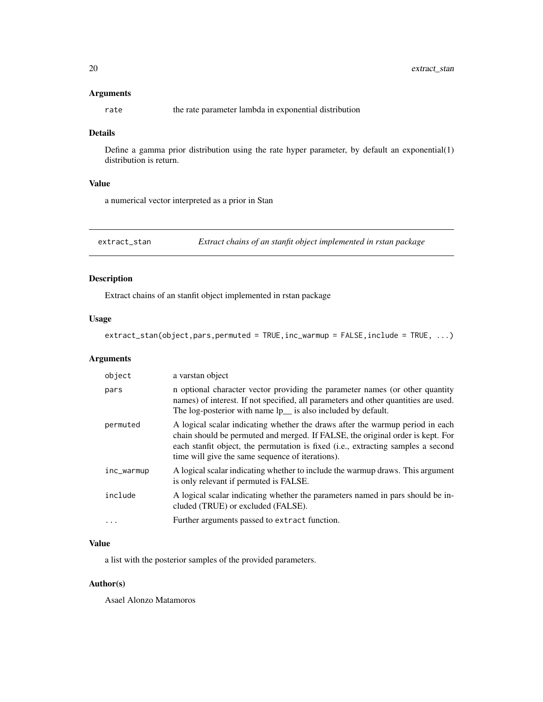#### <span id="page-19-0"></span>Arguments

rate the rate parameter lambda in exponential distribution

#### Details

Define a gamma prior distribution using the rate hyper parameter, by default an exponential(1) distribution is return.

### Value

a numerical vector interpreted as a prior in Stan

extract\_stan *Extract chains of an stanfit object implemented in rstan package*

### Description

Extract chains of an stanfit object implemented in rstan package

### Usage

extract\_stan(object,pars,permuted = TRUE,inc\_warmup = FALSE,include = TRUE, ...)

### Arguments

| object     | a varstan object                                                                                                                                                                                                                                                                                        |
|------------|---------------------------------------------------------------------------------------------------------------------------------------------------------------------------------------------------------------------------------------------------------------------------------------------------------|
| pars       | in optional character vector providing the parameter names (or other quantity<br>names) of interest. If not specified, all parameters and other quantities are used.<br>The log-posterior with name lp_ is also included by default.                                                                    |
| permuted   | A logical scalar indicating whether the draws after the warmup period in each<br>chain should be permuted and merged. If FALSE, the original order is kept. For<br>each stanfit object, the permutation is fixed (i.e., extracting samples a second<br>time will give the same sequence of iterations). |
| inc_warmup | A logical scalar indicating whether to include the warmup draws. This argument<br>is only relevant if permuted is FALSE.                                                                                                                                                                                |
| include    | A logical scalar indicating whether the parameters named in pars should be in-<br>cluded (TRUE) or excluded (FALSE).                                                                                                                                                                                    |
| .          | Further arguments passed to extract function.                                                                                                                                                                                                                                                           |

### Value

a list with the posterior samples of the provided parameters.

### Author(s)

Asael Alonzo Matamoros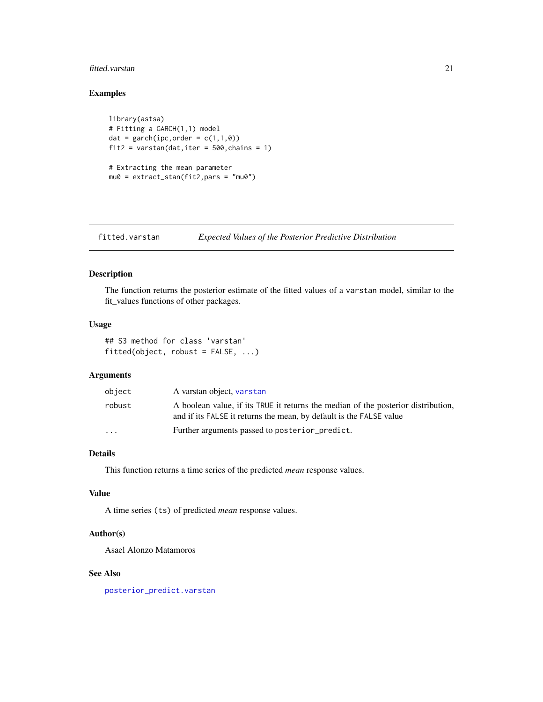#### <span id="page-20-0"></span>fitted.varstan 21

### Examples

```
library(astsa)
# Fitting a GARCH(1,1) model
dat = garch(ipc, order = c(1,1,0))
fit2 = varstan(dat, iter = 500, chains = 1)
# Extracting the mean parameter
mu0 = extract_stan(fit2,pars = "mu0")
```
fitted.varstan *Expected Values of the Posterior Predictive Distribution*

### Description

The function returns the posterior estimate of the fitted values of a varstan model, similar to the fit\_values functions of other packages.

### Usage

```
## S3 method for class 'varstan'
fitted(object, robust = FALSE, ...)
```
### Arguments

| object                  | A varstan object, varstan                                                                                                                                |
|-------------------------|----------------------------------------------------------------------------------------------------------------------------------------------------------|
| robust                  | A boolean value, if its TRUE it returns the median of the posterior distribution,<br>and if its FALSE it returns the mean, by default is the FALSE value |
| $\cdot$ $\cdot$ $\cdot$ | Further arguments passed to posterior_predict.                                                                                                           |

### Details

This function returns a time series of the predicted *mean* response values.

#### Value

A time series (ts) of predicted *mean* response values.

#### Author(s)

Asael Alonzo Matamoros

#### See Also

[posterior\\_predict.varstan](#page-49-1)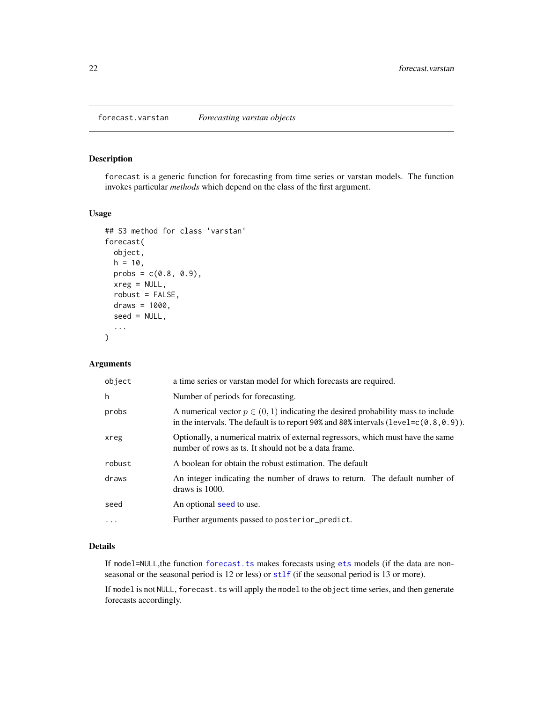<span id="page-21-0"></span>forecast is a generic function for forecasting from time series or varstan models. The function invokes particular *methods* which depend on the class of the first argument.

#### Usage

```
## S3 method for class 'varstan'
forecast(
  object,
 h = 10,
 probs = c(0.8, 0.9),
  xreg = NULL,
  robust = FALSE,draws = 1000,
  seed = NULL,
  ...
)
```
### Arguments

| object   | a time series or varstan model for which forecasts are required.                                                                                                                  |
|----------|-----------------------------------------------------------------------------------------------------------------------------------------------------------------------------------|
| h        | Number of periods for forecasting.                                                                                                                                                |
| probs    | A numerical vector $p \in (0, 1)$ indicating the desired probability mass to include<br>in the intervals. The default is to report 90% and 80% intervals (level= $c(0.8, 0.9)$ ). |
| xreg     | Optionally, a numerical matrix of external regressors, which must have the same<br>number of rows as ts. It should not be a data frame.                                           |
| robust   | A boolean for obtain the robust estimation. The default                                                                                                                           |
| draws    | An integer indicating the number of draws to return. The default number of<br>draws is $1000$ .                                                                                   |
| seed     | An optional seed to use.                                                                                                                                                          |
| $\cdots$ | Further arguments passed to posterior_predict.                                                                                                                                    |

### Details

If model=NULL, the function forecast. ts makes forecasts using [ets](#page-0-0) models (if the data are nonseasonal or the seasonal period is 12 or less) or [stlf](#page-0-0) (if the seasonal period is 13 or more).

If model is not NULL, forecast.ts will apply the model to the object time series, and then generate forecasts accordingly.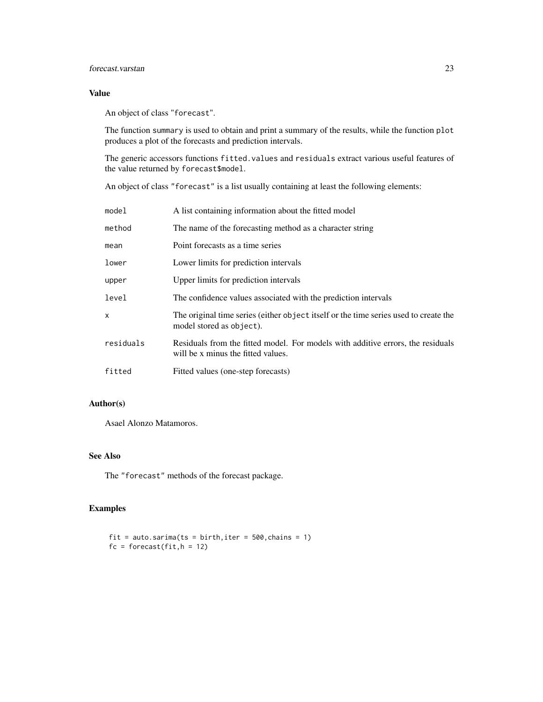### forecast.varstan 23

### Value

An object of class "forecast".

The function summary is used to obtain and print a summary of the results, while the function plot produces a plot of the forecasts and prediction intervals.

The generic accessors functions fitted.values and residuals extract various useful features of the value returned by forecast\$model.

An object of class "forecast" is a list usually containing at least the following elements:

| model     | A list containing information about the fitted model                                                                  |
|-----------|-----------------------------------------------------------------------------------------------------------------------|
| method    | The name of the forecasting method as a character string                                                              |
| mean      | Point forecasts as a time series                                                                                      |
| lower     | Lower limits for prediction intervals                                                                                 |
| upper     | Upper limits for prediction intervals                                                                                 |
| level     | The confidence values associated with the prediction intervals                                                        |
| X         | The original time series (either object itself or the time series used to create the<br>model stored as object).      |
| residuals | Residuals from the fitted model. For models with additive errors, the residuals<br>will be x minus the fitted values. |
| fitted    | Fitted values (one-step forecasts)                                                                                    |

### Author(s)

Asael Alonzo Matamoros.

### See Also

The "forecast" methods of the forecast package.

### Examples

```
fit = auto.sarima(ts = birth, iter = 500, chains = 1)
fc = forecast(fit, h = 12)
```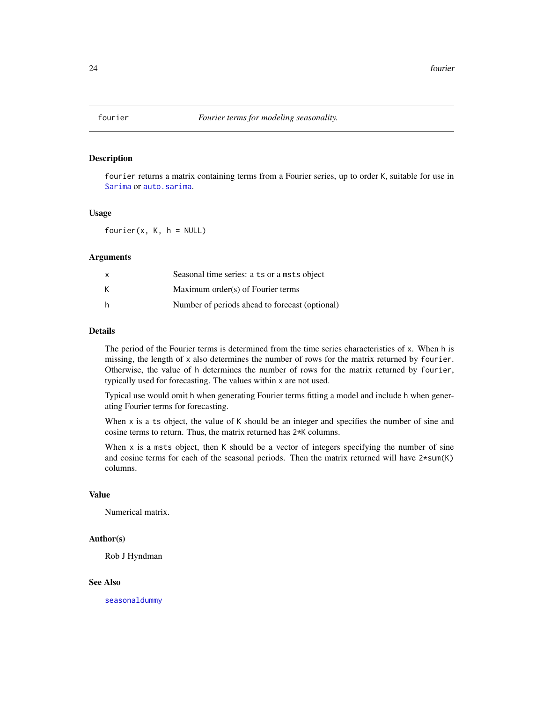<span id="page-23-0"></span>

fourier returns a matrix containing terms from a Fourier series, up to order K, suitable for use in [Sarima](#page-58-1) or [auto.sarima](#page-7-1).

#### Usage

 $fourier(x, K, h = NULL)$ 

#### Arguments

| x | Seasonal time series: a ts or a msts object    |
|---|------------------------------------------------|
| K | Maximum order(s) of Fourier terms              |
| h | Number of periods ahead to forecast (optional) |

#### Details

The period of the Fourier terms is determined from the time series characteristics of x. When h is missing, the length of x also determines the number of rows for the matrix returned by fourier. Otherwise, the value of h determines the number of rows for the matrix returned by fourier, typically used for forecasting. The values within x are not used.

Typical use would omit h when generating Fourier terms fitting a model and include h when generating Fourier terms for forecasting.

When  $x$  is a ts object, the value of  $K$  should be an integer and specifies the number of sine and cosine terms to return. Thus, the matrix returned has 2\*K columns.

When  $x$  is a msts object, then  $K$  should be a vector of integers specifying the number of sine and cosine terms for each of the seasonal periods. Then the matrix returned will have  $2*sum(K)$ columns.

#### Value

Numerical matrix.

#### Author(s)

Rob J Hyndman

#### See Also

[seasonaldummy](#page-0-0)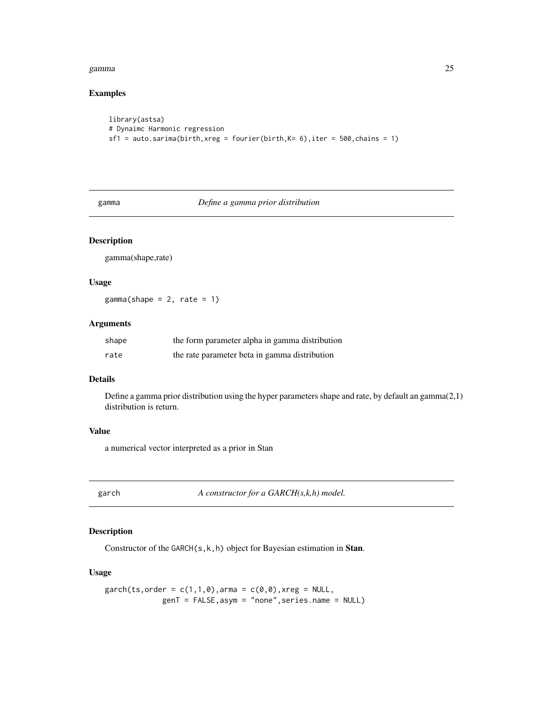#### <span id="page-24-0"></span>gamma 25

### Examples

```
library(astsa)
# Dynaimc Harmonic regression
sf1 = auto.sarima(birth, xreg = fourier(birth, K= 6), iter = 500, chains = 1)
```
gamma *Define a gamma prior distribution*

### Description

gamma(shape,rate)

### Usage

 $gamma(shape = 2, rate = 1)$ 

#### Arguments

| shape | the form parameter alpha in gamma distribution |
|-------|------------------------------------------------|
| rate  | the rate parameter beta in gamma distribution  |

#### Details

Define a gamma prior distribution using the hyper parameters shape and rate, by default an gamma(2,1) distribution is return.

### Value

a numerical vector interpreted as a prior in Stan

<span id="page-24-1"></span>garch *A constructor for a GARCH(s,k,h) model.*

### Description

Constructor of the GARCH(s, k, h) object for Bayesian estimation in Stan.

#### Usage

```
garch(ts, order = c(1,1,0), arma = c(0,0), xreg = NULL,
             genT = FALSE,asym = "none",series.name = NULL)
```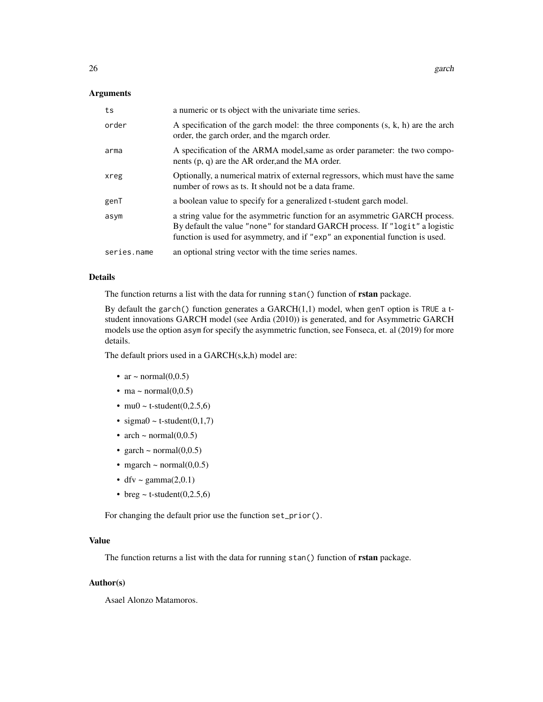#### Arguments

| ts          | a numeric or ts object with the univariate time series.                                                                                                                                                                                       |
|-------------|-----------------------------------------------------------------------------------------------------------------------------------------------------------------------------------------------------------------------------------------------|
| order       | A specification of the garch model: the three components $(s, k, h)$ are the arch<br>order, the garch order, and the mgarch order.                                                                                                            |
| arma        | A specification of the ARMA model, same as order parameter: the two compo-<br>nents $(p, q)$ are the AR order, and the MA order.                                                                                                              |
| xreg        | Optionally, a numerical matrix of external regressors, which must have the same<br>number of rows as ts. It should not be a data frame.                                                                                                       |
| genT        | a boolean value to specify for a generalized t-student garch model.                                                                                                                                                                           |
| asym        | a string value for the asymmetric function for an asymmetric GARCH process.<br>By default the value "none" for standard GARCH process. If "logit" a logistic<br>function is used for asymmetry, and if "exp" an exponential function is used. |
| series.name | an optional string vector with the time series names.                                                                                                                                                                                         |

#### Details

The function returns a list with the data for running stan() function of **rstan** package.

By default the garch() function generates a GARCH $(1,1)$  model, when genT option is TRUE a tstudent innovations GARCH model (see Ardia (2010)) is generated, and for Asymmetric GARCH models use the option asym for specify the asymmetric function, see Fonseca, et. al (2019) for more details.

The default priors used in a GARCH(s,k,h) model are:

- ar  $\sim$  normal $(0,0.5)$
- ma ~ normal $(0,0.5)$
- mu0 ~ t-student $(0,2.5,6)$
- sigma $0 \sim$  t-student $(0,1,7)$
- arch  $\sim$  normal(0,0.5)
- garch  $\sim$  normal(0,0.5)
- mgarch  $\sim$  normal $(0,0.5)$
- dfv ~ gamma $(2,0.1)$
- breg  $\sim$  t-student(0,2.5,6)

For changing the default prior use the function set\_prior().

### Value

The function returns a list with the data for running stan() function of **rstan** package.

### Author(s)

Asael Alonzo Matamoros.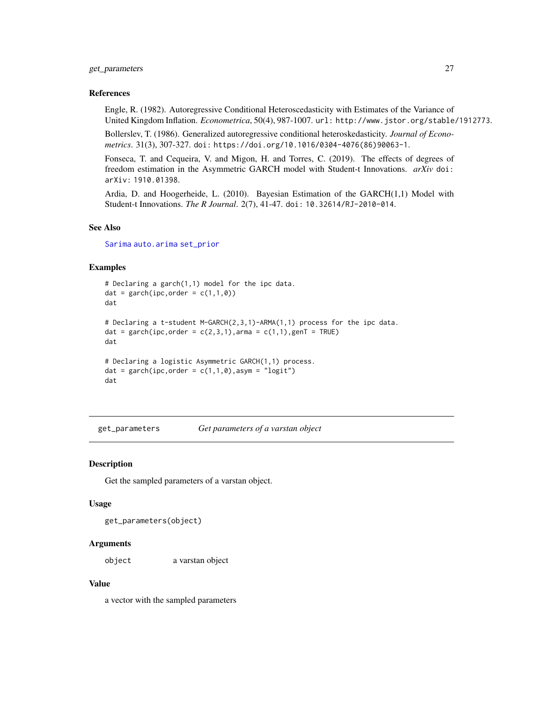### <span id="page-26-0"></span>get\_parameters 27

#### References

Engle, R. (1982). Autoregressive Conditional Heteroscedasticity with Estimates of the Variance of United Kingdom Inflation. *Econometrica*, 50(4), 987-1007. url: http://www.jstor.org/stable/1912773.

Bollerslev, T. (1986). Generalized autoregressive conditional heteroskedasticity. *Journal of Econometrics*. 31(3), 307-327. doi: https://doi.org/10.1016/0304-4076(86)90063-1.

Fonseca, T. and Cequeira, V. and Migon, H. and Torres, C. (2019). The effects of degrees of freedom estimation in the Asymmetric GARCH model with Student-t Innovations. *arXiv* doi: arXiv: 1910.01398.

Ardia, D. and Hoogerheide, L. (2010). Bayesian Estimation of the GARCH(1,1) Model with Student-t Innovations. *The R Journal*. 2(7), 41-47. doi: 10.32614/RJ-2010-014.

#### See Also

[Sarima](#page-58-1) [auto.arima](#page-0-0) [set\\_prior](#page-60-1)

### Examples

```
# Declaring a garch(1,1) model for the ipc data.
dat = garch(ipc, order = c(1,1,0))
dat
# Declaring a t-student M-GARCH(2,3,1)-ARMA(1,1) process for the ipc data.
dat = garch(ipc, order = c(2,3,1), arma = c(1,1), genT = TRUE)
dat
# Declaring a logistic Asymmetric GARCH(1,1) process.
dat = garch(ipc, order = c(1,1,0), asym = "logit")
dat
```
get\_parameters *Get parameters of a varstan object*

#### Description

Get the sampled parameters of a varstan object.

#### Usage

get\_parameters(object)

#### Arguments

object a varstan object

#### Value

a vector with the sampled parameters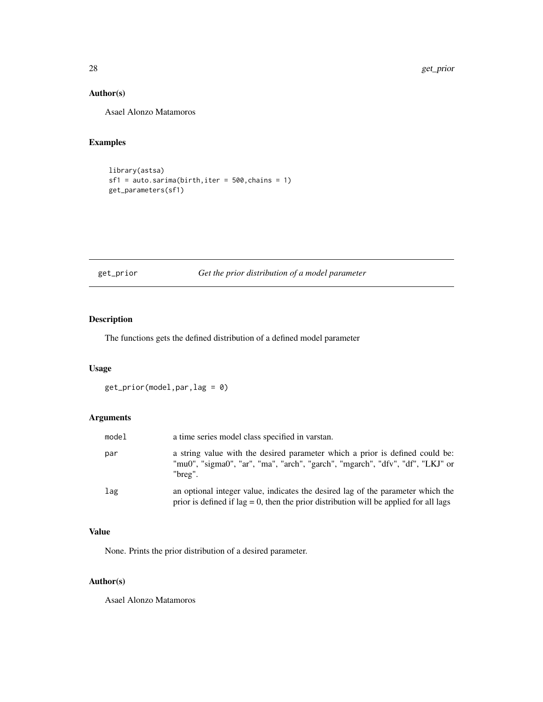### <span id="page-27-0"></span>Author(s)

Asael Alonzo Matamoros

### Examples

```
library(astsa)
sf1 = auto.sarima(birth,iter = 500,chains = 1)
get_parameters(sf1)
```
### get\_prior *Get the prior distribution of a model parameter*

### Description

The functions gets the defined distribution of a defined model parameter

### Usage

get\_prior(model,par,lag = 0)

### Arguments

| model | a time series model class specified in varstan.                                                                                                                              |
|-------|------------------------------------------------------------------------------------------------------------------------------------------------------------------------------|
| par   | a string value with the desired parameter which a prior is defined could be:<br>"mu0", "sigma0", "ar", "ma", "arch", "garch", "mgarch", "dfv", "df", "LKJ" or<br>"breg".     |
| lag   | an optional integer value, indicates the desired lag of the parameter which the<br>prior is defined if $\log = 0$ , then the prior distribution will be applied for all lags |

### Value

None. Prints the prior distribution of a desired parameter.

### Author(s)

Asael Alonzo Matamoros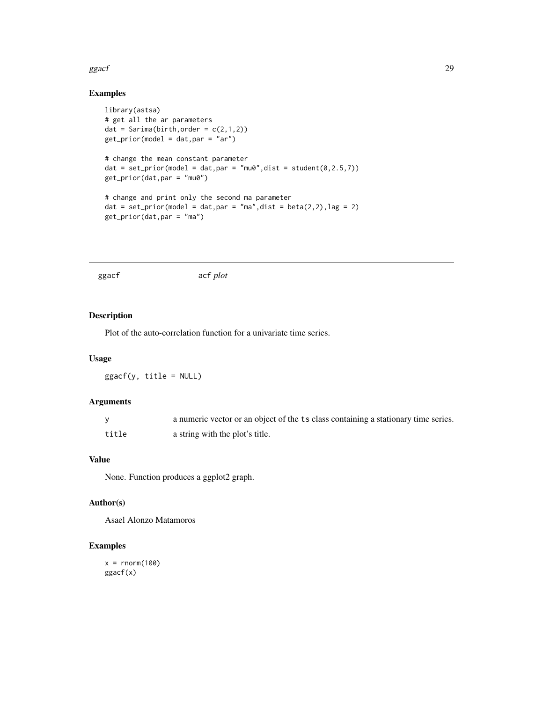#### <span id="page-28-0"></span>ggacf 29

## Examples

```
library(astsa)
# get all the ar parameters
dat = Sarima(birth, order = c(2,1,2))
get_prior(model = dat,par = "ar")
# change the mean constant parameter
dat = set\_prior(model = dat, par = "mu0", dist = student(0, 2.5, 7))get_prior(dat,par = "mu0")
# change and print only the second ma parameter
dat = set_prior(model = dat, par = "ma", dist = beta(2, 2), lag = 2)
get_prior(dat,par = "ma")
```
ggacf acf *plot*

#### Description

Plot of the auto-correlation function for a univariate time series.

### Usage

 $ggacf(y, title = NULL)$ 

#### Arguments

|       | a numeric vector or an object of the ts class containing a stationary time series. |
|-------|------------------------------------------------------------------------------------|
| title | a string with the plot's title.                                                    |

### Value

None. Function produces a ggplot2 graph.

### Author(s)

Asael Alonzo Matamoros

### Examples

 $x = rnorm(100)$ ggacf(x)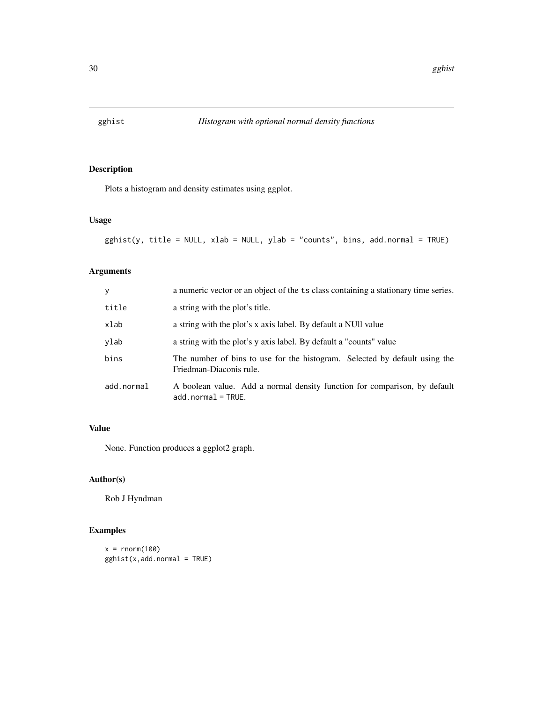<span id="page-29-0"></span>

Plots a histogram and density estimates using ggplot.

### Usage

```
gghist(y, title = NULL, xlab = NULL, ylab = "counts", bins, add.normal = TRUE)
```
### Arguments

| y          | a numeric vector or an object of the ts class containing a stationary time series.                    |
|------------|-------------------------------------------------------------------------------------------------------|
| title      | a string with the plot's title.                                                                       |
| xlab       | a string with the plot's x axis label. By default a NUII value                                        |
| ylab       | a string with the plot's y axis label. By default a "counts" value                                    |
| bins       | The number of bins to use for the histogram. Selected by default using the<br>Friedman-Diaconis rule. |
| add.normal | A boolean value. Add a normal density function for comparison, by default<br>$add.normal = TRUE.$     |

### Value

None. Function produces a ggplot2 graph.

### Author(s)

Rob J Hyndman

### Examples

```
x = rnorm(100)gghist(x,add.normal = TRUE)
```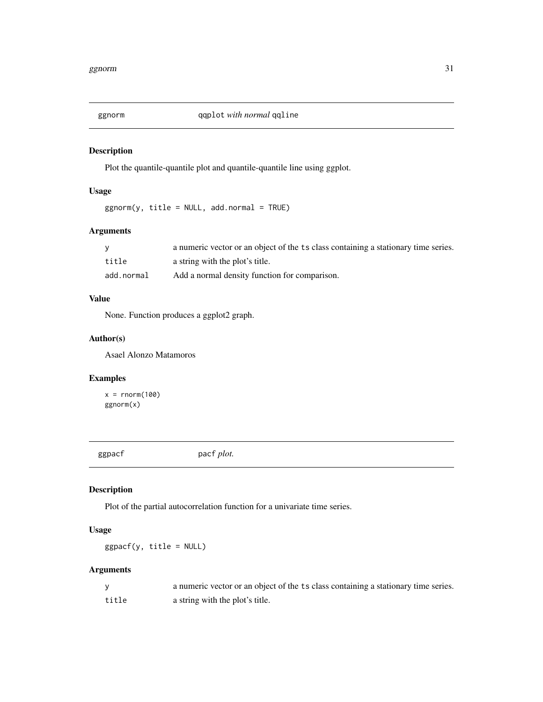<span id="page-30-0"></span>

Plot the quantile-quantile plot and quantile-quantile line using ggplot.

### Usage

 $ggnorm(y, title = NULL, add.normal = TRUE)$ 

### Arguments

|            | a numeric vector or an object of the ts class containing a stationary time series. |
|------------|------------------------------------------------------------------------------------|
| title      | a string with the plot's title.                                                    |
| add.normal | Add a normal density function for comparison.                                      |

### Value

None. Function produces a ggplot2 graph.

### Author(s)

Asael Alonzo Matamoros

### Examples

 $x = rnorm(100)$ ggnorm(x)

ggpacf pacf *plot*.

### Description

Plot of the partial autocorrelation function for a univariate time series.

### Usage

 $ggpacf(y, title = NULL)$ 

### Arguments

|       | a numeric vector or an object of the ts class containing a stationary time series. |
|-------|------------------------------------------------------------------------------------|
| title | a string with the plot's title.                                                    |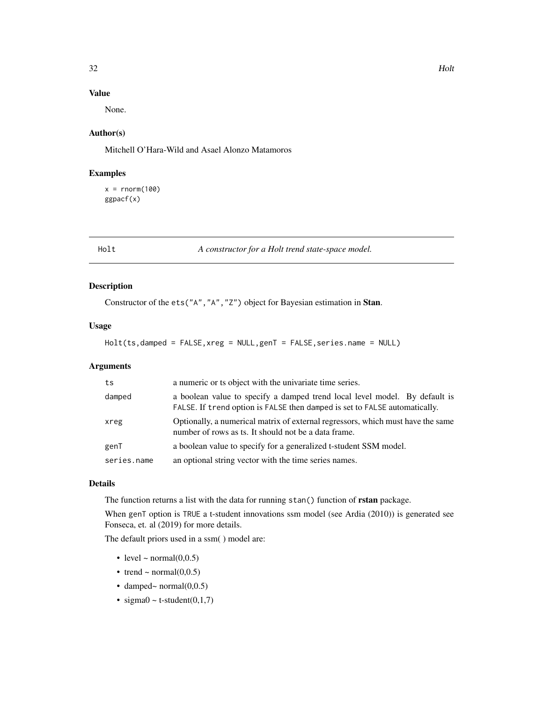### <span id="page-31-0"></span>Value

None.

### Author(s)

Mitchell O'Hara-Wild and Asael Alonzo Matamoros

### Examples

 $x = rnorm(100)$ ggpacf(x)

Holt *A constructor for a Holt trend state-space model.*

### Description

Constructor of the ets("A","A","Z") object for Bayesian estimation in Stan.

### Usage

```
Holt(ts,damped = FALSE,xreg = NULL,genT = FALSE,series.name = NULL)
```
### Arguments

| ts          | a numeric or ts object with the univariate time series.                                                                                                  |
|-------------|----------------------------------------------------------------------------------------------------------------------------------------------------------|
| damped      | a boolean value to specify a damped trend local level model. By default is<br>FALSE. If trend option is FALSE then damped is set to FALSE automatically. |
| xreg        | Optionally, a numerical matrix of external regressors, which must have the same<br>number of rows as ts. It should not be a data frame.                  |
| genT        | a boolean value to specify for a generalized t-student SSM model.                                                                                        |
| series.name | an optional string vector with the time series names.                                                                                                    |

### Details

The function returns a list with the data for running stan() function of rstan package.

When genT option is TRUE a t-student innovations ssm model (see Ardia (2010)) is generated see Fonseca, et. al (2019) for more details.

The default priors used in a ssm( ) model are:

- level  $\sim$  normal $(0,0.5)$
- trend ~ normal $(0,0.5)$
- damped~ normal $(0,0.5)$
- sigma $0 \sim t$ -student $(0,1,7)$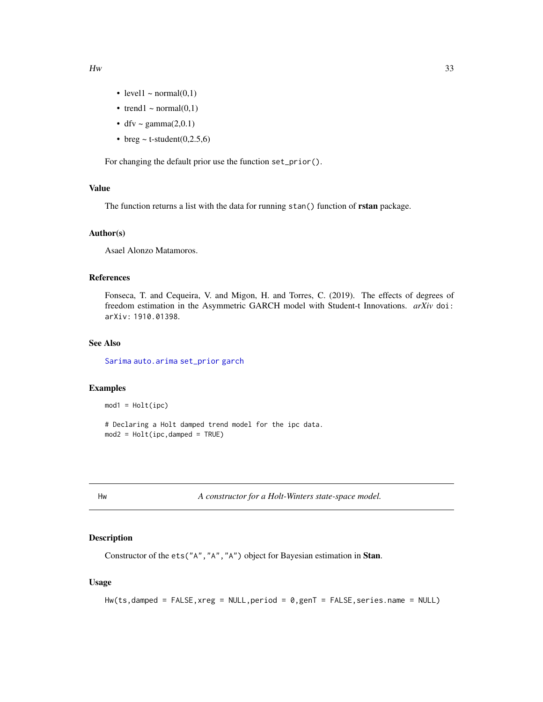- level1  $\sim$  normal(0,1)
- trend1 ~ normal $(0,1)$
- dfv ~ gamma $(2,0.1)$
- breg  $\sim$  t-student(0,2.5,6)

For changing the default prior use the function set\_prior().

#### Value

The function returns a list with the data for running stan() function of rstan package.

### Author(s)

Asael Alonzo Matamoros.

### References

Fonseca, T. and Cequeira, V. and Migon, H. and Torres, C. (2019). The effects of degrees of freedom estimation in the Asymmetric GARCH model with Student-t Innovations. *arXiv* doi: arXiv: 1910.01398.

### See Also

[Sarima](#page-58-1) [auto.arima](#page-0-0) [set\\_prior](#page-60-1) [garch](#page-24-1)

#### Examples

 $mod1 = Holt(ipc)$ 

# Declaring a Holt damped trend model for the ipc data. mod2 = Holt(ipc,damped = TRUE)

Hw *A constructor for a Holt-Winters state-space model.*

### Description

Constructor of the ets("A","A","A") object for Bayesian estimation in Stan.

#### Usage

```
Hw(ts,damped = FALSE,xreg = NULL,period = 0,genT = FALSE,series.name = NULL)
```
<span id="page-32-0"></span> $Hw$  33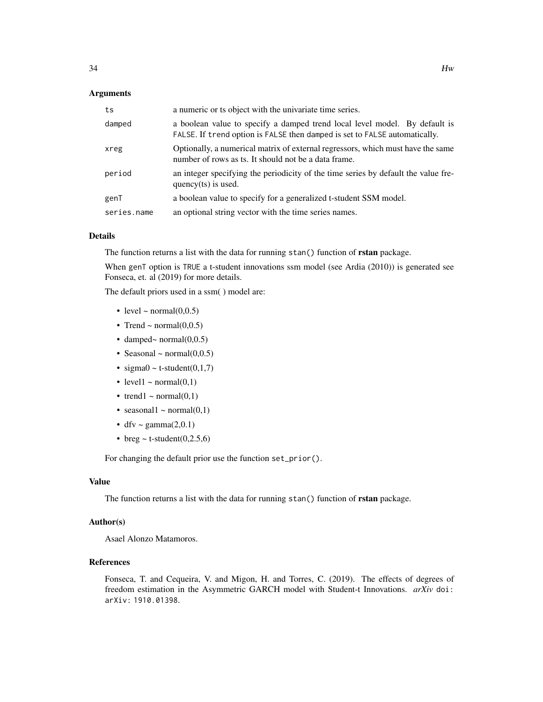#### **Arguments**

| ts          | a numeric or ts object with the univariate time series.                                                                                                  |
|-------------|----------------------------------------------------------------------------------------------------------------------------------------------------------|
| damped      | a boolean value to specify a damped trend local level model. By default is<br>FALSE. If trend option is FALSE then damped is set to FALSE automatically. |
| xreg        | Optionally, a numerical matrix of external regressors, which must have the same<br>number of rows as ts. It should not be a data frame.                  |
| period      | an integer specifying the periodicity of the time series by default the value fre-<br>quency $(ts)$ is used.                                             |
| genT        | a boolean value to specify for a generalized t-student SSM model.                                                                                        |
| series.name | an optional string vector with the time series names.                                                                                                    |

#### Details

The function returns a list with the data for running stan() function of rstan package.

When genT option is TRUE a t-student innovations ssm model (see Ardia (2010)) is generated see Fonseca, et. al (2019) for more details.

The default priors used in a ssm( ) model are:

- level  $\sim$  normal(0,0.5)
- Trend ~ normal $(0,0.5)$
- damped~ normal $(0,0.5)$
- Seasonal  $\sim$  normal $(0,0.5)$
- sigma $0 \sim$  t-student $(0,1,7)$
- level1  $\sim$  normal(0,1)
- trend1 ~ normal $(0,1)$
- seasonal1 ~ normal $(0,1)$
- dfv ~ gamma $(2,0.1)$
- breg  $\sim$  t-student(0,2.5,6)

For changing the default prior use the function set\_prior().

#### Value

The function returns a list with the data for running stan() function of **rstan** package.

### Author(s)

Asael Alonzo Matamoros.

#### References

Fonseca, T. and Cequeira, V. and Migon, H. and Torres, C. (2019). The effects of degrees of freedom estimation in the Asymmetric GARCH model with Student-t Innovations. *arXiv* doi: arXiv: 1910.01398.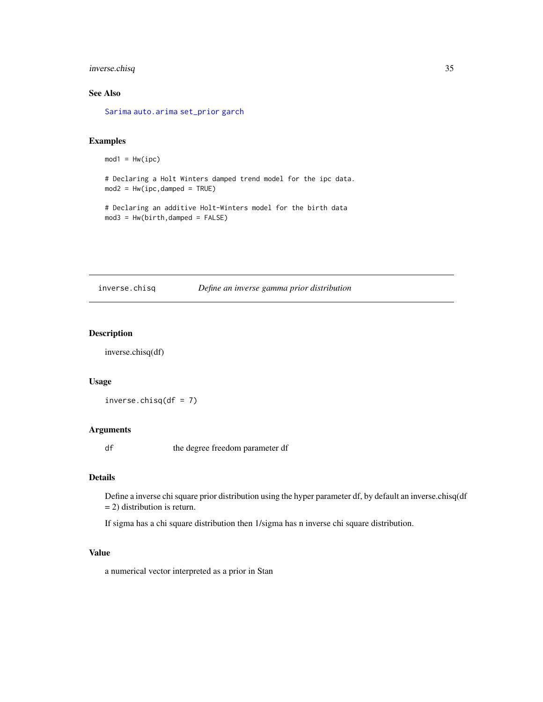### <span id="page-34-0"></span>inverse.chisq 35

### See Also

[Sarima](#page-58-1) [auto.arima](#page-0-0) [set\\_prior](#page-60-1) [garch](#page-24-1)

### Examples

```
mod1 = Hw(ipc)
```
# Declaring a Holt Winters damped trend model for the ipc data.  $mod2 = Hw(ipc, damped = TRUE)$ 

```
# Declaring an additive Holt-Winters model for the birth data
mod3 = Hw(birth, damped = FALSE)
```
inverse.chisq *Define an inverse gamma prior distribution*

#### Description

inverse.chisq(df)

### Usage

```
inverse.chisq(df = 7)
```
### Arguments

df the degree freedom parameter df

### Details

Define a inverse chi square prior distribution using the hyper parameter df, by default an inverse.chisq(df = 2) distribution is return.

If sigma has a chi square distribution then 1/sigma has n inverse chi square distribution.

### Value

a numerical vector interpreted as a prior in Stan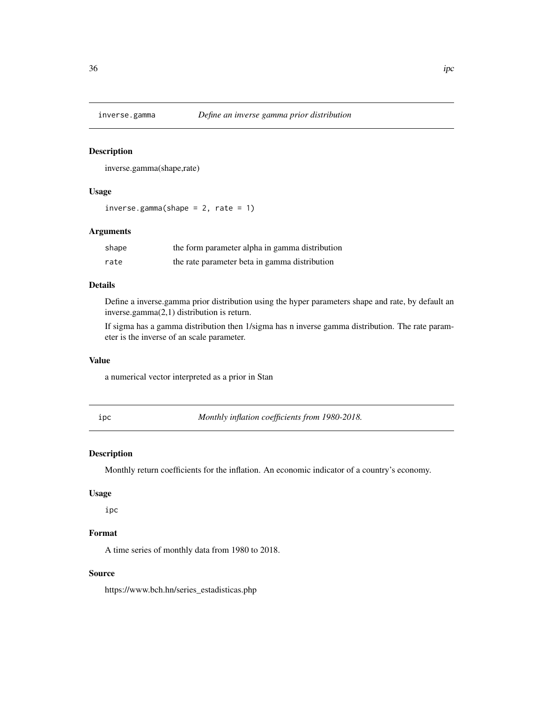<span id="page-35-0"></span>

inverse.gamma(shape,rate)

#### Usage

 $inverse.gamma(shape = 2, rate = 1)$ 

#### Arguments

| shape | the form parameter alpha in gamma distribution |
|-------|------------------------------------------------|
| rate  | the rate parameter beta in gamma distribution  |

### Details

Define a inverse.gamma prior distribution using the hyper parameters shape and rate, by default an inverse.gamma(2,1) distribution is return.

If sigma has a gamma distribution then 1/sigma has n inverse gamma distribution. The rate parameter is the inverse of an scale parameter.

#### Value

a numerical vector interpreted as a prior in Stan

ipc *Monthly inflation coefficients from 1980-2018.*

### Description

Monthly return coefficients for the inflation. An economic indicator of a country's economy.

#### Usage

ipc

### Format

A time series of monthly data from 1980 to 2018.

#### Source

https://www.bch.hn/series\_estadisticas.php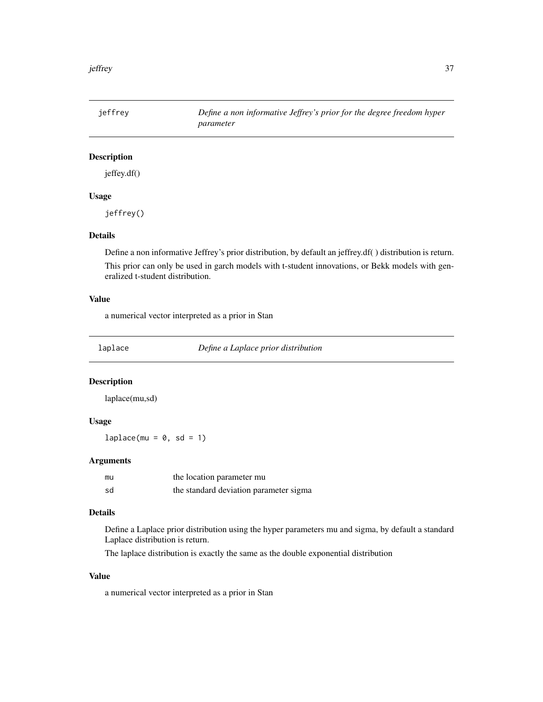jeffrey *Define a non informative Jeffrey's prior for the degree freedom hyper parameter*

# Description

jeffey.df()

### Usage

jeffrey()

### Details

Define a non informative Jeffrey's prior distribution, by default an jeffrey.df( ) distribution is return. This prior can only be used in garch models with t-student innovations, or Bekk models with generalized t-student distribution.

## Value

a numerical vector interpreted as a prior in Stan

laplace *Define a Laplace prior distribution*

## Description

laplace(mu,sd)

## Usage

 $laplace(mu = 0, sd = 1)$ 

### **Arguments**

| mu | the location parameter mu              |
|----|----------------------------------------|
| sd | the standard deviation parameter sigma |

## Details

Define a Laplace prior distribution using the hyper parameters mu and sigma, by default a standard Laplace distribution is return.

The laplace distribution is exactly the same as the double exponential distribution

# Value

a numerical vector interpreted as a prior in Stan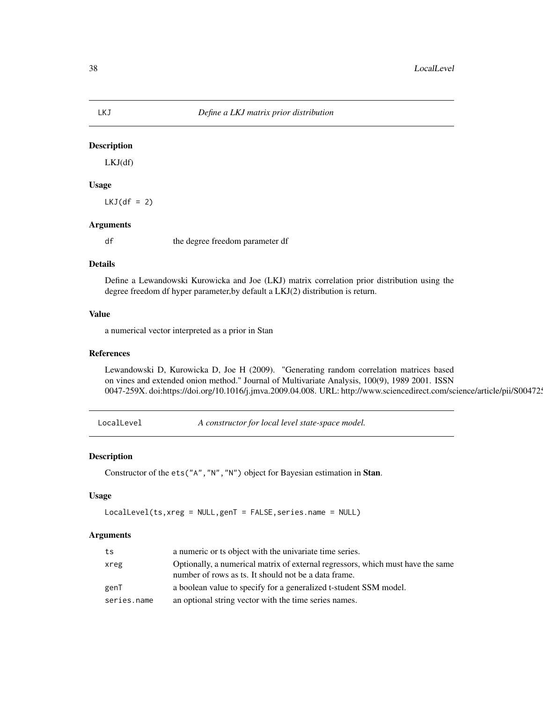# Description

LKJ(df)

# Usage

 $LKJ(df = 2)$ 

## Arguments

df the degree freedom parameter df

### Details

Define a Lewandowski Kurowicka and Joe (LKJ) matrix correlation prior distribution using the degree freedom df hyper parameter,by default a LKJ(2) distribution is return.

# Value

a numerical vector interpreted as a prior in Stan

### References

Lewandowski D, Kurowicka D, Joe H (2009). "Generating random correlation matrices based on vines and extended onion method." Journal of Multivariate Analysis, 100(9), 1989 2001. ISSN 0047-259X. doi:https://doi.org/10.1016/j.jmva.2009.04.008. URL: http://www.sciencedirect.com/science/article/pii/S00472.

LocalLevel *A constructor for local level state-space model.*

### Description

Constructor of the ets("A","N","N") object for Bayesian estimation in Stan.

## Usage

LocalLevel(ts,xreg = NULL,genT = FALSE,series.name = NULL)

### Arguments

| ts          | a numeric or ts object with the univariate time series.                                                                                 |
|-------------|-----------------------------------------------------------------------------------------------------------------------------------------|
| xreg        | Optionally, a numerical matrix of external regressors, which must have the same<br>number of rows as ts. It should not be a data frame. |
| genT        | a boolean value to specify for a generalized t-student SSM model.                                                                       |
| series.name | an optional string vector with the time series names.                                                                                   |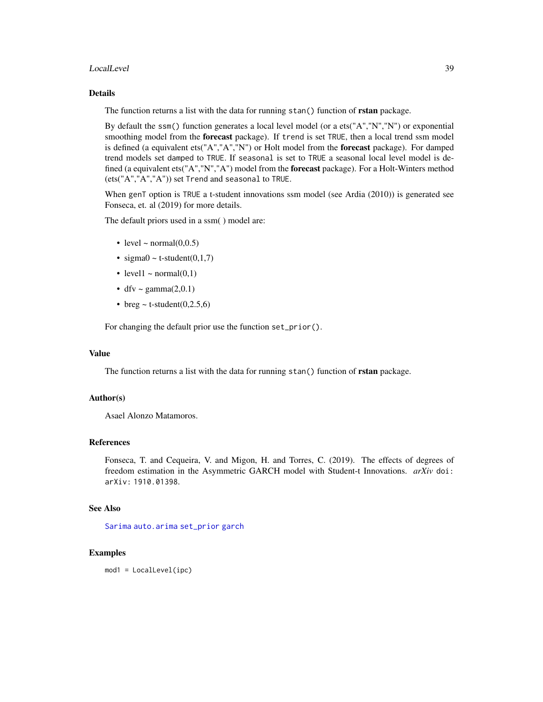#### LocalLevel 39

## Details

The function returns a list with the data for running stan() function of **rstan** package.

By default the ssm() function generates a local level model (or a ets("A","N","N") or exponential smoothing model from the forecast package). If trend is set TRUE, then a local trend ssm model is defined (a equivalent ets("A","A","N") or Holt model from the **forecast** package). For damped trend models set damped to TRUE. If seasonal is set to TRUE a seasonal local level model is defined (a equivalent ets("A","N","A") model from the forecast package). For a Holt-Winters method (ets("A","A","A")) set Trend and seasonal to TRUE.

When genT option is TRUE a t-student innovations ssm model (see Ardia (2010)) is generated see Fonseca, et. al (2019) for more details.

The default priors used in a ssm( ) model are:

- level  $\sim$  normal(0,0.5)
- sigma $0 \sim$  t-student $(0,1,7)$
- level1  $\sim$  normal(0,1)
- dfv ~ gamma $(2,0.1)$
- breg  $\sim$  t-student(0,2.5,6)

For changing the default prior use the function set\_prior().

### Value

The function returns a list with the data for running stan() function of **rstan** package.

## Author(s)

Asael Alonzo Matamoros.

### References

Fonseca, T. and Cequeira, V. and Migon, H. and Torres, C. (2019). The effects of degrees of freedom estimation in the Asymmetric GARCH model with Student-t Innovations. *arXiv* doi: arXiv: 1910.01398.

# See Also

[Sarima](#page-58-0) [auto.arima](#page-0-0) [set\\_prior](#page-60-0) [garch](#page-24-0)

### Examples

mod1 = LocalLevel(ipc)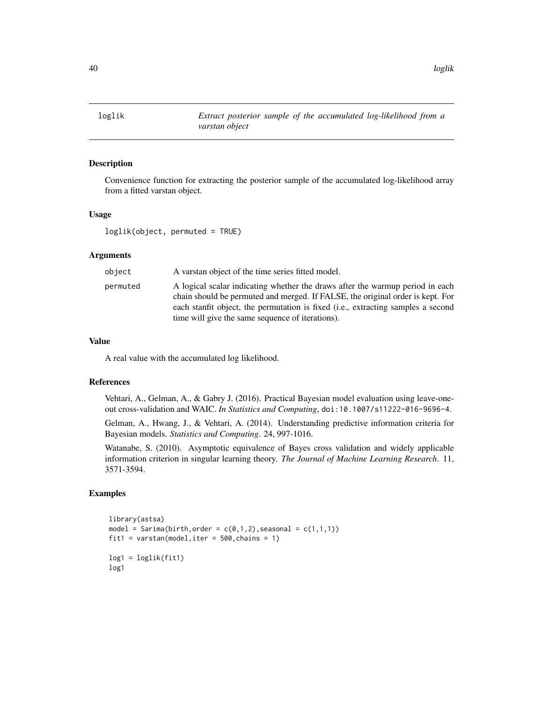loglik *Extract posterior sample of the accumulated log-likelihood from a varstan object*

### Description

Convenience function for extracting the posterior sample of the accumulated log-likelihood array from a fitted varstan object.

## Usage

loglik(object, permuted = TRUE)

### Arguments

| object   | A varstan object of the time series fitted model.                                                                                                                                                                                                                                                       |
|----------|---------------------------------------------------------------------------------------------------------------------------------------------------------------------------------------------------------------------------------------------------------------------------------------------------------|
| permuted | A logical scalar indicating whether the draws after the warmup period in each<br>chain should be permuted and merged. If FALSE, the original order is kept. For<br>each stanfit object, the permutation is fixed (i.e., extracting samples a second<br>time will give the same sequence of iterations). |

## Value

A real value with the accumulated log likelihood.

## References

Vehtari, A., Gelman, A., & Gabry J. (2016). Practical Bayesian model evaluation using leave-oneout cross-validation and WAIC. *In Statistics and Computing*, doi:10.1007/s11222-016-9696-4.

Gelman, A., Hwang, J., & Vehtari, A. (2014). Understanding predictive information criteria for Bayesian models. *Statistics and Computing*. 24, 997-1016.

Watanabe, S. (2010). Asymptotic equivalence of Bayes cross validation and widely applicable information criterion in singular learning theory. *The Journal of Machine Learning Research*. 11, 3571-3594.

### Examples

```
library(astsa)
model = Sarima(birth, order = c(0,1,2), seasonal = c(1,1,1))
fit1 = varstan(model, iter = 500, chains = 1)log1 = loglik(fit1)log1
```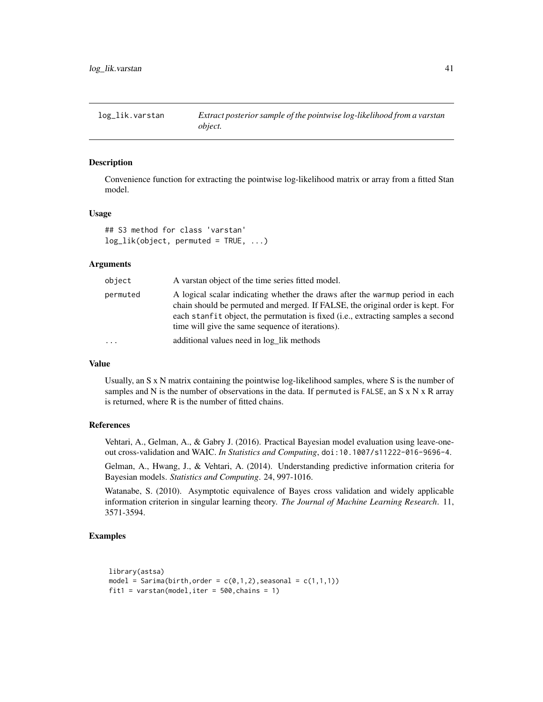#### Description

Convenience function for extracting the pointwise log-likelihood matrix or array from a fitted Stan model.

#### Usage

```
## S3 method for class 'varstan'
log\_lik(object, permuted = TRUE, ...)
```
### Arguments

| object   | A varstan object of the time series fitted model.                                                                                                                                                                                                                                                       |
|----------|---------------------------------------------------------------------------------------------------------------------------------------------------------------------------------------------------------------------------------------------------------------------------------------------------------|
| permuted | A logical scalar indicating whether the draws after the warmup period in each<br>chain should be permuted and merged. If FALSE, the original order is kept. For<br>each stanfit object, the permutation is fixed (i.e., extracting samples a second<br>time will give the same sequence of iterations). |
| .        | additional values need in log_lik methods                                                                                                                                                                                                                                                               |

## Value

Usually, an S x N matrix containing the pointwise log-likelihood samples, where S is the number of samples and N is the number of observations in the data. If permuted is FALSE, an S  $x$  N  $x$  R array is returned, where R is the number of fitted chains.

#### References

Vehtari, A., Gelman, A., & Gabry J. (2016). Practical Bayesian model evaluation using leave-oneout cross-validation and WAIC. *In Statistics and Computing*, doi:10.1007/s11222-016-9696-4.

Gelman, A., Hwang, J., & Vehtari, A. (2014). Understanding predictive information criteria for Bayesian models. *Statistics and Computing*. 24, 997-1016.

Watanabe, S. (2010). Asymptotic equivalence of Bayes cross validation and widely applicable information criterion in singular learning theory. *The Journal of Machine Learning Research*. 11, 3571-3594.

### Examples

```
library(astsa)
model = Sarima(birth, order = c(\emptyset,1,2), seasonal = c(1,1,1))
fit1 = varstan(model, iter = 500, chains = 1)
```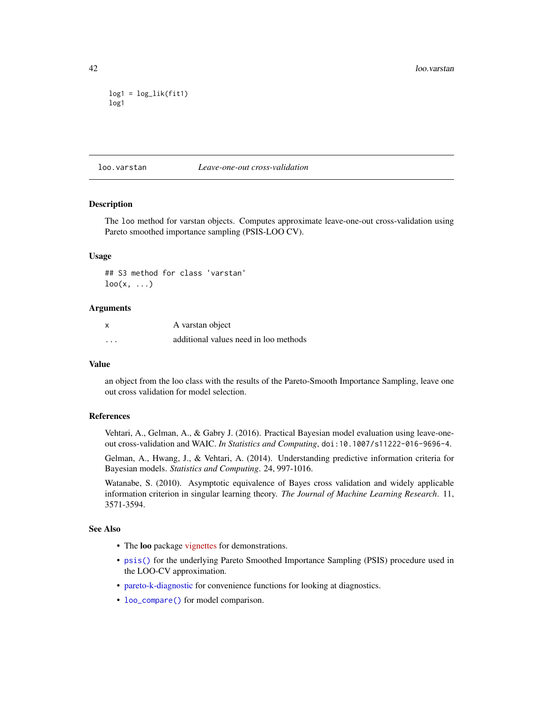```
log1 = log\_lik(fit1)log1
```
#### loo.varstan *Leave-one-out cross-validation*

# **Description**

The loo method for varstan objects. Computes approximate leave-one-out cross-validation using Pareto smoothed importance sampling (PSIS-LOO CV).

### Usage

## S3 method for class 'varstan'  $\text{loo}(x, \ldots)$ 

### Arguments

|          | A varstan object                      |
|----------|---------------------------------------|
| $\cdots$ | additional values need in loo methods |

### Value

an object from the loo class with the results of the Pareto-Smooth Importance Sampling, leave one out cross validation for model selection.

### References

Vehtari, A., Gelman, A., & Gabry J. (2016). Practical Bayesian model evaluation using leave-oneout cross-validation and WAIC. *In Statistics and Computing*, doi:10.1007/s11222-016-9696-4.

Gelman, A., Hwang, J., & Vehtari, A. (2014). Understanding predictive information criteria for Bayesian models. *Statistics and Computing*. 24, 997-1016.

Watanabe, S. (2010). Asymptotic equivalence of Bayes cross validation and widely applicable information criterion in singular learning theory. *The Journal of Machine Learning Research*. 11, 3571-3594.

### See Also

- The loo package [vignettes](https://mc-stan.org/loo/articles/index.html) for demonstrations.
- [psis\(\)](#page-0-0) for the underlying Pareto Smoothed Importance Sampling (PSIS) procedure used in the LOO-CV approximation.
- [pareto-k-diagnostic](#page-0-0) for convenience functions for looking at diagnostics.
- [loo\\_compare\(\)](#page-0-0) for model comparison.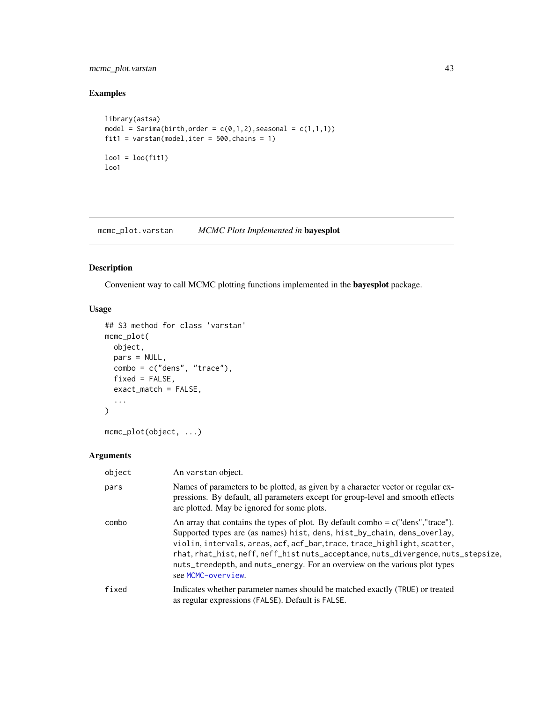# mcmc\_plot.varstan 43

# Examples

```
library(astsa)
model = Sarima(birth, order = c(0,1,2), seasonal = c(1,1,1))
fit1 = varstan(model, iter = 500, chains = 1)
loo1 = loo(fit1)loo1
```
mcmc\_plot.varstan *MCMC Plots Implemented in* bayesplot

# Description

Convenient way to call MCMC plotting functions implemented in the bayesplot package.

# Usage

```
## S3 method for class 'varstan'
mcmc_plot(
  object,
  pars = NULL,
  combo = c("dens", "trace"),
  fixed = FALSE,exact_match = FALSE,
  ...
\mathcal{L}
```

```
mcmc_plot(object, ...)
```
# Arguments

| object | An varstan object.                                                                                                                                                                                                                                                                                                                                                                                                                 |
|--------|------------------------------------------------------------------------------------------------------------------------------------------------------------------------------------------------------------------------------------------------------------------------------------------------------------------------------------------------------------------------------------------------------------------------------------|
| pars   | Names of parameters to be plotted, as given by a character vector or regular ex-<br>pressions. By default, all parameters except for group-level and smooth effects<br>are plotted. May be ignored for some plots.                                                                                                                                                                                                                 |
| combo  | An array that contains the types of plot. By default combo = $c("dens", "trace").$<br>Supported types are (as names) hist, dens, hist_by_chain, dens_overlay,<br>violin, intervals, areas, acf, acf_bar, trace, trace_highlight, scatter,<br>rhat, rhat_hist, neff, neff_hist nuts_acceptance, nuts_divergence, nuts_stepsize,<br>nuts_treedepth, and nuts_energy. For an overview on the various plot types<br>see MCMC-overview. |
| fixed  | Indicates whether parameter names should be matched exactly (TRUE) or treated<br>as regular expressions (FALSE). Default is FALSE.                                                                                                                                                                                                                                                                                                 |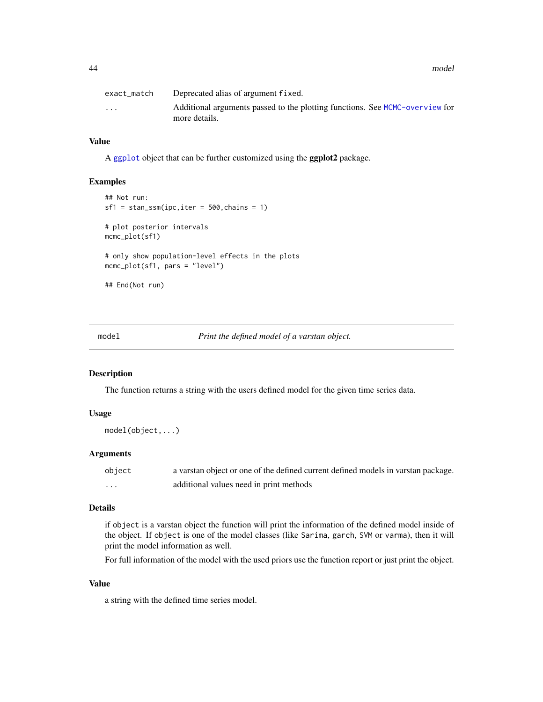44 model

| exact match | Deprecated alias of argument fixed.                                                           |
|-------------|-----------------------------------------------------------------------------------------------|
| $\cdots$    | Additional arguments passed to the plotting functions. See MCMC-overview for<br>more details. |

# Value

A [ggplot](#page-0-0) object that can be further customized using the ggplot2 package.

### Examples

```
## Not run:
sf1 = stan_ssm(ipc,iter = 500, chains = 1)# plot posterior intervals
mcmc_plot(sf1)
# only show population-level effects in the plots
mcmc_plot(sf1, pars = "level")
## End(Not run)
```
model *Print the defined model of a varstan object.*

### Description

The function returns a string with the users defined model for the given time series data.

# Usage

```
model(object,...)
```
### Arguments

| object | a varstan object or one of the defined current defined models in varstan package. |
|--------|-----------------------------------------------------------------------------------|
| .      | additional values need in print methods                                           |

## Details

if object is a varstan object the function will print the information of the defined model inside of the object. If object is one of the model classes (like Sarima, garch, SVM or varma), then it will print the model information as well.

For full information of the model with the used priors use the function report or just print the object.

# Value

a string with the defined time series model.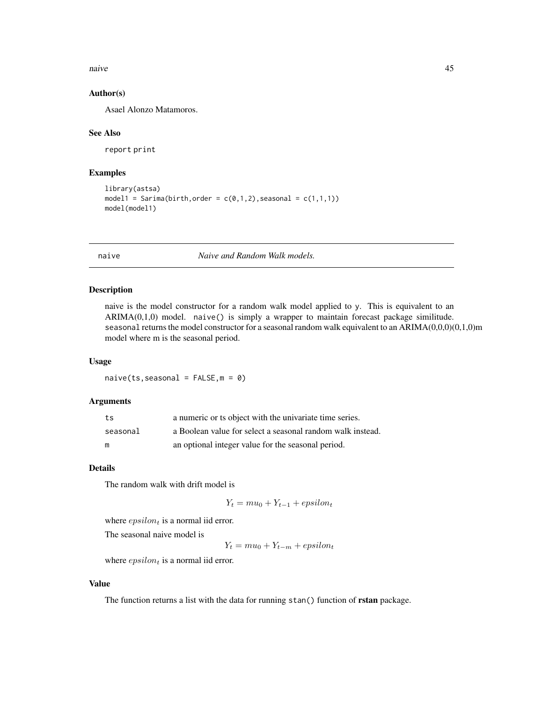naive and the set of the set of the set of the set of the set of the set of the set of the set of the set of the set of the set of the set of the set of the set of the set of the set of the set of the set of the set of the

## Author(s)

Asael Alonzo Matamoros.

#### See Also

report print

### Examples

```
library(astsa)
model1 = Sarima(birth, order = c(0,1,2), seasonal = c(1,1,1))
model(model1)
```
naive *Naive and Random Walk models.*

### Description

naive is the model constructor for a random walk model applied to y. This is equivalent to an ARIMA(0,1,0) model. naive() is simply a wrapper to maintain forecast package similitude. seasonal returns the model constructor for a seasonal random walk equivalent to an ARIMA(0,0,0)(0,1,0)m model where m is the seasonal period.

## Usage

 $naive(ts,seasonal = FALSE, m = 0)$ 

#### Arguments

| ts       | a numeric or ts object with the univariate time series.    |
|----------|------------------------------------------------------------|
| seasonal | a Boolean value for select a seasonal random walk instead. |
| m        | an optional integer value for the seasonal period.         |

## Details

The random walk with drift model is

$$
Y_t = mu_0 + Y_{t-1} + epsilon_t
$$

where  $epsilon$  is a normal iid error.

The seasonal naive model is

 $Y_t = mu_0 + Y_{t-m} + epsilon_t$ 

where  $epsilon$  is a normal iid error.

## Value

The function returns a list with the data for running stan() function of rstan package.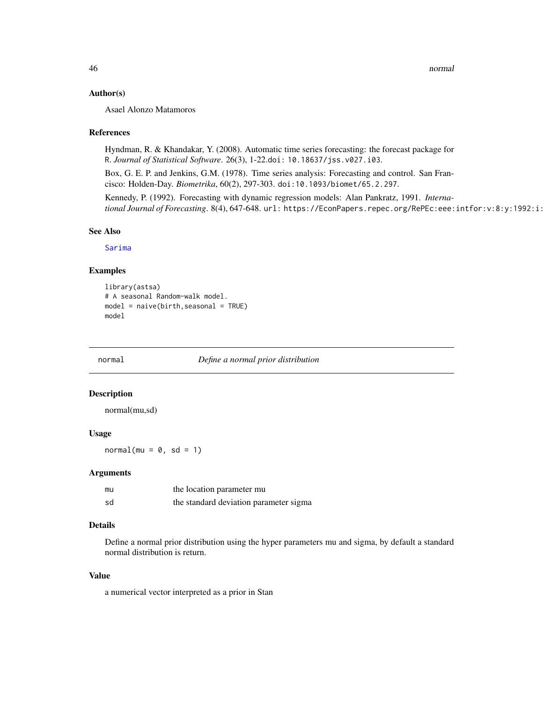### Author(s)

Asael Alonzo Matamoros

#### References

Hyndman, R. & Khandakar, Y. (2008). Automatic time series forecasting: the forecast package for R. *Journal of Statistical Software*. 26(3), 1-22.doi: 10.18637/jss.v027.i03.

Box, G. E. P. and Jenkins, G.M. (1978). Time series analysis: Forecasting and control. San Francisco: Holden-Day. *Biometrika*, 60(2), 297-303. doi:10.1093/biomet/65.2.297.

Kennedy, P. (1992). Forecasting with dynamic regression models: Alan Pankratz, 1991. *International Journal of Forecasting*. 8(4), 647-648. url: https://EconPapers.repec.org/RePEc:eee:intfor:v:8:y:1992:i:

# See Also

[Sarima](#page-58-0)

### Examples

```
library(astsa)
# A seasonal Random-walk model.
model = naive(birth, seasonal = TRUE)model
```
normal *Define a normal prior distribution*

# Description

normal(mu,sd)

# Usage

 $normal(mu = 0, sd = 1)$ 

## Arguments

| mu | the location parameter mu              |
|----|----------------------------------------|
| sd | the standard deviation parameter sigma |

### Details

Define a normal prior distribution using the hyper parameters mu and sigma, by default a standard normal distribution is return.

#### Value

a numerical vector interpreted as a prior in Stan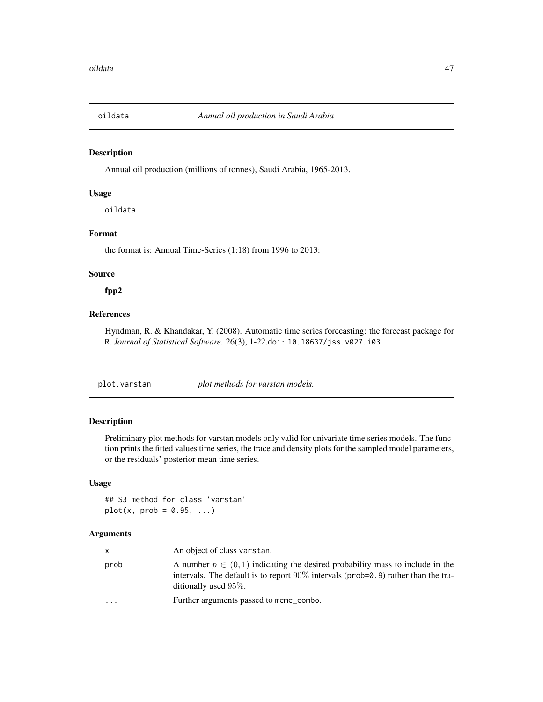# Description

Annual oil production (millions of tonnes), Saudi Arabia, 1965-2013.

### Usage

oildata

## Format

the format is: Annual Time-Series (1:18) from 1996 to 2013:

# Source

# fpp2

# References

Hyndman, R. & Khandakar, Y. (2008). Automatic time series forecasting: the forecast package for R. *Journal of Statistical Software*. 26(3), 1-22.doi: 10.18637/jss.v027.i03

plot.varstan *plot methods for varstan models.*

### Description

Preliminary plot methods for varstan models only valid for univariate time series models. The function prints the fitted values time series, the trace and density plots for the sampled model parameters, or the residuals' posterior mean time series.

### Usage

## S3 method for class 'varstan'  $plot(x, prob = 0.95, ...)$ 

#### Arguments

| $\mathsf{x}$            | An object of class varstan.                                                                                                                                                                           |
|-------------------------|-------------------------------------------------------------------------------------------------------------------------------------------------------------------------------------------------------|
| prob                    | A number $p \in (0, 1)$ indicating the desired probability mass to include in the<br>intervals. The default is to report $90\%$ intervals (prob=0.9) rather than the tra-<br>ditionally used $95\%$ . |
| $\cdot$ $\cdot$ $\cdot$ | Further arguments passed to mcmc_combo.                                                                                                                                                               |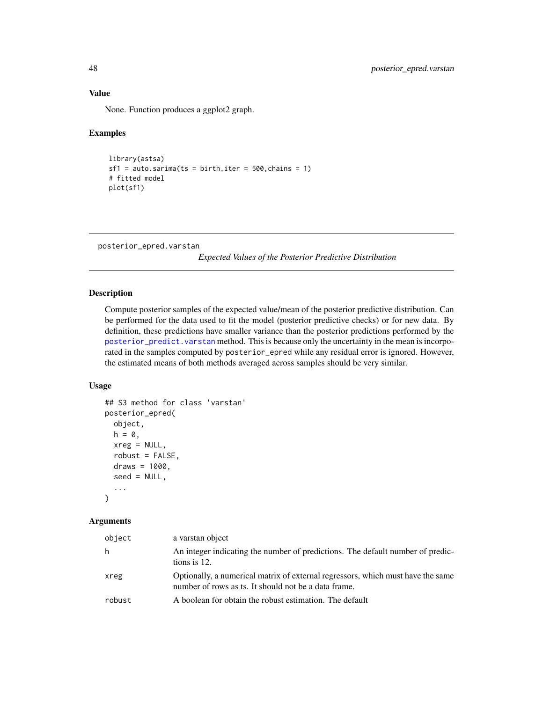# Value

None. Function produces a ggplot2 graph.

## Examples

```
library(astsa)
sf1 = auto.sarima(ts = birth, iter = 500, chains = 1)# fitted model
plot(sf1)
```
posterior\_epred.varstan

*Expected Values of the Posterior Predictive Distribution*

# Description

Compute posterior samples of the expected value/mean of the posterior predictive distribution. Can be performed for the data used to fit the model (posterior predictive checks) or for new data. By definition, these predictions have smaller variance than the posterior predictions performed by the [posterior\\_predict.varstan](#page-49-0) method. This is because only the uncertainty in the mean is incorporated in the samples computed by posterior\_epred while any residual error is ignored. However, the estimated means of both methods averaged across samples should be very similar.

### Usage

```
## S3 method for class 'varstan'
posterior_epred(
 object,
 h = 0,
 xreg = NULL,
  robust = FALSE,draws = 1000,
  seed = NULL,
  ...
)
```
#### **Arguments**

| object | a varstan object                                                                                                                        |
|--------|-----------------------------------------------------------------------------------------------------------------------------------------|
| h      | An integer indicating the number of predictions. The default number of predic-<br>tions is 12.                                          |
| xreg   | Optionally, a numerical matrix of external regressors, which must have the same<br>number of rows as ts. It should not be a data frame. |
| robust | A boolean for obtain the robust estimation. The default                                                                                 |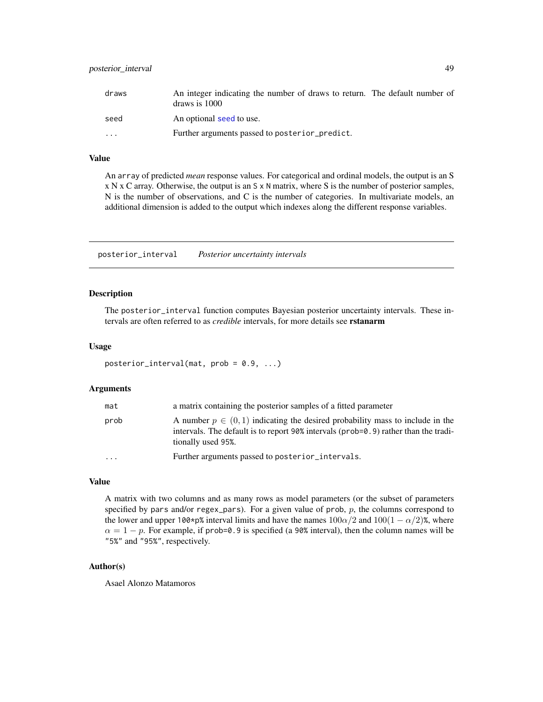# posterior\_interval 49

| draws    | An integer indicating the number of draws to return. The default number of<br>draws is 1000 |  |
|----------|---------------------------------------------------------------------------------------------|--|
| seed     | An optional seed to use.                                                                    |  |
| $\cdots$ | Further arguments passed to posterior_predict.                                              |  |

### Value

An array of predicted *mean* response values. For categorical and ordinal models, the output is an S x N x C array. Otherwise, the output is an S x N matrix, where S is the number of posterior samples, N is the number of observations, and C is the number of categories. In multivariate models, an additional dimension is added to the output which indexes along the different response variables.

posterior\_interval *Posterior uncertainty intervals*

### Description

The posterior\_interval function computes Bayesian posterior uncertainty intervals. These intervals are often referred to as *credible* intervals, for more details see rstanarm

### Usage

```
posterior_interval(mat, prob = 0.9, ...)
```
#### Arguments

| mat      | a matrix containing the posterior samples of a fitted parameter                                                                                                                                   |
|----------|---------------------------------------------------------------------------------------------------------------------------------------------------------------------------------------------------|
| prob     | A number $p \in (0,1)$ indicating the desired probability mass to include in the<br>intervals. The default is to report 90% intervals ( $prob=0.9$ ) rather than the tradi-<br>tionally used 95%. |
| $\cdots$ | Further arguments passed to posterior_intervals.                                                                                                                                                  |

#### Value

A matrix with two columns and as many rows as model parameters (or the subset of parameters specified by pars and/or regex\_pars). For a given value of prob,  $p$ , the columns correspond to the lower and upper 100\*p% interval limits and have the names  $100\alpha/2$  and  $100(1 - \alpha/2)$ %, where  $\alpha = 1 - p$ . For example, if prob=0.9 is specified (a 90% interval), then the column names will be "5%" and "95%", respectively.

## Author(s)

Asael Alonzo Matamoros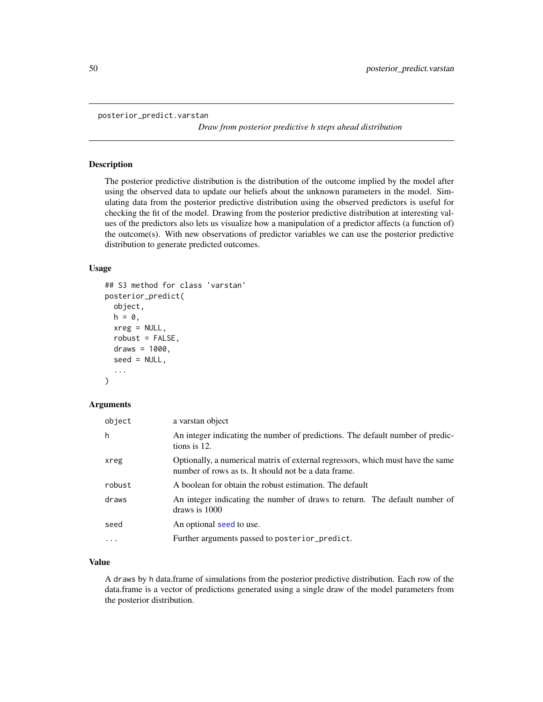<span id="page-49-0"></span>posterior\_predict.varstan

*Draw from posterior predictive h steps ahead distribution*

#### <span id="page-49-1"></span>Description

The posterior predictive distribution is the distribution of the outcome implied by the model after using the observed data to update our beliefs about the unknown parameters in the model. Simulating data from the posterior predictive distribution using the observed predictors is useful for checking the fit of the model. Drawing from the posterior predictive distribution at interesting values of the predictors also lets us visualize how a manipulation of a predictor affects (a function of) the outcome(s). With new observations of predictor variables we can use the posterior predictive distribution to generate predicted outcomes.

### Usage

```
## S3 method for class 'varstan'
posterior_predict(
  object,
 h = 0,
  xreg = NULL,robust = FALSE,draws = 1000,
  seed = NULL,
  ...
)
```
#### Arguments

| object   | a varstan object                                                                                                                        |
|----------|-----------------------------------------------------------------------------------------------------------------------------------------|
| h        | An integer indicating the number of predictions. The default number of predic-<br>tions is 12.                                          |
| xreg     | Optionally, a numerical matrix of external regressors, which must have the same<br>number of rows as ts. It should not be a data frame. |
| robust   | A boolean for obtain the robust estimation. The default                                                                                 |
| draws    | An integer indicating the number of draws to return. The default number of<br>draws is 1000                                             |
| seed     | An optional seed to use.                                                                                                                |
| $\cdots$ | Further arguments passed to posterior_predict.                                                                                          |

# Value

A draws by h data.frame of simulations from the posterior predictive distribution. Each row of the data.frame is a vector of predictions generated using a single draw of the model parameters from the posterior distribution.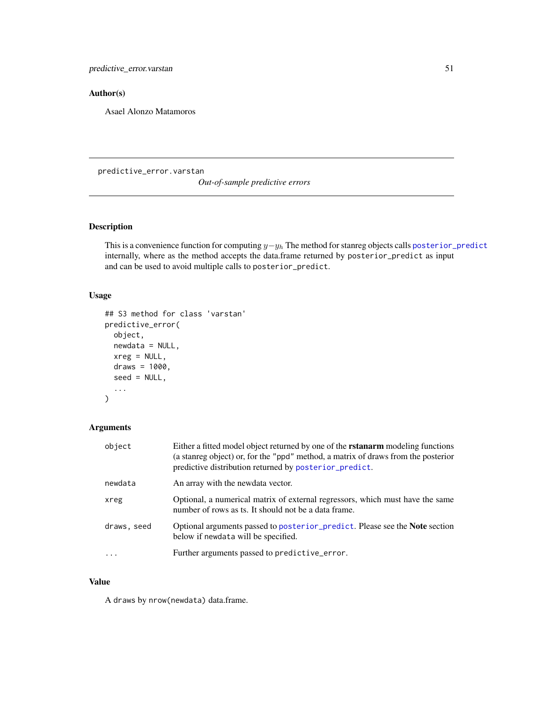# Author(s)

Asael Alonzo Matamoros

predictive\_error.varstan

*Out-of-sample predictive errors*

## Description

This is a convenience function for computing  $y-y_h$  The method for stanreg objects calls [posterior\\_predict](#page-49-1) internally, where as the method accepts the data.frame returned by posterior\_predict as input and can be used to avoid multiple calls to posterior\_predict.

# Usage

```
## S3 method for class 'varstan'
predictive_error(
 object,
 newdata = NULL,
 xreg = NULL,
 draws = 1000,
  seed = NULL,
  ...
)
```
# Arguments

| object      | Either a fitted model object returned by one of the <b>rstanarm</b> modeling functions<br>(a stanreg object) or, for the "ppd" method, a matrix of draws from the posterior<br>predictive distribution returned by posterior_predict. |
|-------------|---------------------------------------------------------------------------------------------------------------------------------------------------------------------------------------------------------------------------------------|
| newdata     | An array with the newdata vector.                                                                                                                                                                                                     |
| xreg        | Optional, a numerical matrix of external regressors, which must have the same<br>number of rows as ts. It should not be a data frame.                                                                                                 |
| draws, seed | Optional arguments passed to posterior_predict. Please see the <b>Note</b> section<br>below if newdata will be specified.                                                                                                             |
| $\ddots$ .  | Further arguments passed to predictive_error.                                                                                                                                                                                         |

# Value

A draws by nrow(newdata) data.frame.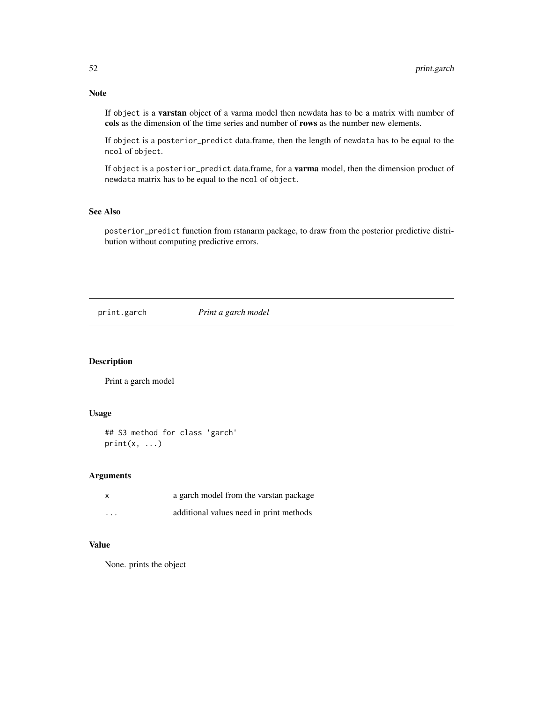If object is a varstan object of a varma model then newdata has to be a matrix with number of cols as the dimension of the time series and number of rows as the number new elements.

If object is a posterior\_predict data.frame, then the length of newdata has to be equal to the ncol of object.

If object is a posterior\_predict data.frame, for a varma model, then the dimension product of newdata matrix has to be equal to the ncol of object.

# See Also

posterior\_predict function from rstanarm package, to draw from the posterior predictive distribution without computing predictive errors.

print.garch *Print a garch model*

# Description

Print a garch model

### Usage

```
## S3 method for class 'garch'
print(x, \ldots)
```
## Arguments

|                         | a garch model from the varstan package  |
|-------------------------|-----------------------------------------|
| $\cdot$ $\cdot$ $\cdot$ | additional values need in print methods |

### Value

None. prints the object

# Note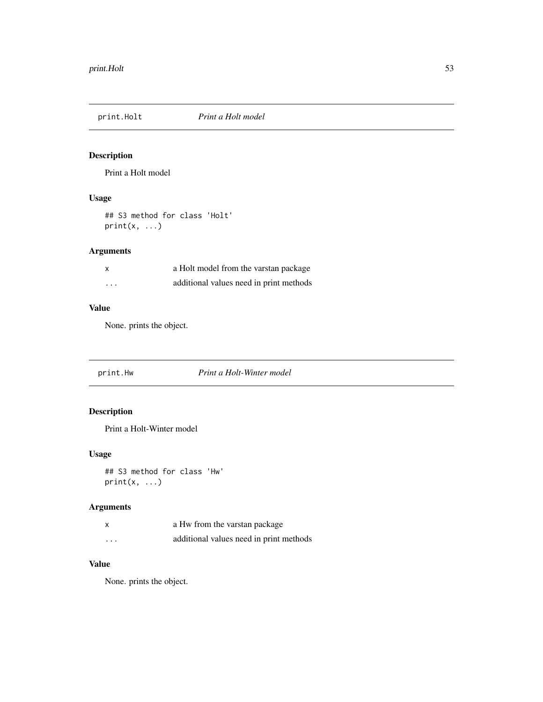# Description

Print a Holt model

# Usage

## S3 method for class 'Holt'  $print(x, \ldots)$ 

# Arguments

| X                       | a Holt model from the varstan package   |
|-------------------------|-----------------------------------------|
| $\cdot$ $\cdot$ $\cdot$ | additional values need in print methods |

# Value

None. prints the object.

print.Hw *Print a Holt-Winter model*

# Description

Print a Holt-Winter model

# Usage

## S3 method for class 'Hw' print(x, ...)

# Arguments

| X        | a Hw from the varstan package           |
|----------|-----------------------------------------|
| $\cdots$ | additional values need in print methods |

# Value

None. prints the object.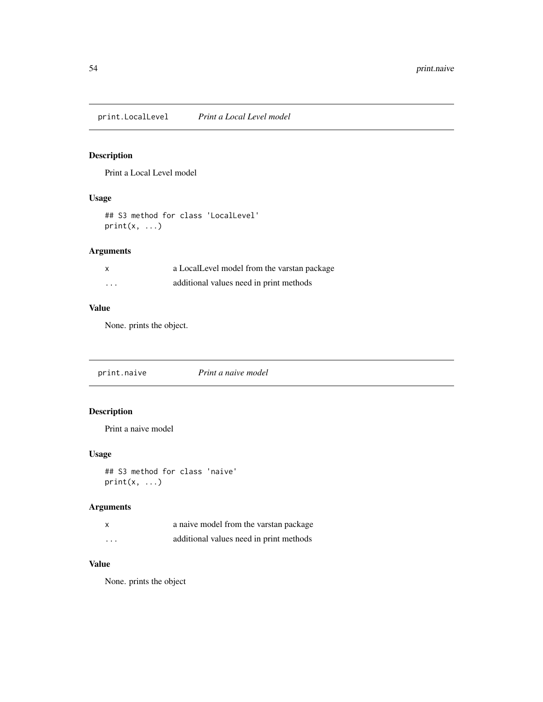print.LocalLevel *Print a Local Level model*

# Description

Print a Local Level model

# Usage

```
## S3 method for class 'LocalLevel'
print(x, \ldots)
```
# Arguments

|          | a LocalLevel model from the varstan package |
|----------|---------------------------------------------|
| $\cdots$ | additional values need in print methods     |

# Value

None. prints the object.

| print.naive | Print a naive model |  |
|-------------|---------------------|--|
|-------------|---------------------|--|

# Description

Print a naive model

# Usage

```
## S3 method for class 'naive'
print(x, ...)
```
# Arguments

| $\boldsymbol{\mathsf{x}}$ | a naive model from the varstan package  |
|---------------------------|-----------------------------------------|
| $\cdots$                  | additional values need in print methods |

## Value

None. prints the object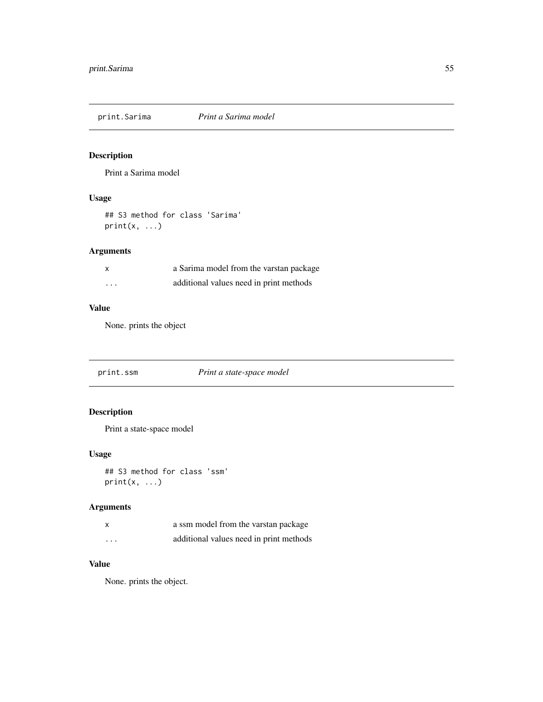print.Sarima *Print a Sarima model*

# Description

Print a Sarima model

# Usage

## S3 method for class 'Sarima'  $print(x, \ldots)$ 

# Arguments

| X        | a Sarima model from the varstan package |
|----------|-----------------------------------------|
| $\cdots$ | additional values need in print methods |

# Value

None. prints the object

print.ssm *Print a state-space model*

# Description

Print a state-space model

# Usage

```
## S3 method for class 'ssm'
print(x, \ldots)
```
# Arguments

| X        | a ssm model from the varstan package    |
|----------|-----------------------------------------|
| $\cdots$ | additional values need in print methods |

## Value

None. prints the object.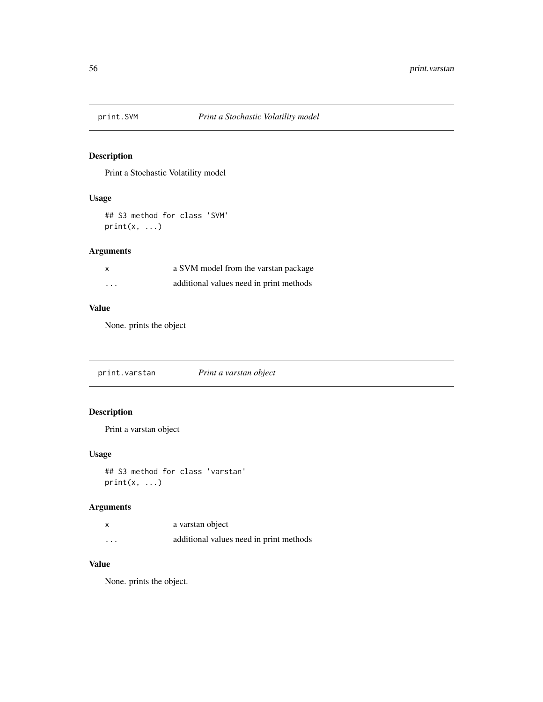# Description

Print a Stochastic Volatility model

### Usage

## S3 method for class 'SVM'  $print(x, \ldots)$ 

# Arguments

| X        | a SVM model from the varstan package    |
|----------|-----------------------------------------|
| $\cdots$ | additional values need in print methods |

# Value

None. prints the object

print.varstan *Print a varstan object*

# Description

Print a varstan object

## Usage

```
## S3 method for class 'varstan'
print(x, \ldots)
```
# Arguments

| $\boldsymbol{\mathsf{x}}$ | a varstan object                        |
|---------------------------|-----------------------------------------|
| $\cdots$                  | additional values need in print methods |

# Value

None. prints the object.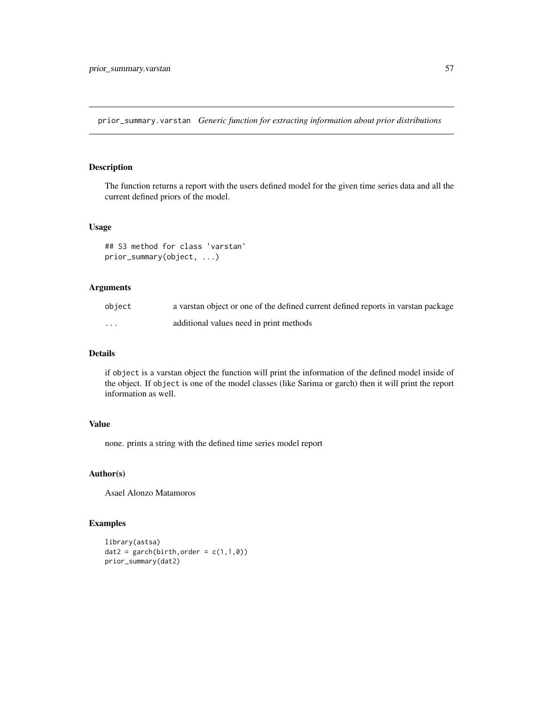prior\_summary.varstan *Generic function for extracting information about prior distributions*

## Description

The function returns a report with the users defined model for the given time series data and all the current defined priors of the model.

#### Usage

```
## S3 method for class 'varstan'
prior_summary(object, ...)
```
# Arguments

| object | a varstan object or one of the defined current defined reports in varstan package |
|--------|-----------------------------------------------------------------------------------|
| .      | additional values need in print methods                                           |

## Details

if object is a varstan object the function will print the information of the defined model inside of the object. If object is one of the model classes (like Sarima or garch) then it will print the report information as well.

## Value

none. prints a string with the defined time series model report

# Author(s)

Asael Alonzo Matamoros

## Examples

```
library(astsa)
dat2 = garch(birth, order = c(1,1,0))prior_summary(dat2)
```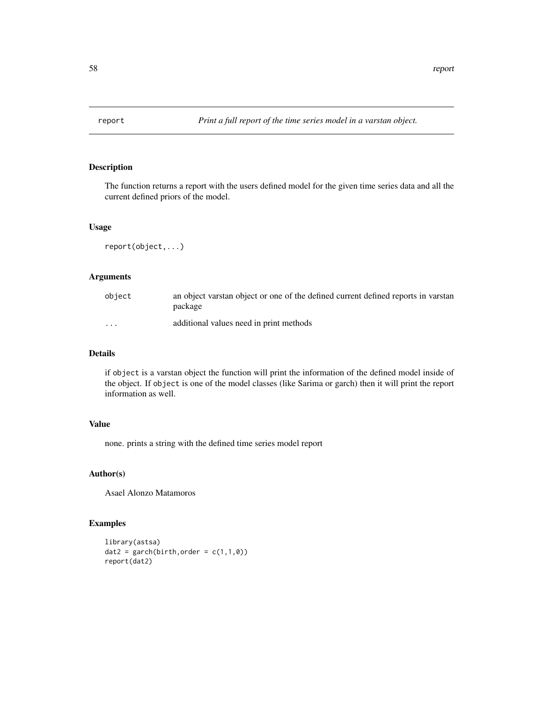## Description

The function returns a report with the users defined model for the given time series data and all the current defined priors of the model.

#### Usage

report(object,...)

# Arguments

| obiect | an object varstan object or one of the defined current defined reports in varstan<br>package |
|--------|----------------------------------------------------------------------------------------------|
| .      | additional values need in print methods                                                      |

## Details

if object is a varstan object the function will print the information of the defined model inside of the object. If object is one of the model classes (like Sarima or garch) then it will print the report information as well.

### Value

none. prints a string with the defined time series model report

# Author(s)

Asael Alonzo Matamoros

## Examples

```
library(astsa)
dat2 = garch(birth, order = c(1,1,0))report(dat2)
```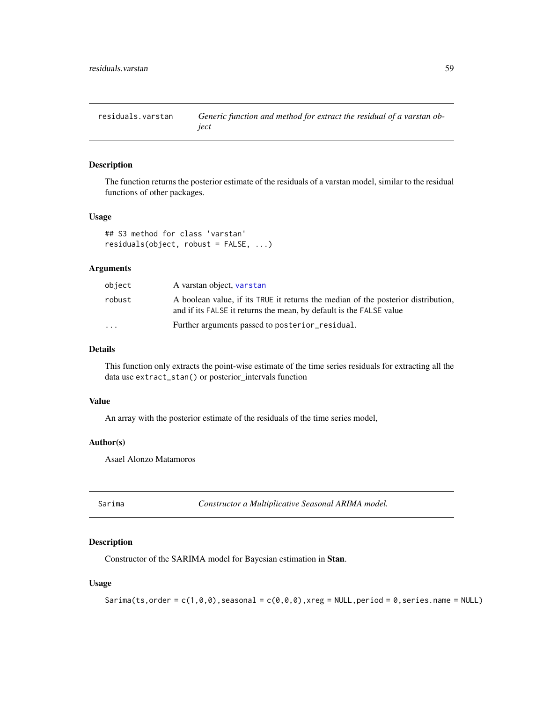residuals.varstan *Generic function and method for extract the residual of a varstan object*

#### Description

The function returns the posterior estimate of the residuals of a varstan model, similar to the residual functions of other packages.

#### Usage

```
## S3 method for class 'varstan'
residuals(object, robust = FALSE, ...)
```
## Arguments

| object                  | A varstan object, varstan                                                                                                                                |
|-------------------------|----------------------------------------------------------------------------------------------------------------------------------------------------------|
| robust                  | A boolean value, if its TRUE it returns the median of the posterior distribution,<br>and if its FALSE it returns the mean, by default is the FALSE value |
| $\cdot$ $\cdot$ $\cdot$ | Further arguments passed to posterior_residual.                                                                                                          |

## Details

This function only extracts the point-wise estimate of the time series residuals for extracting all the data use extract\_stan() or posterior\_intervals function

### Value

An array with the posterior estimate of the residuals of the time series model,

## Author(s)

Asael Alonzo Matamoros

<span id="page-58-0"></span>

| ۵ar |  | ıma |  |
|-----|--|-----|--|
|     |  |     |  |
|     |  |     |  |
|     |  |     |  |

Constructor a Multiplicative Seasonal ARIMA model.

### Description

Constructor of the SARIMA model for Bayesian estimation in Stan.

### Usage

```
Sarima(ts,order = c(1,0,0), seasonal = c(0,0,0), xreg = NULL, period = 0, series.name = NULL)
```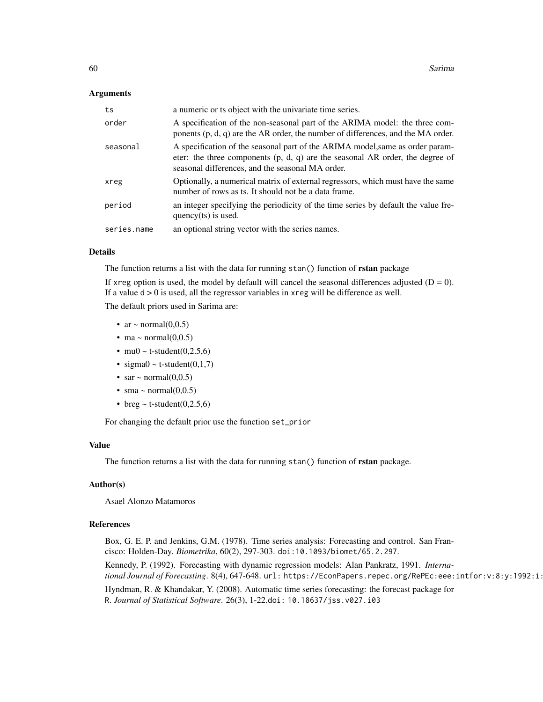### Arguments

| ts          | a numeric or ts object with the univariate time series.                                                                                                                                                              |
|-------------|----------------------------------------------------------------------------------------------------------------------------------------------------------------------------------------------------------------------|
| order       | A specification of the non-seasonal part of the ARIMA model: the three com-<br>ponents $(p, d, q)$ are the AR order, the number of differences, and the MA order.                                                    |
| seasonal    | A specification of the seasonal part of the ARIMA model, same as order param-<br>eter: the three components $(p, d, q)$ are the seasonal AR order, the degree of<br>seasonal differences, and the seasonal MA order. |
| xreg        | Optionally, a numerical matrix of external regressors, which must have the same<br>number of rows as ts. It should not be a data frame.                                                                              |
| period      | an integer specifying the periodicity of the time series by default the value fre-<br>quency $(ts)$ is used.                                                                                                         |
| series.name | an optional string vector with the series names.                                                                                                                                                                     |

# Details

The function returns a list with the data for running stan() function of rstan package

If xreg option is used, the model by default will cancel the seasonal differences adjusted  $(D = 0)$ . If a value  $d > 0$  is used, all the regressor variables in xreg will be difference as well. The default priors used in Sarima are:

- ar  $\sim$  normal $(0,0.5)$
- ma  $\sim$  normal $(0,0.5)$
- mu0 ~ t-student $(0,2.5,6)$
- sigma $0 \sim$  t-student $(0,1,7)$
- sar  $\sim$  normal $(0,0.5)$
- sma ~ normal $(0,0.5)$
- breg  $\sim$  t-student(0,2.5,6)

For changing the default prior use the function set\_prior

#### Value

The function returns a list with the data for running stan() function of rstan package.

### Author(s)

Asael Alonzo Matamoros

#### References

Box, G. E. P. and Jenkins, G.M. (1978). Time series analysis: Forecasting and control. San Francisco: Holden-Day. *Biometrika*, 60(2), 297-303. doi:10.1093/biomet/65.2.297.

Kennedy, P. (1992). Forecasting with dynamic regression models: Alan Pankratz, 1991. *International Journal of Forecasting*. 8(4), 647-648. url: https://EconPapers.repec.org/RePEc:eee:intfor:v:8:y:1992:i:

Hyndman, R. & Khandakar, Y. (2008). Automatic time series forecasting: the forecast package for R. *Journal of Statistical Software*. 26(3), 1-22.doi: 10.18637/jss.v027.i03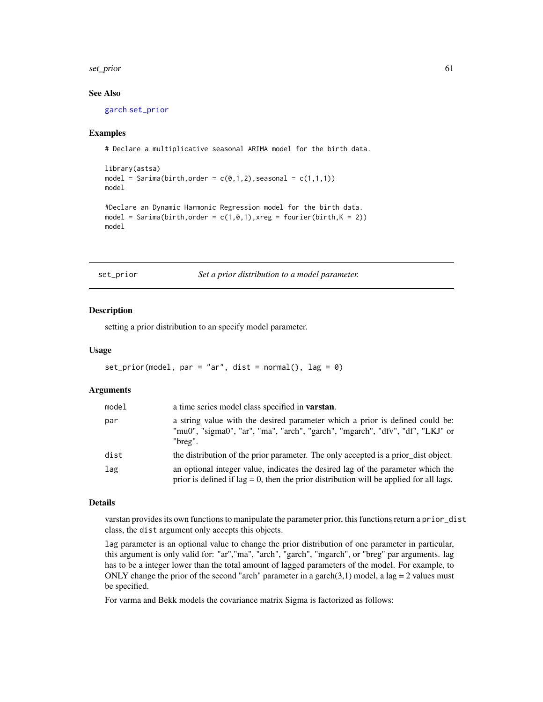#### set\_prior 61

### See Also

[garch](#page-24-0) [set\\_prior](#page-60-0)

### Examples

# Declare a multiplicative seasonal ARIMA model for the birth data.

```
library(astsa)
model = Sarima(birth, order = c(\emptyset,1,2), seasonal = c(1,1,1))
model
#Declare an Dynamic Harmonic Regression model for the birth data.
model = Sarima(birth, order = c(1, 0, 1), xreg = fourier(birth, K = 2))
```
model

<span id="page-60-0"></span>set\_prior *Set a prior distribution to a model parameter.*

#### Description

setting a prior distribution to an specify model parameter.

#### Usage

```
set_prior(model, par = "ar", dist = normal(), \text{lag} = 0)
```
#### **Arguments**

| model | a time series model class specified in <b>varstan</b> .                                                                                                                      |
|-------|------------------------------------------------------------------------------------------------------------------------------------------------------------------------------|
| par   | a string value with the desired parameter which a prior is defined could be:<br>"mu0", "sigma0", "ar", "ma", "arch", "garch", "mgarch", "dfv", "df", "LKJ" or<br>"breg".     |
| dist  | the distribution of the prior parameter. The only accepted is a prior_dist object.                                                                                           |
| lag   | an optional integer value, indicates the desired lag of the parameter which the<br>prior is defined if $lag = 0$ , then the prior distribution will be applied for all lags. |

#### Details

varstan provides its own functions to manipulate the parameter prior, this functions return a prior\_dist class, the dist argument only accepts this objects.

lag parameter is an optional value to change the prior distribution of one parameter in particular, this argument is only valid for: "ar","ma", "arch", "garch", "mgarch", or "breg" par arguments. lag has to be a integer lower than the total amount of lagged parameters of the model. For example, to ONLY change the prior of the second "arch" parameter in a garch $(3,1)$  model, a lag = 2 values must be specified.

For varma and Bekk models the covariance matrix Sigma is factorized as follows: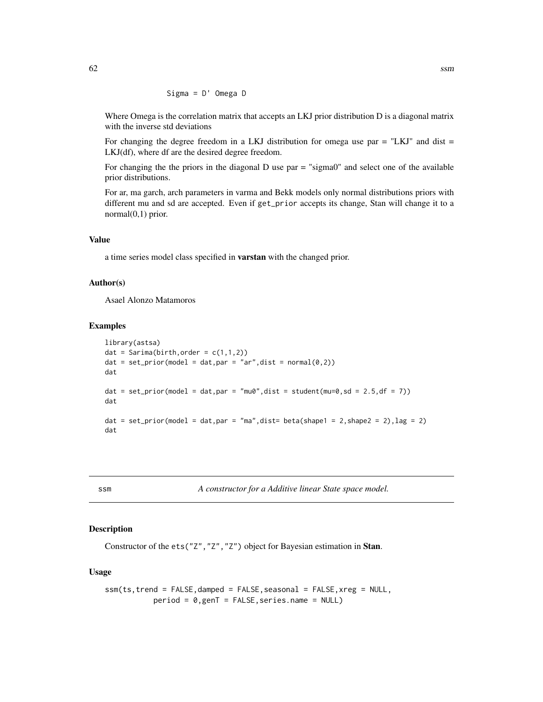$$
Signa = D' Omega D
$$

Where Omega is the correlation matrix that accepts an LKJ prior distribution D is a diagonal matrix with the inverse std deviations

For changing the degree freedom in a LKJ distribution for omega use par  $=$  "LKJ" and dist  $=$ LKJ(df), where df are the desired degree freedom.

For changing the the priors in the diagonal D use par = "sigma0" and select one of the available prior distributions.

For ar, ma garch, arch parameters in varma and Bekk models only normal distributions priors with different mu and sd are accepted. Even if get\_prior accepts its change, Stan will change it to a normal(0,1) prior.

## Value

a time series model class specified in varstan with the changed prior.

### Author(s)

Asael Alonzo Matamoros

## Examples

```
library(astsa)
dat = Sarima(birth, order = c(1,1,2))
dat = set\_prior(model = dat, par = "ar", dist = normal(0, 2))dat
dat = set_prior(model = dat,par = "mu0",dist = student(mu=0,sd = 2.5,df = 7))
dat
dat = set_prior(model = dat,par = "ma",dist= beta(shape1 = 2,shape2 = 2), lag = 2)
dat
```
ssm *A constructor for a Additive linear State space model.*

### Description

Constructor of the ets("Z","Z","Z") object for Bayesian estimation in Stan.

#### Usage

```
ssm(ts,trend = FALSE,damped = FALSE,seasonal = FALSE,xreg = NULL,
          period = 0,genT = FALSE,series.name = NULL)
```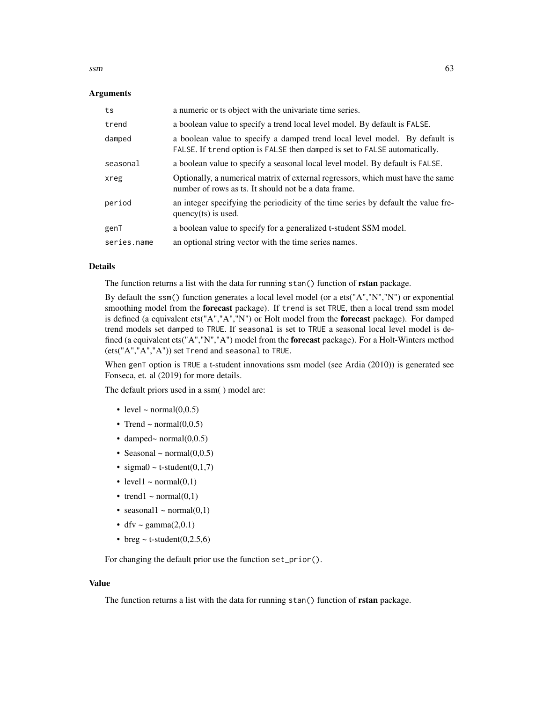$\sin$  63

### Arguments

| ts          | a numeric or ts object with the univariate time series.                                                                                                  |
|-------------|----------------------------------------------------------------------------------------------------------------------------------------------------------|
| trend       | a boolean value to specify a trend local level model. By default is FALSE.                                                                               |
| damped      | a boolean value to specify a damped trend local level model. By default is<br>FALSE. If trend option is FALSE then damped is set to FALSE automatically. |
| seasonal    | a boolean value to specify a seasonal local level model. By default is FALSE.                                                                            |
| xreg        | Optionally, a numerical matrix of external regressors, which must have the same<br>number of rows as ts. It should not be a data frame.                  |
| period      | an integer specifying the periodicity of the time series by default the value fre-<br>quency(ts) is used.                                                |
| genT        | a boolean value to specify for a generalized t-student SSM model.                                                                                        |
| series.name | an optional string vector with the time series names.                                                                                                    |

#### Details

The function returns a list with the data for running stan() function of **rstan** package.

By default the ssm() function generates a local level model (or a ets("A","N","N") or exponential smoothing model from the **forecast** package). If trend is set TRUE, then a local trend ssm model is defined (a equivalent ets("A","A","N") or Holt model from the forecast package). For damped trend models set damped to TRUE. If seasonal is set to TRUE a seasonal local level model is defined (a equivalent ets("A","N","A") model from the forecast package). For a Holt-Winters method (ets("A","A","A")) set Trend and seasonal to TRUE.

When genT option is TRUE a t-student innovations ssm model (see Ardia (2010)) is generated see Fonseca, et. al (2019) for more details.

The default priors used in a ssm( ) model are:

- level  $\sim$  normal $(0,0.5)$
- Trend ~ normal $(0,0.5)$
- damped~ normal $(0,0.5)$
- Seasonal  $\sim$  normal $(0,0.5)$
- sigma $0 \sim$  t-student $(0,1,7)$
- level1  $\sim$  normal(0,1)
- trend1 ~ normal $(0,1)$
- seasonal1 ~ normal $(0,1)$
- dfv ~ gamma $(2,0.1)$
- breg  $\sim$  t-student(0,2.5,6)

For changing the default prior use the function set\_prior().

#### Value

The function returns a list with the data for running stan() function of rstan package.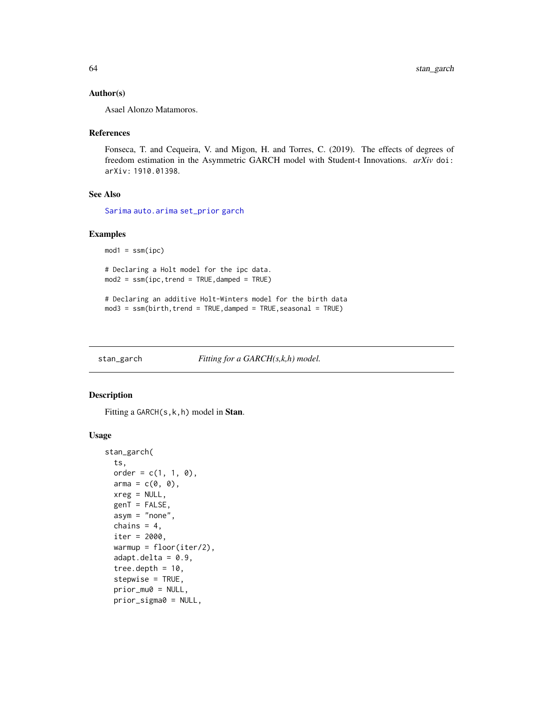### Author(s)

Asael Alonzo Matamoros.

#### References

Fonseca, T. and Cequeira, V. and Migon, H. and Torres, C. (2019). The effects of degrees of freedom estimation in the Asymmetric GARCH model with Student-t Innovations. *arXiv* doi: arXiv: 1910.01398.

# See Also

[Sarima](#page-58-0) [auto.arima](#page-0-0) [set\\_prior](#page-60-0) [garch](#page-24-0)

## Examples

 $mod1 = ssm(ipc)$ 

# Declaring a Holt model for the ipc data. mod2 = ssm(ipc,trend = TRUE,damped = TRUE)

# Declaring an additive Holt-Winters model for the birth data  $mod3 = ssm(birth, trend = TRUE, damped = TRUE, seasonal = TRUE)$ 

stan\_garch *Fitting for a GARCH(s,k,h) model.*

### Description

Fitting a GARCH(s, k, h) model in Stan.

#### Usage

```
stan_garch(
  ts,
  order = c(1, 1, 0),arma = c(0, 0),xreg = NULL,
  genT = FALSE,asym = "none",
  chains = 4,
  iter = 2000,
  warmup = floor(iter/2),
  adapt.deIta = <math>0.9</math>,tree.depth = 10.
  stepwise = TRUE,
  prior_mu0 = NULL,
  prior_sigma0 = NULL,
```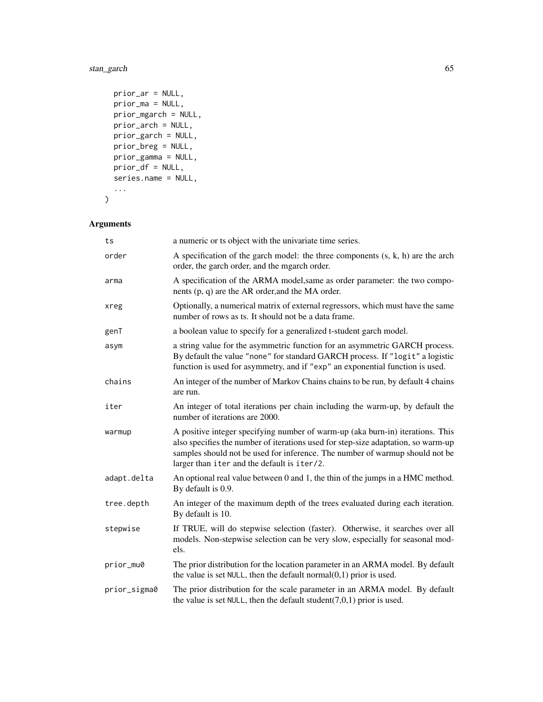# stan\_garch 65

```
prior_ar = NULL,
 prior_ma = NULL,
 prior_mgarch = NULL,
 prior_arch = NULL,
 prior_garch = NULL,
 prior_breg = NULL,
 prior_gamma = NULL,
 prior_df = NULL,
 series.name = NULL,
  ...
)
```
# Arguments

| ts           | a numeric or ts object with the univariate time series.                                                                                                                                                                                                                                            |
|--------------|----------------------------------------------------------------------------------------------------------------------------------------------------------------------------------------------------------------------------------------------------------------------------------------------------|
| order        | A specification of the garch model: the three components $(s, k, h)$ are the arch<br>order, the garch order, and the mgarch order.                                                                                                                                                                 |
| arma         | A specification of the ARMA model, same as order parameter: the two compo-<br>nents $(p, q)$ are the AR order, and the MA order.                                                                                                                                                                   |
| xreg         | Optionally, a numerical matrix of external regressors, which must have the same<br>number of rows as ts. It should not be a data frame.                                                                                                                                                            |
| genT         | a boolean value to specify for a generalized t-student garch model.                                                                                                                                                                                                                                |
| asym         | a string value for the asymmetric function for an asymmetric GARCH process.<br>By default the value "none" for standard GARCH process. If "logit" a logistic<br>function is used for asymmetry, and if "exp" an exponential function is used.                                                      |
| chains       | An integer of the number of Markov Chains chains to be run, by default 4 chains<br>are run.                                                                                                                                                                                                        |
| iter         | An integer of total iterations per chain including the warm-up, by default the<br>number of iterations are 2000.                                                                                                                                                                                   |
| warmup       | A positive integer specifying number of warm-up (aka burn-in) iterations. This<br>also specifies the number of iterations used for step-size adaptation, so warm-up<br>samples should not be used for inference. The number of warmup should not be<br>larger than iter and the default is iter/2. |
| adapt.delta  | An optional real value between 0 and 1, the thin of the jumps in a HMC method.<br>By default is 0.9.                                                                                                                                                                                               |
| tree.depth   | An integer of the maximum depth of the trees evaluated during each iteration.<br>By default is 10.                                                                                                                                                                                                 |
| stepwise     | If TRUE, will do stepwise selection (faster). Otherwise, it searches over all<br>models. Non-stepwise selection can be very slow, especially for seasonal mod-<br>els.                                                                                                                             |
| prior_mu0    | The prior distribution for the location parameter in an ARMA model. By default<br>the value is set NULL, then the default normal $(0,1)$ prior is used.                                                                                                                                            |
| prior_sigma0 | The prior distribution for the scale parameter in an ARMA model. By default<br>the value is set NULL, then the default student( $7,0,1$ ) prior is used.                                                                                                                                           |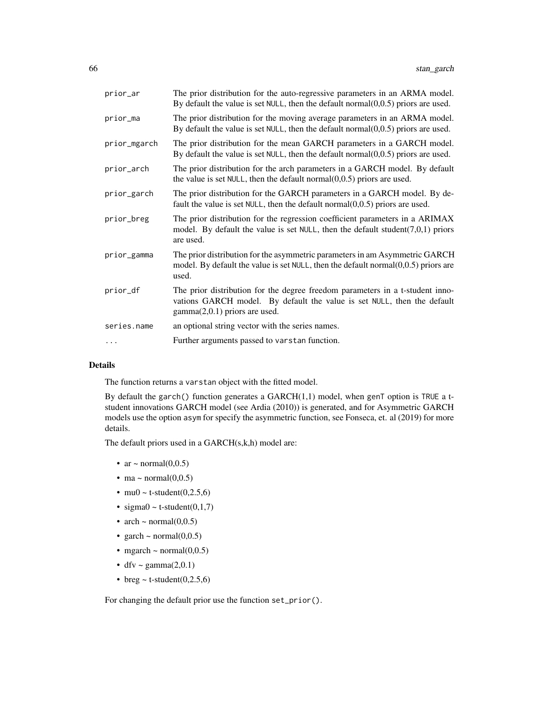| prior_ar     | The prior distribution for the auto-regressive parameters in an ARMA model.<br>By default the value is set NULL, then the default normal $(0,0.5)$ priors are used.                         |
|--------------|---------------------------------------------------------------------------------------------------------------------------------------------------------------------------------------------|
| prior_ma     | The prior distribution for the moving average parameters in an ARMA model.<br>By default the value is set NULL, then the default normal $(0,0.5)$ priors are used.                          |
| prior_mgarch | The prior distribution for the mean GARCH parameters in a GARCH model.<br>By default the value is set NULL, then the default normal $(0,0.5)$ priors are used.                              |
| prior_arch   | The prior distribution for the arch parameters in a GARCH model. By default<br>the value is set $NULL$ , then the default normal $(0,0.5)$ priors are used.                                 |
| prior_garch  | The prior distribution for the GARCH parameters in a GARCH model. By de-<br>fault the value is set NULL, then the default normal $(0,0.5)$ priors are used.                                 |
| prior_breg   | The prior distribution for the regression coefficient parameters in a ARIMAX<br>model. By default the value is set NULL, then the default student( $7,0,1$ ) priors<br>are used.            |
| prior_gamma  | The prior distribution for the asymmetric parameters in am Asymmetric GARCH<br>model. By default the value is set $NULL$ , then the default normal $(0,0.5)$ priors are<br>used.            |
| prior_df     | The prior distribution for the degree freedom parameters in a t-student inno-<br>vations GARCH model. By default the value is set NULL, then the default<br>$gamma(2,0.1)$ priors are used. |
| series.name  | an optional string vector with the series names.                                                                                                                                            |
|              | Further arguments passed to varstan function.                                                                                                                                               |
|              |                                                                                                                                                                                             |

## Details

The function returns a varstan object with the fitted model.

By default the garch() function generates a  $GARCH(1,1)$  model, when genT option is TRUE a tstudent innovations GARCH model (see Ardia (2010)) is generated, and for Asymmetric GARCH models use the option asym for specify the asymmetric function, see Fonseca, et. al (2019) for more details.

The default priors used in a GARCH(s,k,h) model are:

- ar  $\sim$  normal(0,0.5)
- ma ~ normal $(0,0.5)$
- mu0 ~ t-student $(0,2.5,6)$
- sigma $0 \sim t$ -student $(0,1,7)$
- arch ~ normal $(0,0.5)$
- garch  $\sim$  normal $(0,0.5)$
- mgarch ~ normal $(0,0.5)$
- dfv ~ gamma $(2,0.1)$
- breg  $\sim$  t-student(0,2.5,6)

For changing the default prior use the function set\_prior().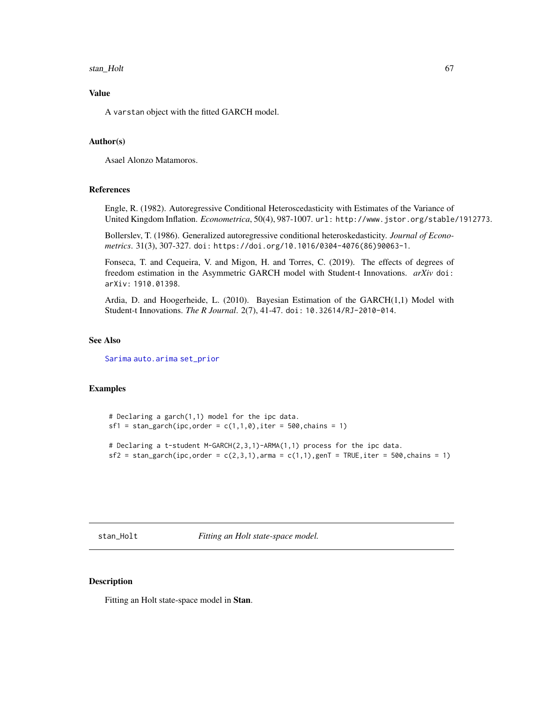#### stan\_Holt 67

# Value

A varstan object with the fitted GARCH model.

## Author(s)

Asael Alonzo Matamoros.

## References

Engle, R. (1982). Autoregressive Conditional Heteroscedasticity with Estimates of the Variance of United Kingdom Inflation. *Econometrica*, 50(4), 987-1007. url: http://www.jstor.org/stable/1912773.

Bollerslev, T. (1986). Generalized autoregressive conditional heteroskedasticity. *Journal of Econometrics*. 31(3), 307-327. doi: https://doi.org/10.1016/0304-4076(86)90063-1.

Fonseca, T. and Cequeira, V. and Migon, H. and Torres, C. (2019). The effects of degrees of freedom estimation in the Asymmetric GARCH model with Student-t Innovations. *arXiv* doi: arXiv: 1910.01398.

Ardia, D. and Hoogerheide, L. (2010). Bayesian Estimation of the GARCH(1,1) Model with Student-t Innovations. *The R Journal*. 2(7), 41-47. doi: 10.32614/RJ-2010-014.

## See Also

[Sarima](#page-58-0) [auto.arima](#page-0-0) [set\\_prior](#page-60-0)

### Examples

```
# Declaring a garch(1,1) model for the ipc data.
sf1 = stan\_garch(ipc,order = c(1,1,0), iter = 500, chains = 1)# Declaring a t-student M-GARCH(2,3,1)-ARMA(1,1) process for the ipc data.
sf2 = stan\_garch(ipc, order = c(2,3,1),arma = c(1,1),genT = TRUE,iter = 500, chains = 1)
```
stan\_Holt *Fitting an Holt state-space model.*

### Description

Fitting an Holt state-space model in Stan.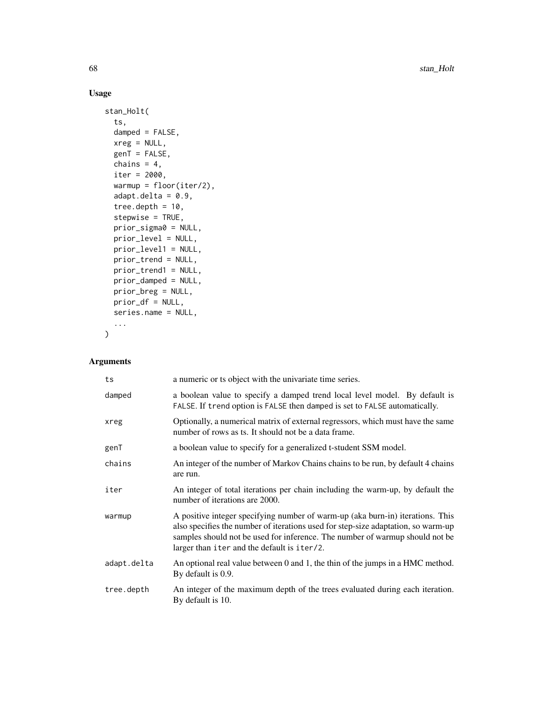# Usage

```
stan_Holt(
  ts,
  damped = FALSE,xreg = NULL,
 genT = FALSE,chains = 4,
  iter = 2000,
 warmup = floor(iter/2),
  adapt.delta = 0.9,
  tree.depth = 10,
  stepwise = TRUE,
 prior_sigma0 = NULL,
 prior_level = NULL,
 prior_level1 = NULL,
 prior_trend = NULL,
 prior_trend1 = NULL,
 prior_damped = NULL,
 prior_breg = NULL,
 prior_df = NULL,
  series.name = NULL,
  ...
\mathcal{L}
```
# Arguments

| ts          | a numeric or ts object with the univariate time series.                                                                                                                                                                                                                                            |
|-------------|----------------------------------------------------------------------------------------------------------------------------------------------------------------------------------------------------------------------------------------------------------------------------------------------------|
| damped      | a boolean value to specify a damped trend local level model. By default is<br>FALSE. If trend option is FALSE then damped is set to FALSE automatically.                                                                                                                                           |
| xreg        | Optionally, a numerical matrix of external regressors, which must have the same<br>number of rows as ts. It should not be a data frame.                                                                                                                                                            |
| genT        | a boolean value to specify for a generalized t-student SSM model.                                                                                                                                                                                                                                  |
| chains      | An integer of the number of Markov Chains chains to be run, by default 4 chains<br>are run.                                                                                                                                                                                                        |
| iter        | An integer of total iterations per chain including the warm-up, by default the<br>number of iterations are 2000.                                                                                                                                                                                   |
| warmup      | A positive integer specifying number of warm-up (aka burn-in) iterations. This<br>also specifies the number of iterations used for step-size adaptation, so warm-up<br>samples should not be used for inference. The number of warmup should not be<br>larger than iter and the default is iter/2. |
| adapt.delta | An optional real value between 0 and 1, the thin of the jumps in a HMC method.<br>By default is 0.9.                                                                                                                                                                                               |
| tree.depth  | An integer of the maximum depth of the trees evaluated during each iteration.<br>By default is 10.                                                                                                                                                                                                 |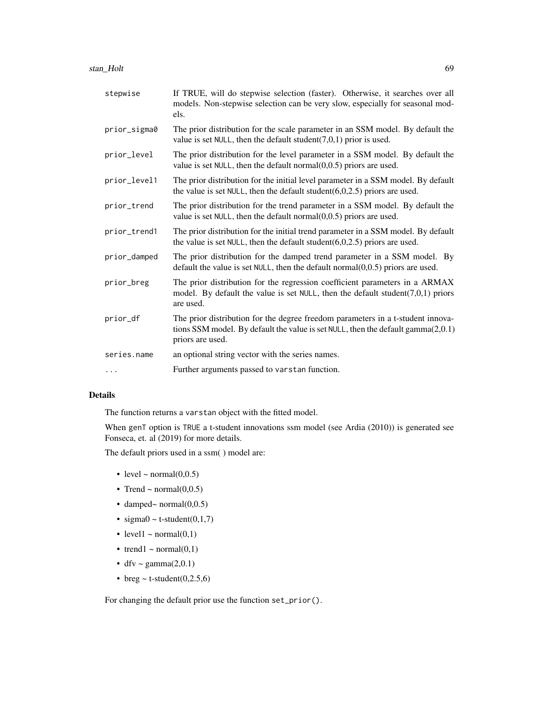| stepwise     | If TRUE, will do stepwise selection (faster). Otherwise, it searches over all<br>models. Non-stepwise selection can be very slow, especially for seasonal mod-<br>els.                  |
|--------------|-----------------------------------------------------------------------------------------------------------------------------------------------------------------------------------------|
| prior_sigma0 | The prior distribution for the scale parameter in an SSM model. By default the<br>value is set NULL, then the default student( $7,0,1$ ) prior is used.                                 |
| prior_level  | The prior distribution for the level parameter in a SSM model. By default the<br>value is set $NULL$ , then the default normal $(0,0.5)$ priors are used.                               |
| prior_level1 | The prior distribution for the initial level parameter in a SSM model. By default<br>the value is set NULL, then the default student $(6,0,2.5)$ priors are used.                       |
| prior_trend  | The prior distribution for the trend parameter in a SSM model. By default the<br>value is set NULL, then the default normal $(0,0.5)$ priors are used.                                  |
| prior_trend1 | The prior distribution for the initial trend parameter in a SSM model. By default<br>the value is set NULL, then the default student $(6,0,2.5)$ priors are used.                       |
| prior_damped | The prior distribution for the damped trend parameter in a SSM model. By<br>default the value is set $NULL$ , then the default normal $(0,0.5)$ priors are used.                        |
| prior_breg   | The prior distribution for the regression coefficient parameters in a ARMAX<br>model. By default the value is set NULL, then the default student( $7,0,1$ ) priors<br>are used.         |
| prior_df     | The prior distribution for the degree freedom parameters in a t-student innova-<br>tions SSM model. By default the value is set NULL, then the default gamma(2,0.1)<br>priors are used. |
| series.name  | an optional string vector with the series names.                                                                                                                                        |
| $\cdots$     | Further arguments passed to varstan function.                                                                                                                                           |

### Details

The function returns a varstan object with the fitted model.

When genT option is TRUE a t-student innovations ssm model (see Ardia (2010)) is generated see Fonseca, et. al (2019) for more details.

The default priors used in a ssm( ) model are:

- level  $\sim$  normal $(0,0.5)$
- Trend ~ normal $(0,0.5)$
- damped~ normal $(0,0.5)$
- sigma $0 \sim$  t-student $(0,1,7)$
- level1  $\sim$  normal(0,1)
- trend1 ~ normal $(0,1)$
- dfv ~ gamma $(2,0.1)$
- breg  $\sim$  t-student(0,2.5,6)

For changing the default prior use the function set\_prior().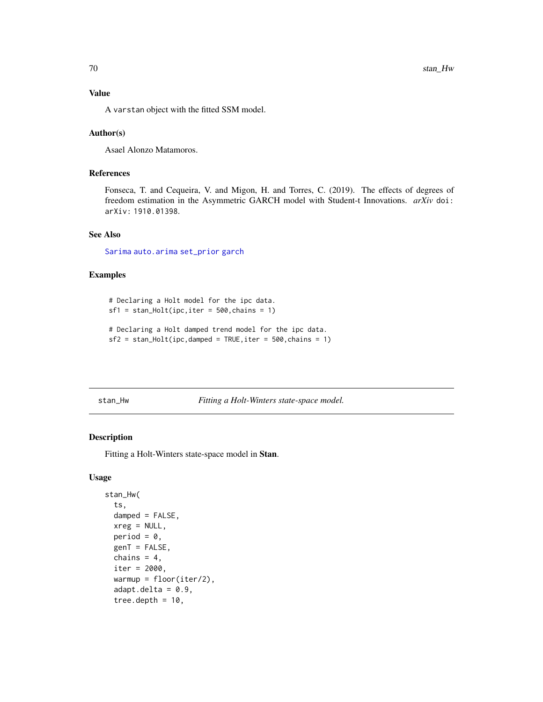## Value

A varstan object with the fitted SSM model.

### Author(s)

Asael Alonzo Matamoros.

## References

Fonseca, T. and Cequeira, V. and Migon, H. and Torres, C. (2019). The effects of degrees of freedom estimation in the Asymmetric GARCH model with Student-t Innovations. *arXiv* doi: arXiv: 1910.01398.

## See Also

[Sarima](#page-58-0) [auto.arima](#page-0-0) [set\\_prior](#page-60-0) [garch](#page-24-0)

#### Examples

# Declaring a Holt model for the ipc data.  $sf1 = stan_Holt(ipc,iter = 500, chains = 1)$ 

```
# Declaring a Holt damped trend model for the ipc data.
sf2 = stan_Holt(ipc, damped = TRUE, iter = 500, chains = 1)
```
stan\_Hw *Fitting a Holt-Winters state-space model.*

#### Description

Fitting a Holt-Winters state-space model in Stan.

### Usage

```
stan_Hw(
  ts,
  damped = FALSE,xreg = NULL,period = 0,
 genT = FALSE,
  chains = 4,
  iter = 2000.
  warmup = floor(iter/2),
  adapt.deIta = 0.9,tree.depth = 10,
```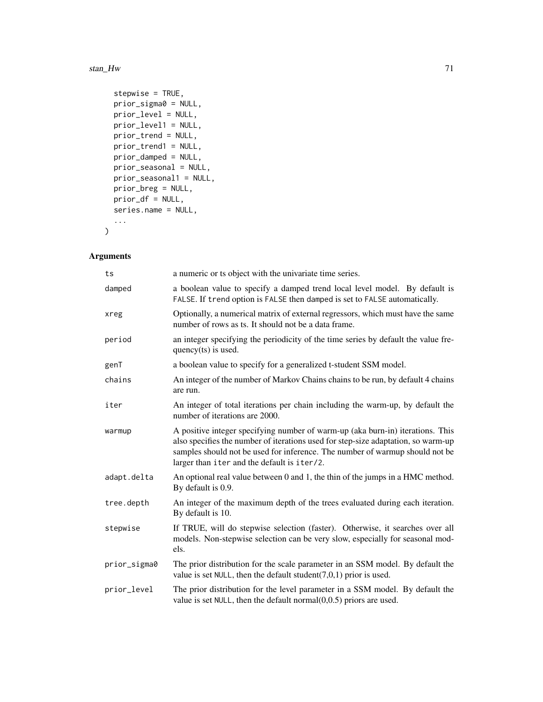#### stan\_Hw 71

```
stepwise = TRUE,
 prior_sigma0 = NULL,
 prior_level = NULL,
 prior_level1 = NULL,
 prior_trend = NULL,
 prior_trend1 = NULL,
 prior_damped = NULL,
 prior_seasonal = NULL,
 prior_seasonal1 = NULL,
 prior_breg = NULL,
 prior_df = NULL,
 series.name = NULL,
  ...
\mathcal{L}
```
# Arguments

| ts           | a numeric or ts object with the univariate time series.                                                                                                                                                                                                                                            |
|--------------|----------------------------------------------------------------------------------------------------------------------------------------------------------------------------------------------------------------------------------------------------------------------------------------------------|
| damped       | a boolean value to specify a damped trend local level model. By default is<br>FALSE. If trend option is FALSE then damped is set to FALSE automatically.                                                                                                                                           |
| xreg         | Optionally, a numerical matrix of external regressors, which must have the same<br>number of rows as ts. It should not be a data frame.                                                                                                                                                            |
| period       | an integer specifying the periodicity of the time series by default the value fre-<br>quency $(ts)$ is used.                                                                                                                                                                                       |
| genT         | a boolean value to specify for a generalized t-student SSM model.                                                                                                                                                                                                                                  |
| chains       | An integer of the number of Markov Chains chains to be run, by default 4 chains<br>are run.                                                                                                                                                                                                        |
| iter         | An integer of total iterations per chain including the warm-up, by default the<br>number of iterations are 2000.                                                                                                                                                                                   |
| warmup       | A positive integer specifying number of warm-up (aka burn-in) iterations. This<br>also specifies the number of iterations used for step-size adaptation, so warm-up<br>samples should not be used for inference. The number of warmup should not be<br>larger than iter and the default is iter/2. |
| adapt.delta  | An optional real value between 0 and 1, the thin of the jumps in a HMC method.<br>By default is 0.9.                                                                                                                                                                                               |
| tree.depth   | An integer of the maximum depth of the trees evaluated during each iteration.<br>By default is 10.                                                                                                                                                                                                 |
| stepwise     | If TRUE, will do stepwise selection (faster). Otherwise, it searches over all<br>models. Non-stepwise selection can be very slow, especially for seasonal mod-<br>els.                                                                                                                             |
| prior_sigma0 | The prior distribution for the scale parameter in an SSM model. By default the<br>value is set NULL, then the default student( $7,0,1$ ) prior is used.                                                                                                                                            |
| prior_level  | The prior distribution for the level parameter in a SSM model. By default the<br>value is set NULL, then the default normal $(0,0.5)$ priors are used.                                                                                                                                             |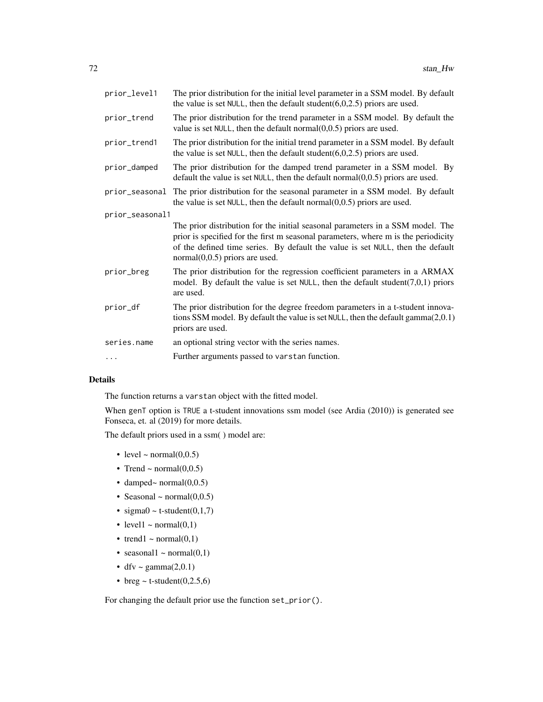| prior_level1    | The prior distribution for the initial level parameter in a SSM model. By default<br>the value is set NULL, then the default student $(6,0,2.5)$ priors are used.                                                                                                                          |  |
|-----------------|--------------------------------------------------------------------------------------------------------------------------------------------------------------------------------------------------------------------------------------------------------------------------------------------|--|
| prior_trend     | The prior distribution for the trend parameter in a SSM model. By default the<br>value is set NULL, then the default normal $(0,0.5)$ priors are used.                                                                                                                                     |  |
| prior_trend1    | The prior distribution for the initial trend parameter in a SSM model. By default<br>the value is set NULL, then the default student( $6,0,2.5$ ) priors are used.                                                                                                                         |  |
| prior_damped    | The prior distribution for the damped trend parameter in a SSM model. By<br>default the value is set $NULL$ , then the default normal $(0,0.5)$ priors are used.                                                                                                                           |  |
| prior_seasonal  | The prior distribution for the seasonal parameter in a SSM model. By default<br>the value is set $NULL$ , then the default normal $(0,0.5)$ priors are used.                                                                                                                               |  |
| prior_seasonal1 |                                                                                                                                                                                                                                                                                            |  |
|                 | The prior distribution for the initial seasonal parameters in a SSM model. The<br>prior is specified for the first m seasonal parameters, where m is the periodicity<br>of the defined time series. By default the value is set NULL, then the default<br>$normal(0,0.5)$ priors are used. |  |
| prior_breg      | The prior distribution for the regression coefficient parameters in a ARMAX<br>model. By default the value is set NULL, then the default student(7,0,1) priors<br>are used.                                                                                                                |  |
| prior_df        | The prior distribution for the degree freedom parameters in a t-student innova-<br>tions SSM model. By default the value is set NULL, then the default gamma $(2,0.1)$<br>priors are used.                                                                                                 |  |
| series.name     | an optional string vector with the series names.                                                                                                                                                                                                                                           |  |
| .               | Further arguments passed to varstan function.                                                                                                                                                                                                                                              |  |

# Details

The function returns a varstan object with the fitted model.

When genT option is TRUE a t-student innovations ssm model (see Ardia (2010)) is generated see Fonseca, et. al (2019) for more details.

The default priors used in a ssm( ) model are:

- level  $\sim$  normal $(0,0.5)$
- Trend ~ normal $(0,0.5)$
- damped~ normal(0,0.5)
- Seasonal  $\sim$  normal $(0,0.5)$
- sigma $0 \sim t$ -student $(0,1,7)$
- level1  $\sim$  normal(0,1)
- trend1 ~ normal $(0,1)$
- seasonal1 ~ normal $(0,1)$
- dfv ~ gamma $(2,0.1)$
- breg  $\sim$  t-student(0,2.5,6)

For changing the default prior use the function set\_prior().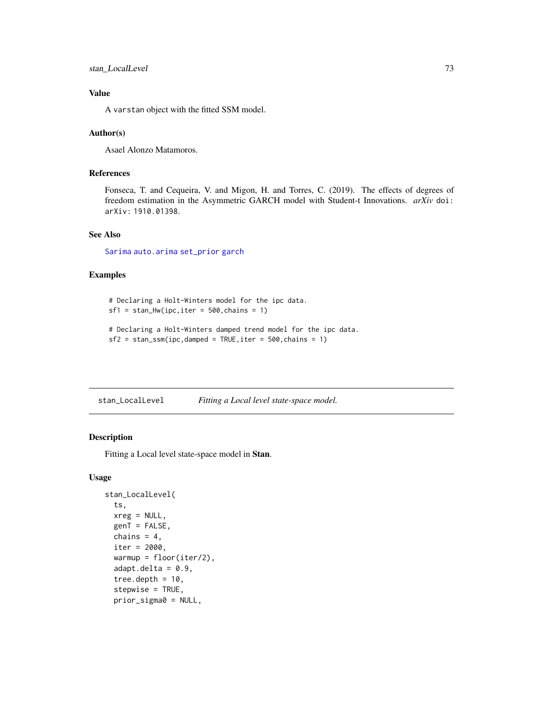## <span id="page-72-0"></span>stan\_LocalLevel 73

## Value

A varstan object with the fitted SSM model.

#### Author(s)

Asael Alonzo Matamoros.

## References

Fonseca, T. and Cequeira, V. and Migon, H. and Torres, C. (2019). The effects of degrees of freedom estimation in the Asymmetric GARCH model with Student-t Innovations. *arXiv* doi: arXiv: 1910.01398.

## See Also

[Sarima](#page-58-0) [auto.arima](#page-0-0) [set\\_prior](#page-60-0) [garch](#page-24-0)

#### Examples

```
# Declaring a Holt-Winters model for the ipc data.
sf1 = stan_Hw(ipc,iter = 500, chains = 1)# Declaring a Holt-Winters damped trend model for the ipc data.
sf2 = stan_ssm(ipc, damped = TRUE, iter = 500, chains = 1)
```
stan\_LocalLevel *Fitting a Local level state-space model.*

## Description

Fitting a Local level state-space model in Stan.

#### Usage

```
stan_LocalLevel(
  ts,
  xreg = NULL,
  genT = FALSE,
  chains = 4,
  iter = 2000.
  warmup = floor(iter/2),
  adapt.deIta = <math>0.9</math>,tree.depth = 10,
  stepwise = TRUE,
  prior_sigma0 = NULL,
```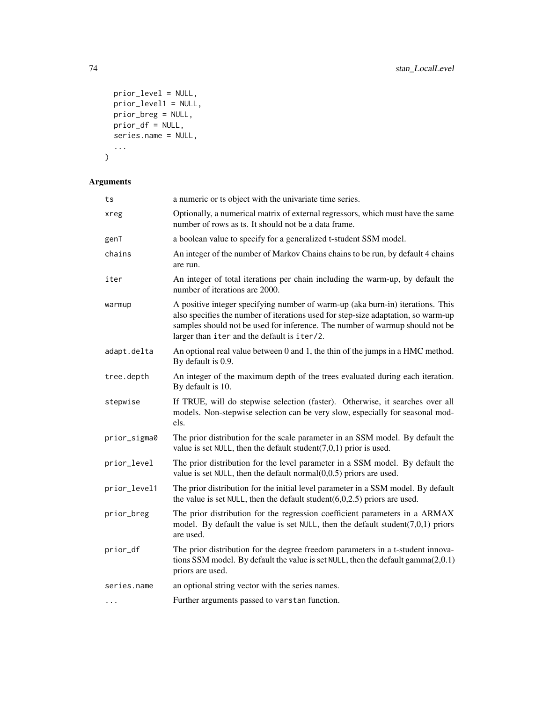```
prior_level = NULL,
  prior_level1 = NULL,
 prior_breg = NULL,
 prior_d f = NULL,series.name = NULL,
  ...
\mathcal{L}
```

| a numeric or ts object with the univariate time series.                                                                                                                                                                                                                                            |  |
|----------------------------------------------------------------------------------------------------------------------------------------------------------------------------------------------------------------------------------------------------------------------------------------------------|--|
| Optionally, a numerical matrix of external regressors, which must have the same<br>number of rows as ts. It should not be a data frame.                                                                                                                                                            |  |
| a boolean value to specify for a generalized t-student SSM model.                                                                                                                                                                                                                                  |  |
| An integer of the number of Markov Chains chains to be run, by default 4 chains<br>are run.                                                                                                                                                                                                        |  |
| An integer of total iterations per chain including the warm-up, by default the<br>number of iterations are 2000.                                                                                                                                                                                   |  |
| A positive integer specifying number of warm-up (aka burn-in) iterations. This<br>also specifies the number of iterations used for step-size adaptation, so warm-up<br>samples should not be used for inference. The number of warmup should not be<br>larger than iter and the default is iter/2. |  |
| An optional real value between 0 and 1, the thin of the jumps in a HMC method.<br>By default is 0.9.                                                                                                                                                                                               |  |
| An integer of the maximum depth of the trees evaluated during each iteration.<br>By default is 10.                                                                                                                                                                                                 |  |
| If TRUE, will do stepwise selection (faster). Otherwise, it searches over all<br>models. Non-stepwise selection can be very slow, especially for seasonal mod-<br>els.                                                                                                                             |  |
| The prior distribution for the scale parameter in an SSM model. By default the<br>value is set NULL, then the default student( $7,0,1$ ) prior is used.                                                                                                                                            |  |
| The prior distribution for the level parameter in a SSM model. By default the<br>value is set NULL, then the default normal $(0,0.5)$ priors are used.                                                                                                                                             |  |
| The prior distribution for the initial level parameter in a SSM model. By default<br>the value is set NULL, then the default student $(6,0,2.5)$ priors are used.                                                                                                                                  |  |
| The prior distribution for the regression coefficient parameters in a ARMAX<br>model. By default the value is set NULL, then the default student( $7,0,1$ ) priors<br>are used.                                                                                                                    |  |
| The prior distribution for the degree freedom parameters in a t-student innova-<br>tions SSM model. By default the value is set NULL, then the default gamma(2,0.1)<br>priors are used.                                                                                                            |  |
| an optional string vector with the series names.                                                                                                                                                                                                                                                   |  |
| Further arguments passed to varstan function.                                                                                                                                                                                                                                                      |  |
|                                                                                                                                                                                                                                                                                                    |  |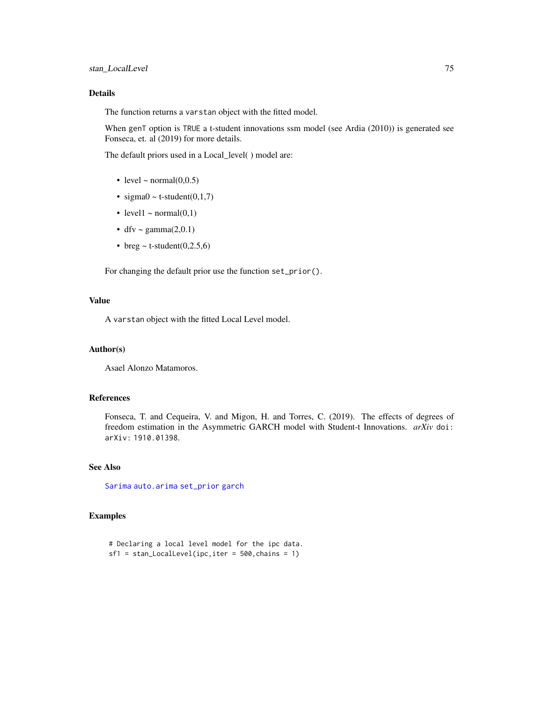## <span id="page-74-0"></span>Details

The function returns a varstan object with the fitted model.

When genT option is TRUE a t-student innovations ssm model (see Ardia (2010)) is generated see Fonseca, et. al (2019) for more details.

The default priors used in a Local\_level( ) model are:

- level  $\sim$  normal $(0,0.5)$
- sigma $0 \sim t$ -student $(0,1,7)$
- level1  $\sim$  normal(0,1)
- dfv ~ gamma $(2,0.1)$
- breg  $\sim$  t-student(0,2.5,6)

For changing the default prior use the function set\_prior().

#### Value

A varstan object with the fitted Local Level model.

#### Author(s)

Asael Alonzo Matamoros.

#### References

Fonseca, T. and Cequeira, V. and Migon, H. and Torres, C. (2019). The effects of degrees of freedom estimation in the Asymmetric GARCH model with Student-t Innovations. *arXiv* doi: arXiv: 1910.01398.

## See Also

[Sarima](#page-58-0) [auto.arima](#page-0-0) [set\\_prior](#page-60-0) [garch](#page-24-0)

#### Examples

```
# Declaring a local level model for the ipc data.
sf1 = stan\_LocalLevel(ipc,iter = 500, chains = 1)
```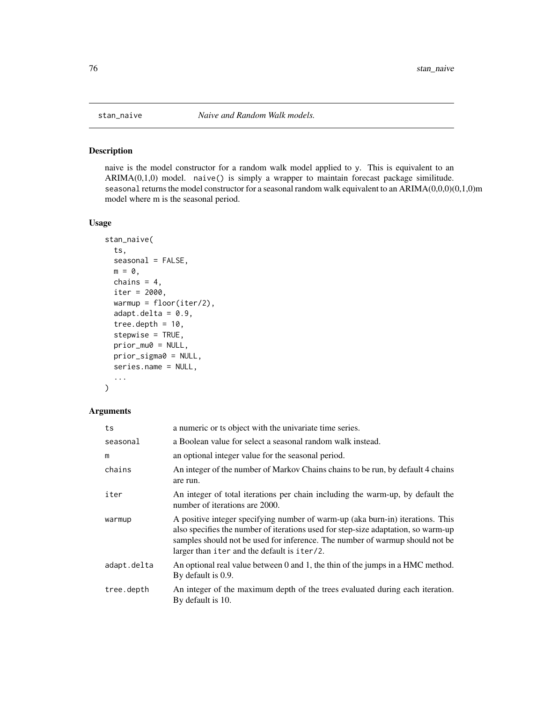<span id="page-75-0"></span>

## Description

naive is the model constructor for a random walk model applied to y. This is equivalent to an  $ARIMA(0,1,0)$  model. naive() is simply a wrapper to maintain forecast package similitude. seasonal returns the model constructor for a seasonal random walk equivalent to an ARIMA(0,0,0)(0,1,0)m model where m is the seasonal period.

#### Usage

```
stan_naive(
  ts,
  seasonal = FALSE,
 m = 0,
  chains = 4,
  iter = 2000,
  warmup = floor(iter/2),
  adapt.deIta = 0.9,tree.depth = 10,
  stepwise = TRUE,
  prior_mu0 = NULL,
 prior_sigma0 = NULL,
  series.name = NULL,
  ...
\mathcal{L}
```

| ts          | a numeric or ts object with the univariate time series.                                                                                                                                                                                                                                            |
|-------------|----------------------------------------------------------------------------------------------------------------------------------------------------------------------------------------------------------------------------------------------------------------------------------------------------|
| seasonal    | a Boolean value for select a seasonal random walk instead.                                                                                                                                                                                                                                         |
| m           | an optional integer value for the seasonal period.                                                                                                                                                                                                                                                 |
| chains      | An integer of the number of Markov Chains chains to be run, by default 4 chains<br>are run.                                                                                                                                                                                                        |
| iter        | An integer of total iterations per chain including the warm-up, by default the<br>number of iterations are 2000.                                                                                                                                                                                   |
| warmup      | A positive integer specifying number of warm-up (aka burn-in) iterations. This<br>also specifies the number of iterations used for step-size adaptation, so warm-up<br>samples should not be used for inference. The number of warmup should not be<br>larger than iter and the default is iter/2. |
| adapt.delta | An optional real value between 0 and 1, the thin of the jumps in a HMC method.<br>By default is 0.9.                                                                                                                                                                                               |
| tree.depth  | An integer of the maximum depth of the trees evaluated during each iteration.<br>By default is 10.                                                                                                                                                                                                 |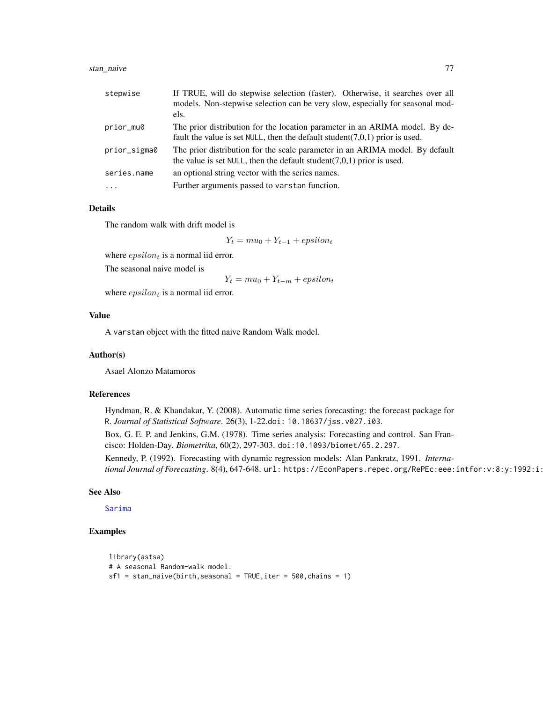## <span id="page-76-0"></span>stan\_naive 77

| stepwise     | If TRUE, will do stepwise selection (faster). Otherwise, it searches over all<br>models. Non-stepwise selection can be very slow, especially for seasonal mod-<br>els. |
|--------------|------------------------------------------------------------------------------------------------------------------------------------------------------------------------|
|              |                                                                                                                                                                        |
| prior_mu0    | The prior distribution for the location parameter in an ARIMA model. By de-<br>fault the value is set NULL, then the default student( $7,0,1$ ) prior is used.         |
| prior_sigma0 | The prior distribution for the scale parameter in an ARIMA model. By default<br>the value is set NULL, then the default student( $7,0,1$ ) prior is used.              |
| series.name  | an optional string vector with the series names.                                                                                                                       |
|              | Further arguments passed to varstan function.                                                                                                                          |

#### Details

The random walk with drift model is

 $Y_t = m u_0 + Y_{t-1} + epsilon_t$ 

where  $epsilon$  is a normal iid error.

The seasonal naive model is

 $Y_t = m u_0 + Y_{t-m} + epsilon_t$ 

where  $epsilon$  is a normal iid error.

#### Value

A varstan object with the fitted naive Random Walk model.

#### Author(s)

Asael Alonzo Matamoros

## References

Hyndman, R. & Khandakar, Y. (2008). Automatic time series forecasting: the forecast package for R. *Journal of Statistical Software*. 26(3), 1-22.doi: 10.18637/jss.v027.i03.

Box, G. E. P. and Jenkins, G.M. (1978). Time series analysis: Forecasting and control. San Francisco: Holden-Day. *Biometrika*, 60(2), 297-303. doi:10.1093/biomet/65.2.297.

Kennedy, P. (1992). Forecasting with dynamic regression models: Alan Pankratz, 1991. *International Journal of Forecasting*. 8(4), 647-648. url: https://EconPapers.repec.org/RePEc:eee:intfor:v:8:y:1992:i:

## See Also

[Sarima](#page-58-0)

## Examples

```
library(astsa)
# A seasonal Random-walk model.
sf1 = stan\_naive(birth, seasonal = TRUE, iter = 500, chains = 1)
```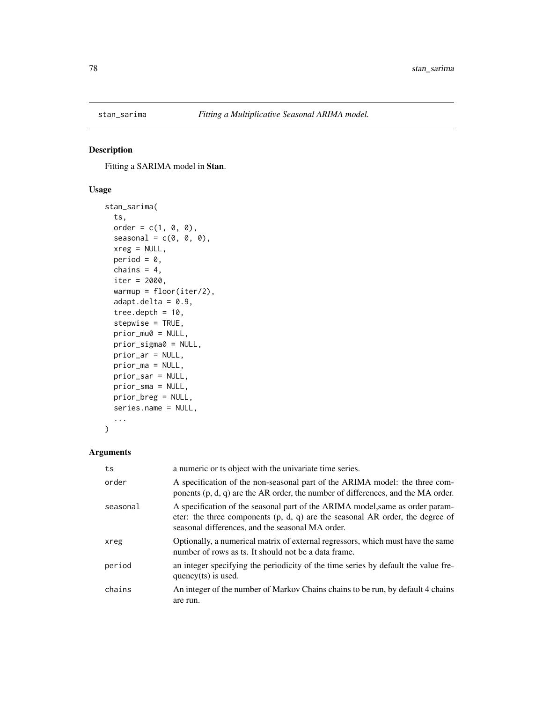<span id="page-77-0"></span>

## Description

Fitting a SARIMA model in Stan.

## Usage

```
stan_sarima(
  ts,
  order = c(1, 0, 0),
  seasonal = c(\emptyset, \emptyset, \emptyset),
  xreg = NULL,
  period = 0,
  chains = 4,
  iter = 2000,
  warmup = floor(iter/2),
  adapt.deIta = 0.9,tree.depth = 10,
  stepwise = TRUE,
  prior_mu0 = NULL,
  prior_sigma0 = NULL,
  prior_ar = NULL,
  prior_ma = NULL,
  prior_sar = NULL,
  prior_sma = NULL,
  prior_breg = NULL,
  series.name = NULL,
  ...
\mathcal{L}
```

| ts       | a numeric or ts object with the univariate time series.                                                                                                                                                              |
|----------|----------------------------------------------------------------------------------------------------------------------------------------------------------------------------------------------------------------------|
| order    | A specification of the non-seasonal part of the ARIMA model: the three com-<br>ponents $(p, d, q)$ are the AR order, the number of differences, and the MA order.                                                    |
| seasonal | A specification of the seasonal part of the ARIMA model, same as order param-<br>eter: the three components $(p, d, q)$ are the seasonal AR order, the degree of<br>seasonal differences, and the seasonal MA order. |
| xreg     | Optionally, a numerical matrix of external regressors, which must have the same<br>number of rows as ts. It should not be a data frame.                                                                              |
| period   | an integer specifying the periodicity of the time series by default the value fre-<br>quency $(ts)$ is used.                                                                                                         |
| chains   | An integer of the number of Markov Chains chains to be run, by default 4 chains<br>are run.                                                                                                                          |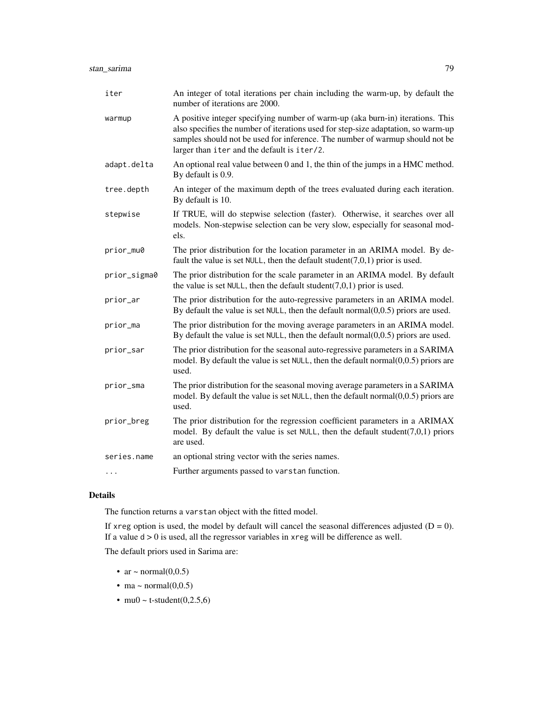| iter         | An integer of total iterations per chain including the warm-up, by default the<br>number of iterations are 2000.                                                                                                                                                                                   |
|--------------|----------------------------------------------------------------------------------------------------------------------------------------------------------------------------------------------------------------------------------------------------------------------------------------------------|
| warmup       | A positive integer specifying number of warm-up (aka burn-in) iterations. This<br>also specifies the number of iterations used for step-size adaptation, so warm-up<br>samples should not be used for inference. The number of warmup should not be<br>larger than iter and the default is iter/2. |
| adapt.delta  | An optional real value between 0 and 1, the thin of the jumps in a HMC method.<br>By default is 0.9.                                                                                                                                                                                               |
| tree.depth   | An integer of the maximum depth of the trees evaluated during each iteration.<br>By default is 10.                                                                                                                                                                                                 |
| stepwise     | If TRUE, will do stepwise selection (faster). Otherwise, it searches over all<br>models. Non-stepwise selection can be very slow, especially for seasonal mod-<br>els.                                                                                                                             |
| prior_mu0    | The prior distribution for the location parameter in an ARIMA model. By de-<br>fault the value is set NULL, then the default student(7,0,1) prior is used.                                                                                                                                         |
| prior_sigma0 | The prior distribution for the scale parameter in an ARIMA model. By default<br>the value is set NULL, then the default student( $7,0,1$ ) prior is used.                                                                                                                                          |
| prior_ar     | The prior distribution for the auto-regressive parameters in an ARIMA model.<br>By default the value is set NULL, then the default normal $(0,0.5)$ priors are used.                                                                                                                               |
| prior_ma     | The prior distribution for the moving average parameters in an ARIMA model.<br>By default the value is set NULL, then the default normal $(0,0.5)$ priors are used.                                                                                                                                |
| prior_sar    | The prior distribution for the seasonal auto-regressive parameters in a SARIMA<br>model. By default the value is set $NULL$ , then the default normal $(0,0.5)$ priors are<br>used.                                                                                                                |
| prior_sma    | The prior distribution for the seasonal moving average parameters in a SARIMA<br>model. By default the value is set $NULL$ , then the default normal $(0,0.5)$ priors are<br>used.                                                                                                                 |
| prior_breg   | The prior distribution for the regression coefficient parameters in a ARIMAX<br>model. By default the value is set NULL, then the default student(7,0,1) priors<br>are used.                                                                                                                       |
| series.name  | an optional string vector with the series names.                                                                                                                                                                                                                                                   |
| .            | Further arguments passed to varstan function.                                                                                                                                                                                                                                                      |

## Details

The function returns a varstan object with the fitted model.

If xreg option is used, the model by default will cancel the seasonal differences adjusted  $(D = 0)$ . If a value  $d > 0$  is used, all the regressor variables in xreg will be difference as well.

The default priors used in Sarima are:

- ar  $\sim$  normal $(0,0.5)$
- ma ~ normal $(0,0.5)$
- mu0 ~ t-student $(0,2.5,6)$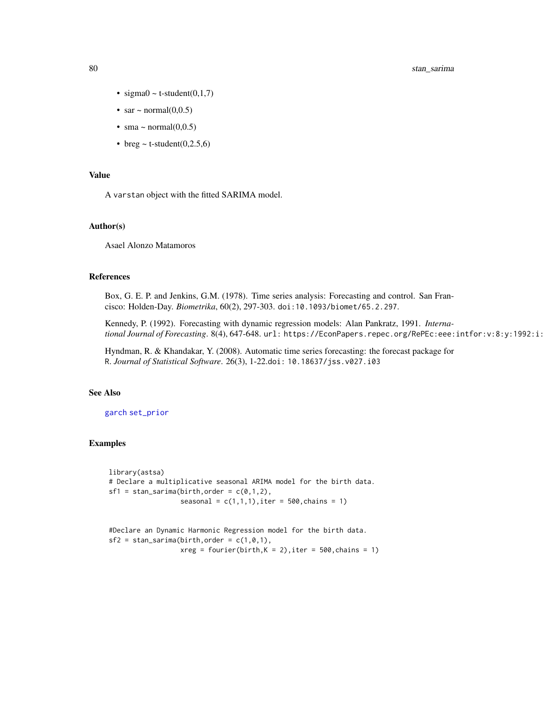## <span id="page-79-0"></span>80 stan\_sarima

- sigma $0 \sim t$ -student $(0,1,7)$
- sar  $\sim$  normal $(0,0.5)$
- sma ~ normal $(0,0.5)$
- breg  $\sim$  t-student(0,2.5,6)

## Value

A varstan object with the fitted SARIMA model.

#### Author(s)

Asael Alonzo Matamoros

#### References

Box, G. E. P. and Jenkins, G.M. (1978). Time series analysis: Forecasting and control. San Francisco: Holden-Day. *Biometrika*, 60(2), 297-303. doi:10.1093/biomet/65.2.297.

Kennedy, P. (1992). Forecasting with dynamic regression models: Alan Pankratz, 1991. *International Journal of Forecasting*. 8(4), 647-648. url: https://EconPapers.repec.org/RePEc:eee:intfor:v:8:y:1992:i:

Hyndman, R. & Khandakar, Y. (2008). Automatic time series forecasting: the forecast package for R. *Journal of Statistical Software*. 26(3), 1-22.doi: 10.18637/jss.v027.i03

## See Also

#### [garch](#page-24-0) [set\\_prior](#page-60-0)

## Examples

library(astsa) # Declare a multiplicative seasonal ARIMA model for the birth data.  $sf1 = stan_sarima(birth, order = c(0,1,2),$ seasonal =  $c(1,1,1)$ , iter = 500, chains = 1)

#Declare an Dynamic Harmonic Regression model for the birth data.  $sf2 = stan\_sarium(birth, order = c(1, 0, 1),$  $xreg = fourier(birth, K = 2)$ , iter = 500, chains = 1)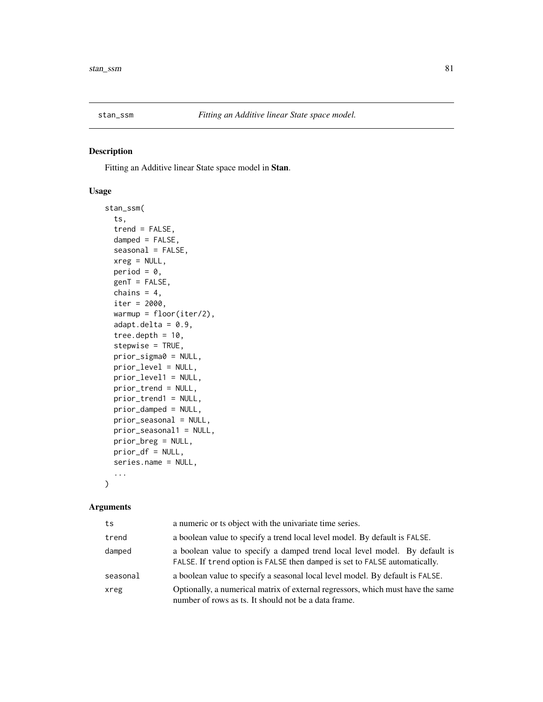<span id="page-80-0"></span>

## Description

Fitting an Additive linear State space model in Stan.

## Usage

```
stan_ssm(
  ts,
  trend = FALSE,
 damped = FALSE,
  seasonal = FALSE,
 xreg = NULL,
 period = 0,
 genT = FALSE,
 chains = 4,
  iter = 2000,
 warmup = floor(iter/2),
  adapt.deIta = 0.9,tree.depth = 10,
  stepwise = TRUE,
 prior_sigma0 = NULL,
 prior_level = NULL,
 prior_level1 = NULL,
 prior_trend = NULL,
 prior_trend1 = NULL,
 prior_damped = NULL,
 prior_seasonal = NULL,
 prior_seasonal1 = NULL,
 prior_breg = NULL,
 prior_df = NULL,
  series.name = NULL,
  ...
)
```

| ts       | a numeric or ts object with the univariate time series.                                                                                                  |  |
|----------|----------------------------------------------------------------------------------------------------------------------------------------------------------|--|
| trend    | a boolean value to specify a trend local level model. By default is FALSE.                                                                               |  |
| damped   | a boolean value to specify a damped trend local level model. By default is<br>FALSE. If trend option is FALSE then damped is set to FALSE automatically. |  |
| seasonal | a boolean value to specify a seasonal local level model. By default is FALSE.                                                                            |  |
| xreg     | Optionally, a numerical matrix of external regressors, which must have the same<br>number of rows as ts. It should not be a data frame.                  |  |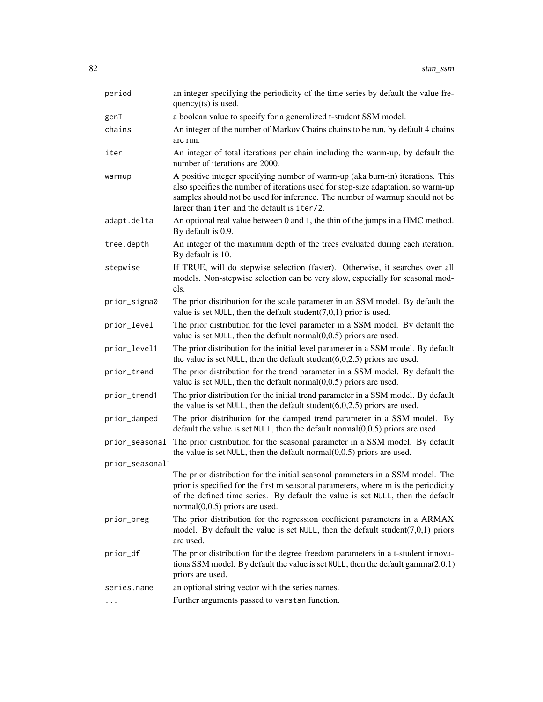| period          | an integer specifying the periodicity of the time series by default the value fre-<br>quency(ts) is used.                                                                                                                                                                                          |
|-----------------|----------------------------------------------------------------------------------------------------------------------------------------------------------------------------------------------------------------------------------------------------------------------------------------------------|
| genT            | a boolean value to specify for a generalized t-student SSM model.                                                                                                                                                                                                                                  |
| chains          | An integer of the number of Markov Chains chains to be run, by default 4 chains<br>are run.                                                                                                                                                                                                        |
| iter            | An integer of total iterations per chain including the warm-up, by default the<br>number of iterations are 2000.                                                                                                                                                                                   |
| warmup          | A positive integer specifying number of warm-up (aka burn-in) iterations. This<br>also specifies the number of iterations used for step-size adaptation, so warm-up<br>samples should not be used for inference. The number of warmup should not be<br>larger than iter and the default is iter/2. |
| adapt.delta     | An optional real value between 0 and 1, the thin of the jumps in a HMC method.<br>By default is 0.9.                                                                                                                                                                                               |
| tree.depth      | An integer of the maximum depth of the trees evaluated during each iteration.<br>By default is 10.                                                                                                                                                                                                 |
| stepwise        | If TRUE, will do stepwise selection (faster). Otherwise, it searches over all<br>models. Non-stepwise selection can be very slow, especially for seasonal mod-<br>els.                                                                                                                             |
| prior_sigma0    | The prior distribution for the scale parameter in an SSM model. By default the<br>value is set NULL, then the default student( $7,0,1$ ) prior is used.                                                                                                                                            |
| prior_level     | The prior distribution for the level parameter in a SSM model. By default the<br>value is set NULL, then the default normal $(0,0.5)$ priors are used.                                                                                                                                             |
| prior_level1    | The prior distribution for the initial level parameter in a SSM model. By default<br>the value is set NULL, then the default student $(6,0,2.5)$ priors are used.                                                                                                                                  |
| prior_trend     | The prior distribution for the trend parameter in a SSM model. By default the<br>value is set $NULL$ , then the default normal $(0,0.5)$ priors are used.                                                                                                                                          |
| prior_trend1    | The prior distribution for the initial trend parameter in a SSM model. By default<br>the value is set NULL, then the default student $(6,0,2.5)$ priors are used.                                                                                                                                  |
| prior_damped    | The prior distribution for the damped trend parameter in a SSM model. By<br>default the value is set $NULL$ , then the default normal $(0,0.5)$ priors are used.                                                                                                                                   |
| prior_seasonal  | The prior distribution for the seasonal parameter in a SSM model. By default<br>the value is set NULL, then the default normal $(0,0.5)$ priors are used.                                                                                                                                          |
| prior_seasonal1 |                                                                                                                                                                                                                                                                                                    |
|                 | The prior distribution for the initial seasonal parameters in a SSM model. The<br>prior is specified for the first m seasonal parameters, where m is the periodicity<br>of the defined time series. By default the value is set NULL, then the default<br>$normal(0,0.5)$ priors are used.         |
| prior_breg      | The prior distribution for the regression coefficient parameters in a ARMAX<br>model. By default the value is set NULL, then the default student(7,0,1) priors<br>are used.                                                                                                                        |
| prior_df        | The prior distribution for the degree freedom parameters in a t-student innova-<br>tions SSM model. By default the value is set $NULL$ , then the default gamma $(2,0.1)$<br>priors are used.                                                                                                      |
| series.name     | an optional string vector with the series names.                                                                                                                                                                                                                                                   |
| $\cdots$        | Further arguments passed to varstan function.                                                                                                                                                                                                                                                      |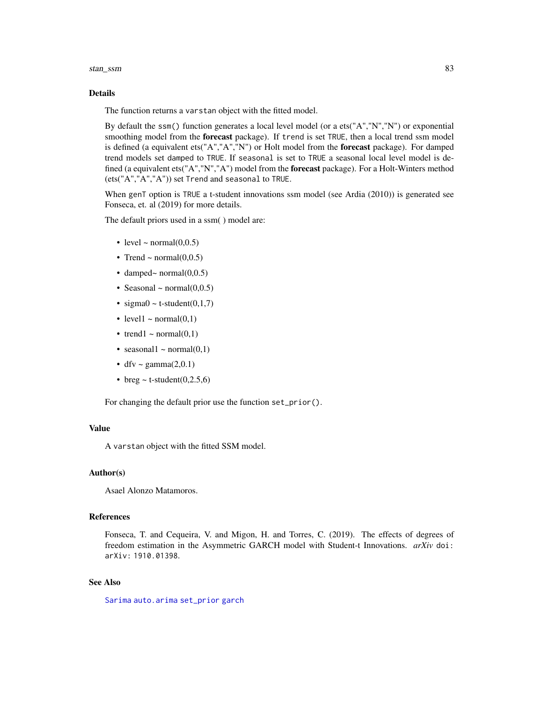#### <span id="page-82-0"></span>stan\_ssm 83

#### Details

The function returns a varstan object with the fitted model.

By default the ssm() function generates a local level model (or a ets("A","N","N") or exponential smoothing model from the forecast package). If trend is set TRUE, then a local trend ssm model is defined (a equivalent ets("A","A","N") or Holt model from the **forecast** package). For damped trend models set damped to TRUE. If seasonal is set to TRUE a seasonal local level model is defined (a equivalent ets("A","N","A") model from the forecast package). For a Holt-Winters method (ets("A","A","A")) set Trend and seasonal to TRUE.

When genT option is TRUE a t-student innovations ssm model (see Ardia (2010)) is generated see Fonseca, et. al (2019) for more details.

The default priors used in a ssm( ) model are:

- level  $\sim$  normal $(0,0.5)$
- Trend ~ normal $(0,0.5)$
- damped~ normal $(0,0.5)$
- Seasonal  $\sim$  normal $(0,0.5)$
- sigma $0 \sim$  t-student $(0,1,7)$
- level1  $\sim$  normal(0,1)
- trend1 ~ normal $(0,1)$
- seasonal1 ~ normal $(0,1)$
- dfv ~ gamma $(2,0.1)$
- breg  $\sim$  t-student(0,2.5,6)

For changing the default prior use the function set\_prior().

## Value

A varstan object with the fitted SSM model.

## Author(s)

Asael Alonzo Matamoros.

#### References

Fonseca, T. and Cequeira, V. and Migon, H. and Torres, C. (2019). The effects of degrees of freedom estimation in the Asymmetric GARCH model with Student-t Innovations. *arXiv* doi: arXiv: 1910.01398.

## See Also

[Sarima](#page-58-0) [auto.arima](#page-0-0) [set\\_prior](#page-60-0) [garch](#page-24-0)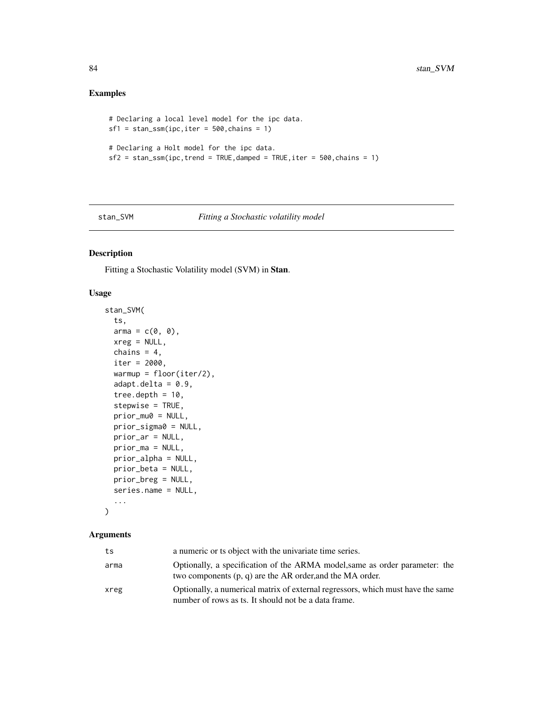## Examples

```
# Declaring a local level model for the ipc data.
sf1 = stan_ssm(ipc,iter = 500, chains = 1)# Declaring a Holt model for the ipc data.
sf2 = stan_ssm(ipc, trend = TRUE, damped = TRUE, iter = 500, chains = 1)
```
## stan\_SVM *Fitting a Stochastic volatility model*

## Description

Fitting a Stochastic Volatility model (SVM) in Stan.

## Usage

```
stan_SVM(
  ts,
  arma = c(0, 0),xreg = NULL,
  chains = 4,
  iter = 2000,warmup = floor(iter/2),
  adapt.deIta = 0.9,tree.depth = 10,
  stepwise = TRUE,
  prior_mu0 = NULL,
 prior_sigma0 = NULL,
 prior_ar = NULL,
 prior_ma = NULL,
 prior_alpha = NULL,
 prior_beta = NULL,
 prior_breg = NULL,
  series.name = NULL,
  ...
\mathcal{L}
```

| ts   | a numeric or ts object with the univariate time series.                                                                                  |
|------|------------------------------------------------------------------------------------------------------------------------------------------|
| arma | Optionally, a specification of the ARMA model, same as order parameter: the<br>two components (p, q) are the AR order, and the MA order. |
| xreg | Optionally, a numerical matrix of external regressors, which must have the same<br>number of rows as ts. It should not be a data frame.  |

<span id="page-83-0"></span>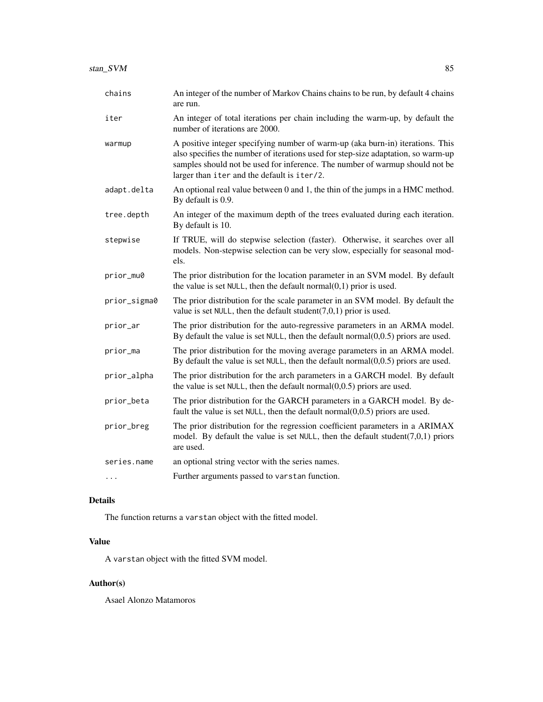| chains       | An integer of the number of Markov Chains chains to be run, by default 4 chains<br>are run.                                                                                                                                                                                                        |
|--------------|----------------------------------------------------------------------------------------------------------------------------------------------------------------------------------------------------------------------------------------------------------------------------------------------------|
| iter         | An integer of total iterations per chain including the warm-up, by default the<br>number of iterations are 2000.                                                                                                                                                                                   |
| warmup       | A positive integer specifying number of warm-up (aka burn-in) iterations. This<br>also specifies the number of iterations used for step-size adaptation, so warm-up<br>samples should not be used for inference. The number of warmup should not be<br>larger than iter and the default is iter/2. |
| adapt.delta  | An optional real value between 0 and 1, the thin of the jumps in a HMC method.<br>By default is 0.9.                                                                                                                                                                                               |
| tree.depth   | An integer of the maximum depth of the trees evaluated during each iteration.<br>By default is 10.                                                                                                                                                                                                 |
| stepwise     | If TRUE, will do stepwise selection (faster). Otherwise, it searches over all<br>models. Non-stepwise selection can be very slow, especially for seasonal mod-<br>els.                                                                                                                             |
| prior_mu0    | The prior distribution for the location parameter in an SVM model. By default<br>the value is set NULL, then the default normal $(0,1)$ prior is used.                                                                                                                                             |
| prior_sigma0 | The prior distribution for the scale parameter in an SVM model. By default the<br>value is set NULL, then the default student( $7,0,1$ ) prior is used.                                                                                                                                            |
| prior_ar     | The prior distribution for the auto-regressive parameters in an ARMA model.<br>By default the value is set NULL, then the default normal $(0,0.5)$ priors are used.                                                                                                                                |
| prior_ma     | The prior distribution for the moving average parameters in an ARMA model.<br>By default the value is set NULL, then the default normal $(0,0.5)$ priors are used.                                                                                                                                 |
| prior_alpha  | The prior distribution for the arch parameters in a GARCH model. By default<br>the value is set NULL, then the default normal $(0,0.5)$ priors are used.                                                                                                                                           |
| prior_beta   | The prior distribution for the GARCH parameters in a GARCH model. By de-<br>fault the value is set NULL, then the default normal $(0,0.5)$ priors are used.                                                                                                                                        |
| prior_breg   | The prior distribution for the regression coefficient parameters in a ARIMAX<br>model. By default the value is set NULL, then the default student( $7,0,1$ ) priors<br>are used.                                                                                                                   |
| series.name  | an optional string vector with the series names.                                                                                                                                                                                                                                                   |
| .            | Further arguments passed to varstan function.                                                                                                                                                                                                                                                      |

# Details

The function returns a varstan object with the fitted model.

# Value

A varstan object with the fitted SVM model.

# Author(s)

Asael Alonzo Matamoros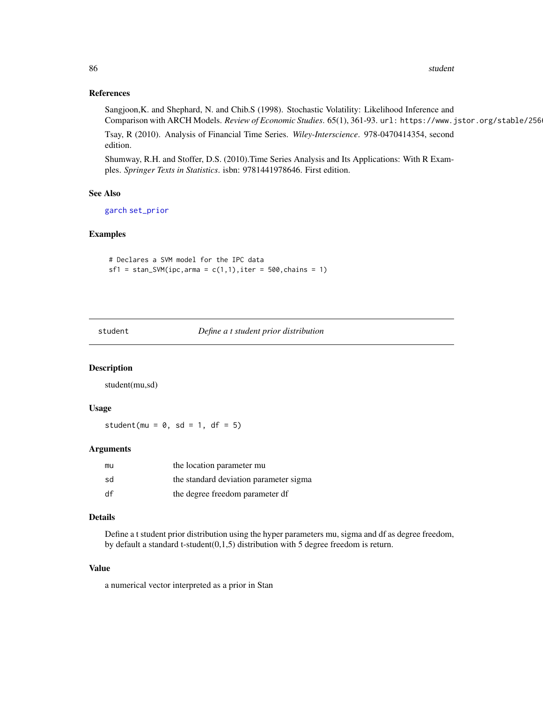#### References

Sangjoon,K. and Shephard, N. and Chib.S (1998). Stochastic Volatility: Likelihood Inference and Comparison with ARCH Models. *Review of Economic Studies*. 65(1), 361-93. url: https://www.jstor.org/stable/256

Tsay, R (2010). Analysis of Financial Time Series. *Wiley-Interscience*. 978-0470414354, second edition.

Shumway, R.H. and Stoffer, D.S. (2010).Time Series Analysis and Its Applications: With R Examples. *Springer Texts in Statistics*. isbn: 9781441978646. First edition.

#### See Also

[garch](#page-24-0) [set\\_prior](#page-60-0)

## Examples

# Declares a SVM model for the IPC data  $sf1 = stan_SVM(ipc,arma = c(1,1), iter = 500, chains = 1)$ 

student *Define a t student prior distribution*

#### Description

student(mu,sd)

#### Usage

student(mu =  $0$ , sd = 1, df = 5)

#### Arguments

| mu | the location parameter mu              |
|----|----------------------------------------|
| sd | the standard deviation parameter sigma |
| df | the degree freedom parameter df        |

## Details

Define a t student prior distribution using the hyper parameters mu, sigma and df as degree freedom, by default a standard t-student(0,1,5) distribution with 5 degree freedom is return.

#### Value

a numerical vector interpreted as a prior in Stan

<span id="page-85-0"></span>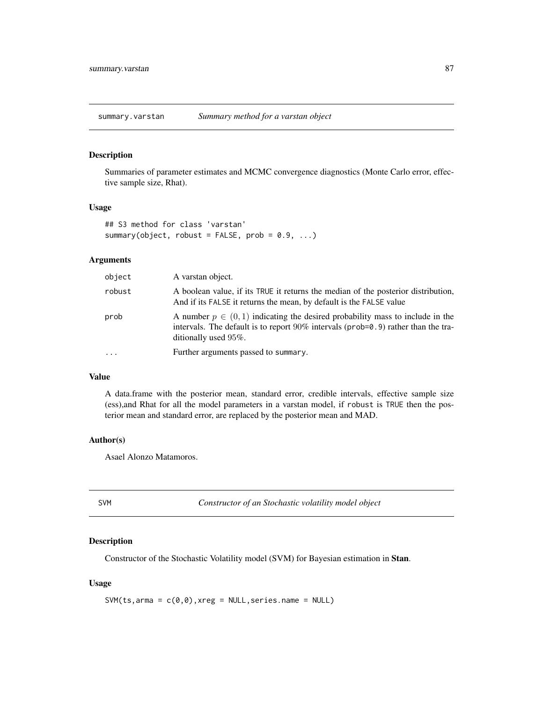<span id="page-86-0"></span>summary.varstan *Summary method for a varstan object*

## Description

Summaries of parameter estimates and MCMC convergence diagnostics (Monte Carlo error, effective sample size, Rhat).

#### Usage

```
## S3 method for class 'varstan'
summary(object, robust = FALSE, prob = 0.9, ...)
```
## Arguments

| object    | A varstan object.                                                                                                                                                                                 |
|-----------|---------------------------------------------------------------------------------------------------------------------------------------------------------------------------------------------------|
| robust    | A boolean value, if its TRUE it returns the median of the posterior distribution,<br>And if its FALSE it returns the mean, by default is the FALSE value                                          |
| prob      | A number $p \in (0, 1)$ indicating the desired probability mass to include in the<br>intervals. The default is to report $90\%$ intervals (prob=0.9) rather than the tra-<br>ditionally used 95%. |
| $\ddotsc$ | Further arguments passed to summary.                                                                                                                                                              |

#### Value

A data.frame with the posterior mean, standard error, credible intervals, effective sample size (ess),and Rhat for all the model parameters in a varstan model, if robust is TRUE then the posterior mean and standard error, are replaced by the posterior mean and MAD.

## Author(s)

Asael Alonzo Matamoros.

| ×                |   |  |
|------------------|---|--|
| w<br>۱<br>$\sim$ | × |  |

**M** *Constructor of an Stochastic volatility model object* 

## Description

Constructor of the Stochastic Volatility model (SVM) for Bayesian estimation in Stan.

#### Usage

 $SWM(ts,arma = c(0,0),xreg = NULL,series.name = NULL)$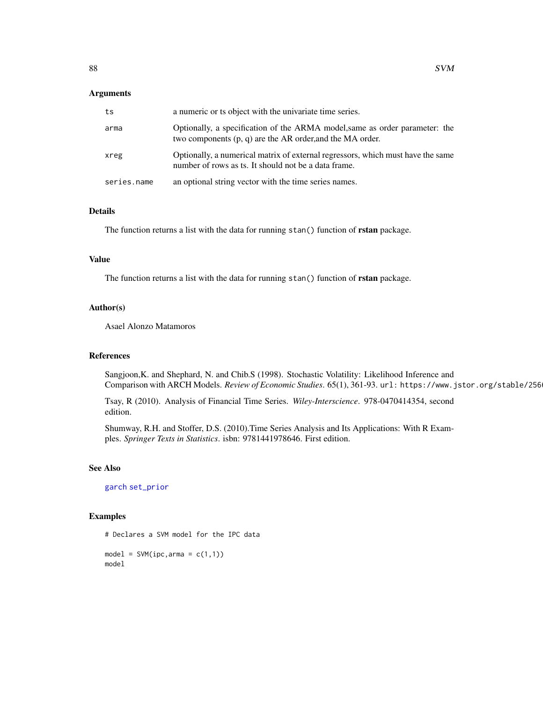#### <span id="page-87-0"></span>Arguments

| ts          | a numeric or ts object with the univariate time series.                                                                                    |
|-------------|--------------------------------------------------------------------------------------------------------------------------------------------|
| arma        | Optionally, a specification of the ARMA model, same as order parameter: the<br>two components $(p, q)$ are the AR order, and the MA order. |
| xreg        | Optionally, a numerical matrix of external regressors, which must have the same<br>number of rows as ts. It should not be a data frame.    |
| series.name | an optional string vector with the time series names.                                                                                      |

## Details

The function returns a list with the data for running stan() function of **rstan** package.

## Value

The function returns a list with the data for running stan() function of **rstan** package.

## Author(s)

Asael Alonzo Matamoros

## References

Sangjoon,K. and Shephard, N. and Chib.S (1998). Stochastic Volatility: Likelihood Inference and Comparison with ARCH Models. *Review of Economic Studies*. 65(1), 361-93. url: https://www.jstor.org/stable/256

Tsay, R (2010). Analysis of Financial Time Series. *Wiley-Interscience*. 978-0470414354, second edition.

Shumway, R.H. and Stoffer, D.S. (2010).Time Series Analysis and Its Applications: With R Examples. *Springer Texts in Statistics*. isbn: 9781441978646. First edition.

### See Also

[garch](#page-24-0) [set\\_prior](#page-60-0)

## Examples

# Declares a SVM model for the IPC data  $model = SWM(ipc,arma = c(1,1))$ 

model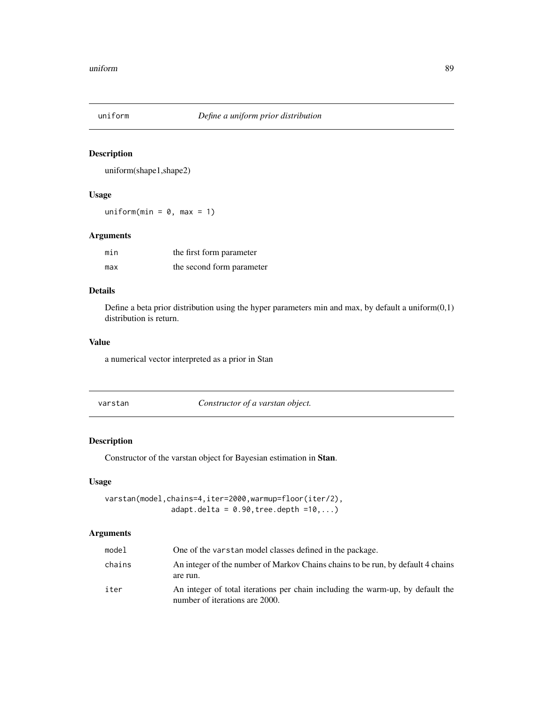<span id="page-88-0"></span>

## Description

uniform(shape1,shape2)

## Usage

uniform(min =  $0$ , max = 1)

## Arguments

| min | the first form parameter  |
|-----|---------------------------|
| max | the second form parameter |

## Details

Define a beta prior distribution using the hyper parameters min and max, by default a uniform $(0,1)$ distribution is return.

## Value

a numerical vector interpreted as a prior in Stan

Constructor of a varstan object.

## Description

Constructor of the varstan object for Bayesian estimation in Stan.

## Usage

varstan(model,chains=4,iter=2000,warmup=floor(iter/2), adapt.delta =  $0.90$ , tree.depth = $10$ ,...)

| model  | One of the varstan model classes defined in the package.                                                         |
|--------|------------------------------------------------------------------------------------------------------------------|
| chains | An integer of the number of Markov Chains chains to be run, by default 4 chains<br>are run.                      |
| iter   | An integer of total iterations per chain including the warm-up, by default the<br>number of iterations are 2000. |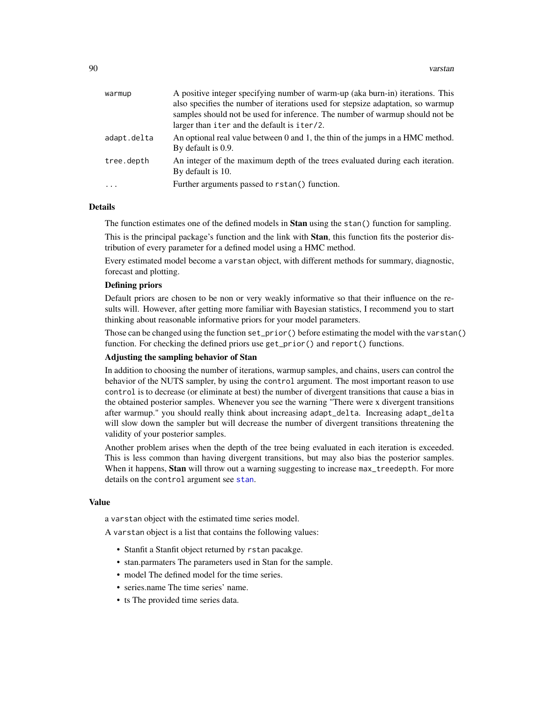<span id="page-89-0"></span>

| warmup      | A positive integer specifying number of warm-up (aka burn-in) iterations. This  |
|-------------|---------------------------------------------------------------------------------|
|             | also specifies the number of iterations used for stepsize adaptation, so warmup |
|             | samples should not be used for inference. The number of warmup should not be    |
|             | larger than iter and the default is iter/2.                                     |
| adapt.delta | An optional real value between 0 and 1, the thin of the jumps in a HMC method.  |
|             | By default is 0.9.                                                              |
| tree.depth  | An integer of the maximum depth of the trees evaluated during each iteration.   |
|             | By default is 10.                                                               |
| $\ddots$    | Further arguments passed to rstan() function.                                   |
|             |                                                                                 |

#### Details

The function estimates one of the defined models in **Stan** using the stan() function for sampling.

This is the principal package's function and the link with **Stan**, this function fits the posterior distribution of every parameter for a defined model using a HMC method.

Every estimated model become a varstan object, with different methods for summary, diagnostic, forecast and plotting.

## Defining priors

Default priors are chosen to be non or very weakly informative so that their influence on the results will. However, after getting more familiar with Bayesian statistics, I recommend you to start thinking about reasonable informative priors for your model parameters.

Those can be changed using the function set\_prior() before estimating the model with the varstan() function. For checking the defined priors use get\_prior() and report() functions.

## Adjusting the sampling behavior of Stan

In addition to choosing the number of iterations, warmup samples, and chains, users can control the behavior of the NUTS sampler, by using the control argument. The most important reason to use control is to decrease (or eliminate at best) the number of divergent transitions that cause a bias in the obtained posterior samples. Whenever you see the warning "There were x divergent transitions after warmup." you should really think about increasing adapt\_delta. Increasing adapt\_delta will slow down the sampler but will decrease the number of divergent transitions threatening the validity of your posterior samples.

Another problem arises when the depth of the tree being evaluated in each iteration is exceeded. This is less common than having divergent transitions, but may also bias the posterior samples. When it happens, **Stan** will throw out a warning suggesting to increase max\_treedepth. For more details on the control argument see [stan](#page-0-0).

#### Value

a varstan object with the estimated time series model.

A varstan object is a list that contains the following values:

- Stanfit a Stanfit object returned by rstan pacakge.
- stan.parmaters The parameters used in Stan for the sample.
- model The defined model for the time series.
- series.name The time series' name.
- ts The provided time series data.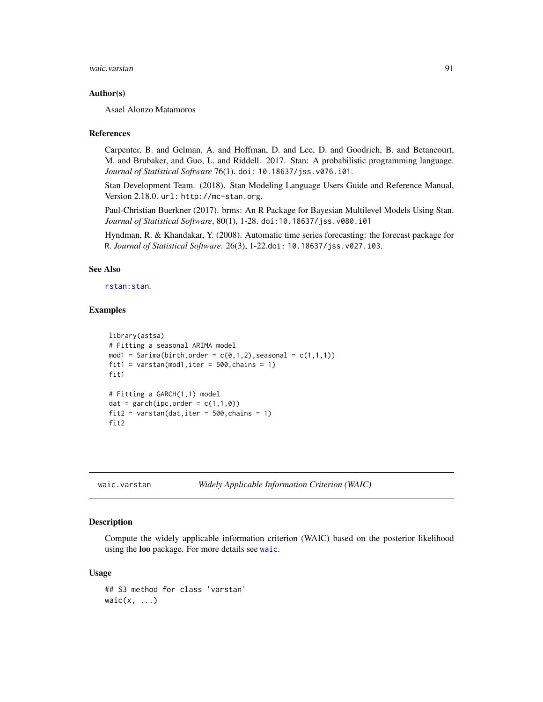<span id="page-90-1"></span>waic.varstan 91

#### Author(s)

Asael Alonzo Matamoros

#### References

Carpenter, B. and Gelman, A. and Hoffman, D. and Lee, D. and Goodrich, B. and Betancourt, M. and Brubaker, and Guo, L. and Riddell. 2017. Stan: A probabilistic programming language. *Journal of Statistical Software* 76(1). doi: 10.18637/jss.v076.i01.

Stan Development Team. (2018). Stan Modeling Language Users Guide and Reference Manual, Version 2.18.0. url: http://mc-stan.org.

Paul-Christian Buerkner (2017). brms: An R Package for Bayesian Multilevel Models Using Stan. *Journal of Statistical Software*, 80(1), 1-28. doi:10.18637/jss.v080.i01

Hyndman, R. & Khandakar, Y. (2008). Automatic time series forecasting: the forecast package for R. *Journal of Statistical Software*. 26(3), 1-22.doi: 10.18637/jss.v027.i03.

## See Also

#### [rstan:stan](#page-0-0).

## Examples

```
library(astsa)
# Fitting a seasonal ARIMA model
mod1 = Sarima(birth, order = c(0,1,2), seasonal = c(1,1,1))
fit1 = varstan(mod1,iter = 500, chains = 1)fit1
# Fitting a GARCH(1,1) model
dat = garch(ipc, order = c(1,1,0))
fit2 = varstan(data, iter = 500, chains = 1)fit2
```
waic.varstan *Widely Applicable Information Criterion (WAIC)*

#### <span id="page-90-0"></span>Description

Compute the widely applicable information criterion (WAIC) based on the posterior likelihood using the loo package. For more details see [waic](#page-90-0).

#### Usage

## S3 method for class 'varstan'  $wait(x, \ldots)$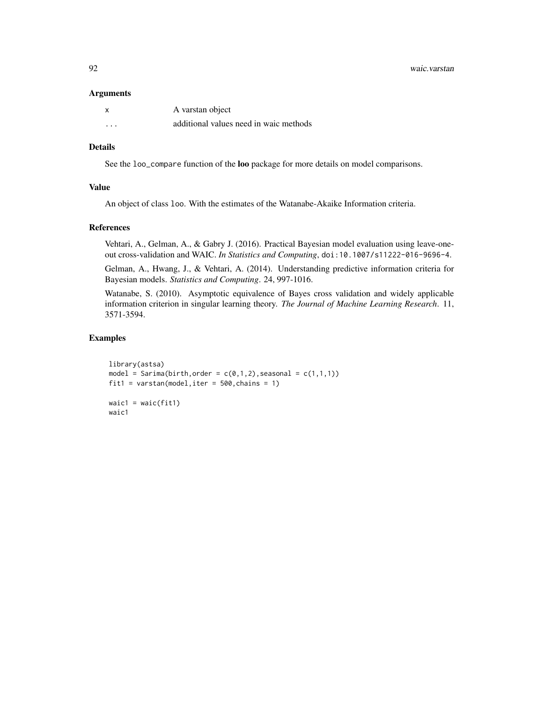92 waic.varstan

#### Arguments

| x        | A varstan object                       |
|----------|----------------------------------------|
| $\cdots$ | additional values need in waic methods |

## Details

See the loo\_compare function of the loo package for more details on model comparisons.

#### Value

An object of class loo. With the estimates of the Watanabe-Akaike Information criteria.

#### References

Vehtari, A., Gelman, A., & Gabry J. (2016). Practical Bayesian model evaluation using leave-oneout cross-validation and WAIC. *In Statistics and Computing*, doi:10.1007/s11222-016-9696-4.

Gelman, A., Hwang, J., & Vehtari, A. (2014). Understanding predictive information criteria for Bayesian models. *Statistics and Computing*. 24, 997-1016.

Watanabe, S. (2010). Asymptotic equivalence of Bayes cross validation and widely applicable information criterion in singular learning theory. *The Journal of Machine Learning Research*. 11, 3571-3594.

#### Examples

```
library(astsa)
model = Sarima(birth, order = c(\emptyset,1,2), seasonal = c(1,1,1))
fit1 = varstan(model, iter = 500, chains = 1)
waic1 = waic(fit1)
waic1
```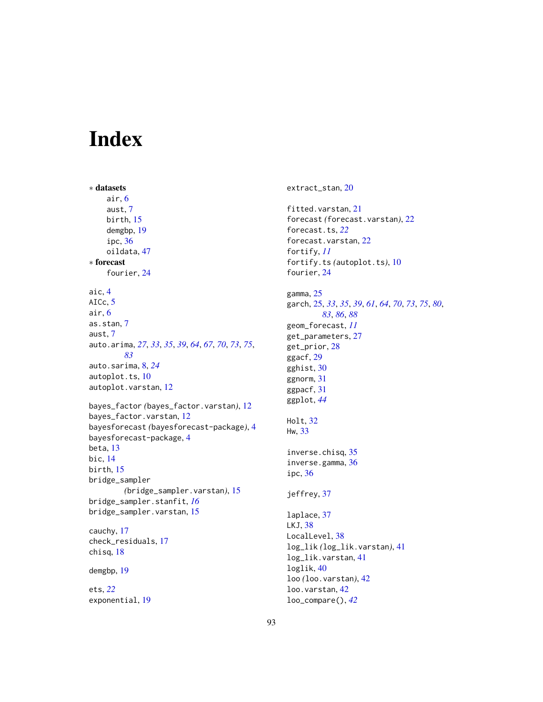# Index

∗ datasets air, [6](#page-5-0) aust, [7](#page-6-0) birth, [15](#page-14-0) demgbp, [19](#page-18-0) ipc, [36](#page-35-0) oildata, [47](#page-46-0) ∗ forecast fourier, [24](#page-23-0) aic, [4](#page-3-0) AICc, [5](#page-4-0) air, [6](#page-5-0) as.stan, [7](#page-6-0) aust, [7](#page-6-0) auto.arima, *[27](#page-26-0)*, *[33](#page-32-0)*, *[35](#page-34-0)*, *[39](#page-38-0)*, *[64](#page-63-0)*, *[67](#page-66-0)*, *[70](#page-69-0)*, *[73](#page-72-0)*, *[75](#page-74-0)*, *[83](#page-82-0)* auto.sarima, [8,](#page-7-0) *[24](#page-23-0)* autoplot.ts, [10](#page-9-0) autoplot.varstan, [12](#page-11-0) bayes\_factor *(*bayes\_factor.varstan*)*, [12](#page-11-0) bayes\_factor.varstan, [12](#page-11-0) bayesforecast *(*bayesforecast-package*)*, [4](#page-3-0) bayesforecast-package, [4](#page-3-0) beta, [13](#page-12-0) bic, [14](#page-13-0) birth, [15](#page-14-0) bridge\_sampler *(*bridge\_sampler.varstan*)*, [15](#page-14-0) bridge\_sampler.stanfit, *[16](#page-15-0)* bridge\_sampler.varstan, [15](#page-14-0) cauchy, [17](#page-16-0) check\_residuals, [17](#page-16-0) chisq, [18](#page-17-0) demgbp, [19](#page-18-0) ets, *[22](#page-21-0)* exponential, [19](#page-18-0)

extract\_stan, [20](#page-19-0)

fitted.varstan, [21](#page-20-0) forecast *(*forecast.varstan*)*, [22](#page-21-0) forecast.ts, *[22](#page-21-0)* forecast.varstan, [22](#page-21-0) fortify, *[11](#page-10-0)* fortify.ts *(*autoplot.ts*)*, [10](#page-9-0) fourier, [24](#page-23-0) gamma, [25](#page-24-1) garch, [25,](#page-24-1) *[33](#page-32-0)*, *[35](#page-34-0)*, *[39](#page-38-0)*, *[61](#page-60-1)*, *[64](#page-63-0)*, *[70](#page-69-0)*, *[73](#page-72-0)*, *[75](#page-74-0)*, *[80](#page-79-0)*, *[83](#page-82-0)*, *[86](#page-85-0)*, *[88](#page-87-0)* geom\_forecast, *[11](#page-10-0)* get\_parameters, [27](#page-26-0) get\_prior, [28](#page-27-0) ggacf, [29](#page-28-0) gghist, [30](#page-29-0) ggnorm, [31](#page-30-0) ggpacf, [31](#page-30-0) ggplot, *[44](#page-43-0)* Holt, [32](#page-31-0) Hw, [33](#page-32-0) inverse.chisq, [35](#page-34-0) inverse.gamma, [36](#page-35-0) ipc, [36](#page-35-0) jeffrey, [37](#page-36-0) laplace, [37](#page-36-0) LKJ, [38](#page-37-0) LocalLevel, [38](#page-37-0) log\_lik *(*log\_lik.varstan*)*, [41](#page-40-0) log\_lik.varstan, [41](#page-40-0) loglik, [40](#page-39-0) loo *(*loo.varstan*)*, [42](#page-41-0) loo.varstan, [42](#page-41-0) loo\_compare(), *[42](#page-41-0)*